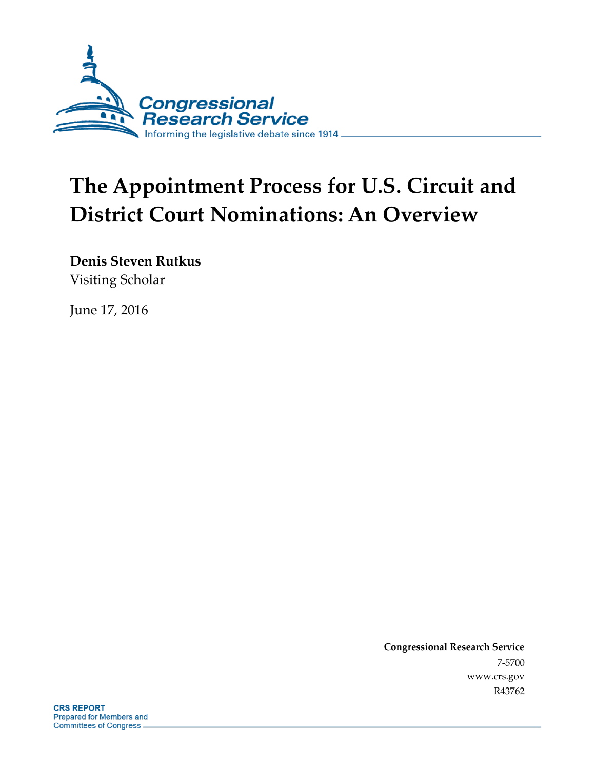

# **The Appointment Process for U.S. Circuit and District Court Nominations: An Overview**

**Denis Steven Rutkus** Visiting Scholar

June 17, 2016

**Congressional Research Service** 7-5700 www.crs.gov R43762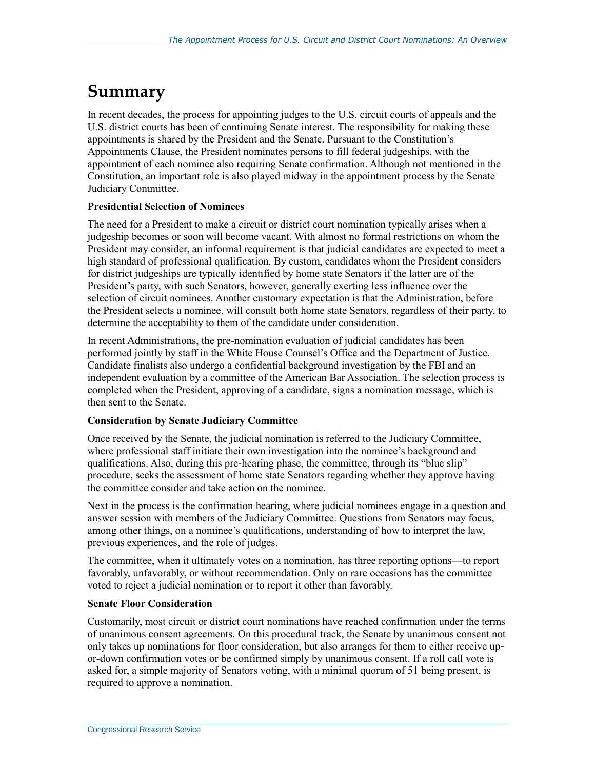## **Summary**

In recent decades, the process for appointing judges to the U.S. circuit courts of appeals and the U.S. district courts has been of continuing Senate interest. The responsibility for making these appointments is shared by the President and the Senate. Pursuant to the Constitution's Appointments Clause, the President nominates persons to fill federal judgeships, with the appointment of each nominee also requiring Senate confirmation. Although not mentioned in the Constitution, an important role is also played midway in the appointment process by the Senate Judiciary Committee.

#### **[Presidential Selection of Nominees](#page-10-0)**

The need for a President to make a circuit or district court nomination typically arises when a judgeship becomes or soon will become vacant. With almost no formal restrictions on whom the President may consider, an informal requirement is that judicial candidates are expected to meet a high standard of professional qualification. By custom, candidates whom the President considers for district judgeships are typically identified by home state Senators if the latter are of the President's party, with such Senators, however, generally exerting less influence over the selection of circuit nominees. Another customary expectation is that the Administration, before the President selects a nominee, will consult both home state Senators, regardless of their party, to determine the acceptability to them of the candidate under consideration.

In recent Administrations, the pre-nomination evaluation of judicial candidates has been performed jointly by staff in the White House Counsel's Office and the Department of Justice. Candidate finalists also undergo a confidential background investigation by the FBI and an independent evaluation by a committee of the American Bar Association. The selection process is completed when the President, approving of a candidate, signs a nomination message, which is then sent to the Senate.

#### **[Consideration by Senate Judiciary Committee](#page-21-0)**

Once received by the Senate, the judicial nomination is referred to the Judiciary Committee, where professional staff initiate their own investigation into the nominee's background and qualifications. Also, during this pre-hearing phase, the committee, through its "blue slip" procedure, seeks the assessment of home state Senators regarding whether they approve having the committee consider and take action on the nominee.

Next in the process is the confirmation hearing, where judicial nominees engage in a question and answer session with members of the Judiciary Committee. Questions from Senators may focus, among other things, on a nominee's qualifications, understanding of how to interpret the law, previous experiences, and the role of judges.

The committee, when it ultimately votes on a nomination, has three reporting options—to report favorably, unfavorably, or without recommendation. Only on rare occasions has the committee voted to reject a judicial nomination or to report it other than favorably.

#### **[Senate Floor Consideration](#page-31-0)**

Customarily, most circuit or district court nominations have reached confirmation under the terms of unanimous consent agreements. On this procedural track, the Senate by unanimous consent not only takes up nominations for floor consideration, but also arranges for them to either receive upor-down confirmation votes or be confirmed simply by unanimous consent. If a roll call vote is asked for, a simple majority of Senators voting, with a minimal quorum of 51 being present, is required to approve a nomination.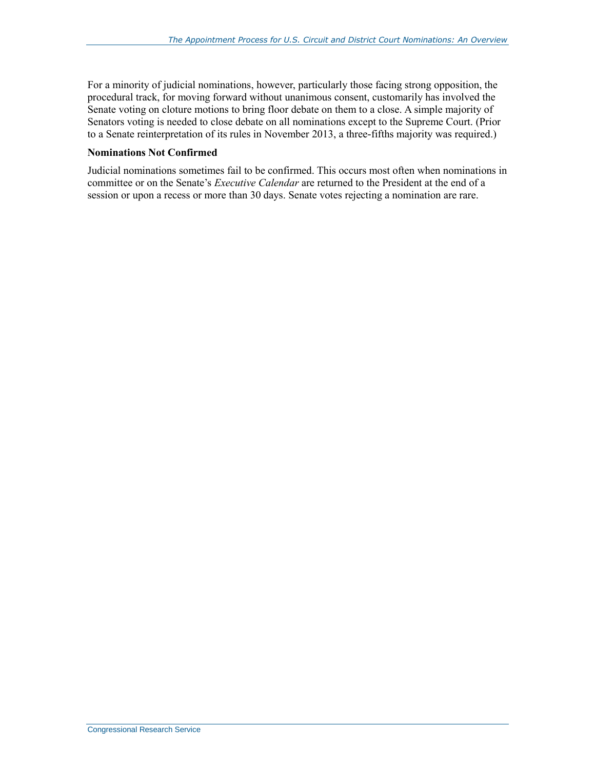For a minority of judicial nominations, however, particularly those facing strong opposition, the procedural track, for moving forward without unanimous consent, customarily has involved the Senate voting on cloture motions to bring floor debate on them to a close. A simple majority of Senators voting is needed to close debate on all nominations except to the Supreme Court. (Prior to a Senate reinterpretation of its rules in November 2013, a three-fifths majority was required.)

#### **[Nominations Not Confirmed](#page-47-0)**

Judicial nominations sometimes fail to be confirmed. This occurs most often when nominations in committee or on the Senate's *Executive Calendar* are returned to the President at the end of a session or upon a recess or more than 30 days. Senate votes rejecting a nomination are rare.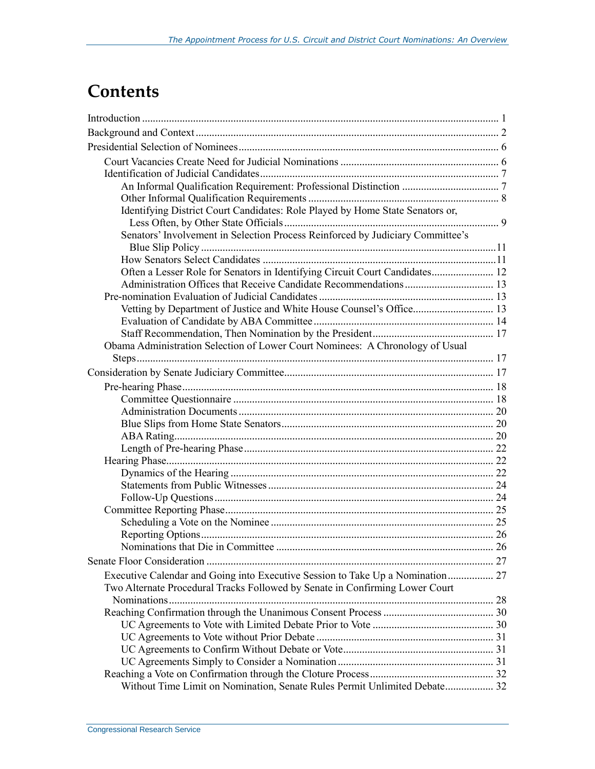## **Contents**

| Identifying District Court Candidates: Role Played by Home State Senators or,  |  |
|--------------------------------------------------------------------------------|--|
|                                                                                |  |
| Senators' Involvement in Selection Process Reinforced by Judiciary Committee's |  |
|                                                                                |  |
|                                                                                |  |
| Often a Lesser Role for Senators in Identifying Circuit Court Candidates 12    |  |
|                                                                                |  |
|                                                                                |  |
| Vetting by Department of Justice and White House Counsel's Office 13           |  |
|                                                                                |  |
|                                                                                |  |
| Obama Administration Selection of Lower Court Nominees: A Chronology of Usual  |  |
|                                                                                |  |
|                                                                                |  |
|                                                                                |  |
|                                                                                |  |
|                                                                                |  |
|                                                                                |  |
|                                                                                |  |
|                                                                                |  |
|                                                                                |  |
|                                                                                |  |
|                                                                                |  |
|                                                                                |  |
|                                                                                |  |
|                                                                                |  |
|                                                                                |  |
|                                                                                |  |
|                                                                                |  |
| Executive Calendar and Going into Executive Session to Take Up a Nomination 27 |  |
| Two Alternate Procedural Tracks Followed by Senate in Confirming Lower Court   |  |
|                                                                                |  |
|                                                                                |  |
|                                                                                |  |
|                                                                                |  |
|                                                                                |  |
|                                                                                |  |
| Without Time Limit on Nomination, Senate Rules Permit Unlimited Debate 32      |  |
|                                                                                |  |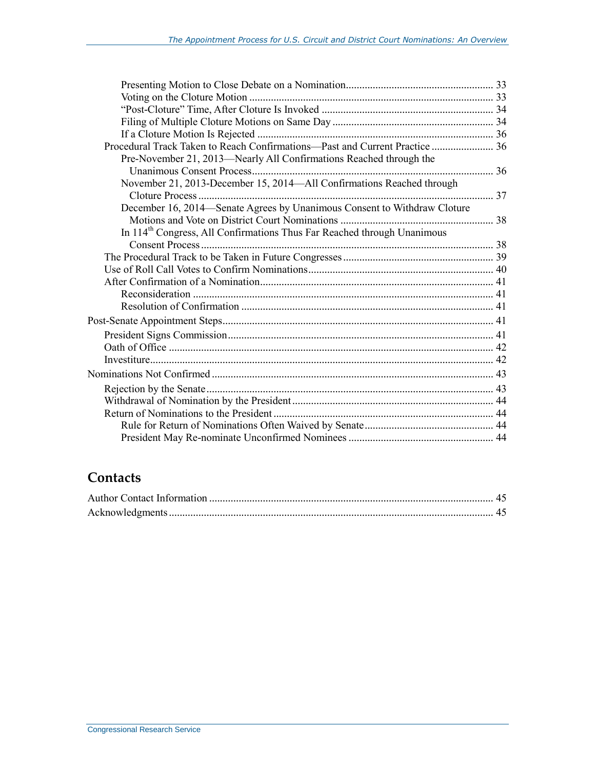| Procedural Track Taken to Reach Confirmations—Past and Current Practice  36         |  |
|-------------------------------------------------------------------------------------|--|
| Pre-November 21, 2013—Nearly All Confirmations Reached through the                  |  |
|                                                                                     |  |
| November 21, 2013-December 15, 2014-All Confirmations Reached through               |  |
|                                                                                     |  |
| December 16, 2014—Senate Agrees by Unanimous Consent to Withdraw Cloture            |  |
|                                                                                     |  |
| In 114 <sup>th</sup> Congress, All Confirmations Thus Far Reached through Unanimous |  |
|                                                                                     |  |
|                                                                                     |  |
|                                                                                     |  |
|                                                                                     |  |
|                                                                                     |  |
|                                                                                     |  |
|                                                                                     |  |
|                                                                                     |  |
|                                                                                     |  |
|                                                                                     |  |
|                                                                                     |  |
|                                                                                     |  |
|                                                                                     |  |
|                                                                                     |  |
|                                                                                     |  |
|                                                                                     |  |

### **Contacts**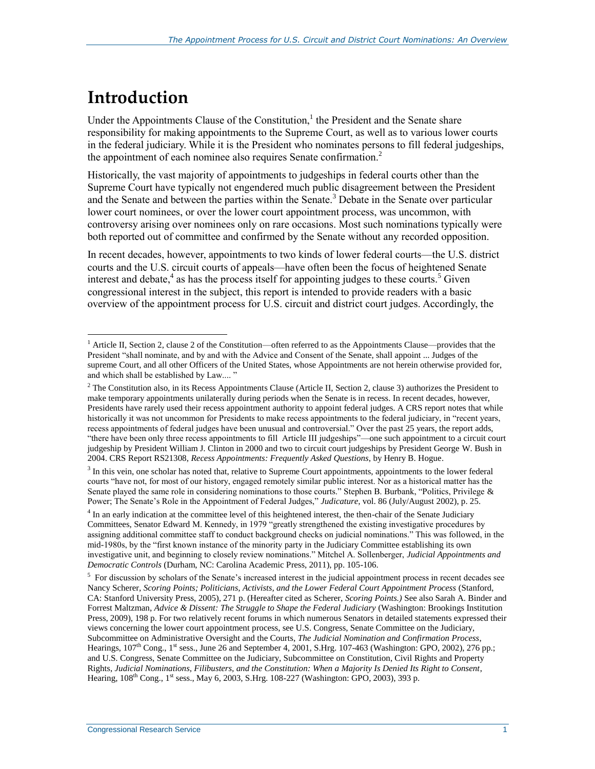## **Introduction**

 $\overline{a}$ 

Under the Appointments Clause of the Constitution, $<sup>1</sup>$  the President and the Senate share</sup> responsibility for making appointments to the Supreme Court, as well as to various lower courts in the federal judiciary. While it is the President who nominates persons to fill federal judgeships, the appointment of each nominee also requires Senate confirmation. $2$ 

<span id="page-5-0"></span>Historically, the vast majority of appointments to judgeships in federal courts other than the Supreme Court have typically not engendered much public disagreement between the President and the Senate and between the parties within the Senate.<sup>3</sup> Debate in the Senate over particular lower court nominees, or over the lower court appointment process, was uncommon, with controversy arising over nominees only on rare occasions. Most such nominations typically were both reported out of committee and confirmed by the Senate without any recorded opposition.

In recent decades, however, appointments to two kinds of lower federal courts—the U.S. district courts and the U.S. circuit courts of appeals—have often been the focus of heightened Senate interest and debate, $4$  as has the process itself for appointing judges to these courts.<sup>5</sup> Given congressional interest in the subject, this report is intended to provide readers with a basic overview of the appointment process for U.S. circuit and district court judges. Accordingly, the

<sup>3</sup> In this vein, one scholar has noted that, relative to Supreme Court appointments, appointments to the lower federal courts "have not, for most of our history, engaged remotely similar public interest. Nor as a historical matter has the Senate played the same role in considering nominations to those courts." Stephen B. Burbank, "Politics, Privilege & Power; The Senate's Role in the Appointment of Federal Judges," *Judicature*, vol. 86 (July/August 2002), p. 25.

<sup>4</sup> In an early indication at the committee level of this heightened interest, the then-chair of the Senate Judiciary Committees, Senator Edward M. Kennedy, in 1979 "greatly strengthened the existing investigative procedures by assigning additional committee staff to conduct background checks on judicial nominations." This was followed, in the mid-1980s, by the "first known instance of the minority party in the Judiciary Committee establishing its own investigative unit, and beginning to closely review nominations." Mitchel A. Sollenberger, *Judicial Appointments and Democratic Controls* (Durham, NC: Carolina Academic Press, 2011), pp. 105-106.

 $<sup>5</sup>$  For discussion by scholars of the Senate's increased interest in the judicial appointment process in recent decades see</sup> Nancy Scherer, *Scoring Points; Politicians, Activists, and the Lower Federal Court Appointment Process* (Stanford, CA: Stanford University Press, 2005), 271 p. (Hereafter cited as Scherer, *Scoring Points.)* See also Sarah A. Binder and Forrest Maltzman, *Advice & Dissent: The Struggle to Shape the Federal Judiciary* (Washington: Brookings Institution Press, 2009), 198 p. For two relatively recent forums in which numerous Senators in detailed statements expressed their views concerning the lower court appointment process, see U.S. Congress, Senate Committee on the Judiciary, Subcommittee on Administrative Oversight and the Courts, *The Judicial Nomination and Confirmation Process*, Hearings,  $107<sup>th</sup>$  Cong.,  $1<sup>st</sup>$  sess., June 26 and September 4, 2001, S.Hrg. 107-463 (Washington: GPO, 2002), 276 pp.; and U.S. Congress, Senate Committee on the Judiciary, Subcommittee on Constitution, Civil Rights and Property Rights, *Judicial Nominations, Filibusters, and the Constitution: When a Majority Is Denied Its Right to Consent*, Hearing, 108<sup>th</sup> Cong., 1<sup>st</sup> sess., May 6, 2003, S.Hrg. 108-227 (Washington: GPO, 2003), 393 p.

<sup>&</sup>lt;sup>1</sup> Article II, Section 2, clause 2 of the Constitution—often referred to as the Appointments Clause—provides that the President "shall nominate, and by and with the Advice and Consent of the Senate, shall appoint ... Judges of the supreme Court, and all other Officers of the United States, whose Appointments are not herein otherwise provided for, and which shall be established by Law.... "

 $2$  The Constitution also, in its Recess Appointments Clause (Article II, Section 2, clause 3) authorizes the President to make temporary appointments unilaterally during periods when the Senate is in recess. In recent decades, however, Presidents have rarely used their recess appointment authority to appoint federal judges. A CRS report notes that while historically it was not uncommon for Presidents to make recess appointments to the federal judiciary, in "recent years, recess appointments of federal judges have been unusual and controversial." Over the past 25 years, the report adds, "there have been only three recess appointments to fill Article III judgeships"—one such appointment to a circuit court judgeship by President William J. Clinton in 2000 and two to circuit court judgeships by President George W. Bush in 2004. CRS Report RS21308, *Recess Appointments: Frequently Asked Questions*, by Henry B. Hogue.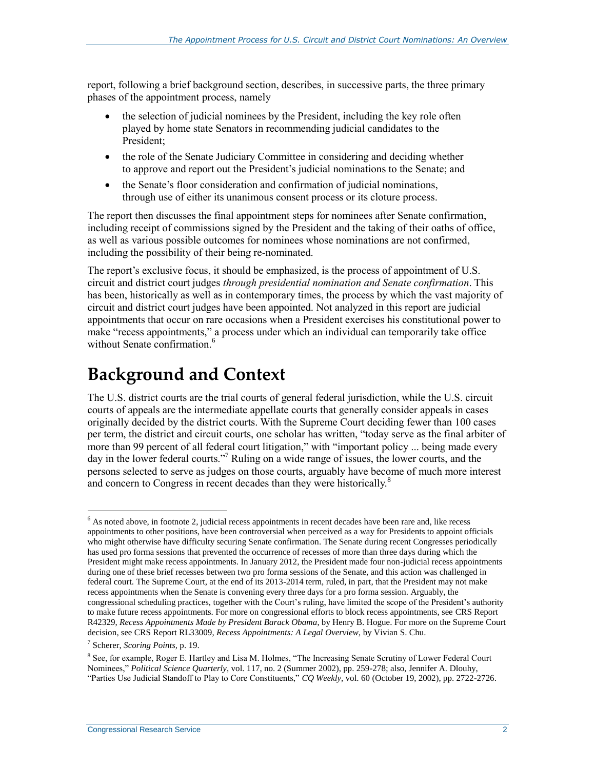report, following a brief background section, describes, in successive parts, the three primary phases of the appointment process, namely

- the selection of judicial nominees by the President, including the key role often played by home state Senators in recommending judicial candidates to the President;
- the role of the Senate Judiciary Committee in considering and deciding whether to approve and report out the President's judicial nominations to the Senate; and
- the Senate's floor consideration and confirmation of judicial nominations, through use of either its unanimous consent process or its cloture process.

The report then discusses the final appointment steps for nominees after Senate confirmation, including receipt of commissions signed by the President and the taking of their oaths of office, as well as various possible outcomes for nominees whose nominations are not confirmed, including the possibility of their being re-nominated.

The report's exclusive focus, it should be emphasized, is the process of appointment of U.S. circuit and district court judges *through presidential nomination and Senate confirmation*. This has been, historically as well as in contemporary times, the process by which the vast majority of circuit and district court judges have been appointed. Not analyzed in this report are judicial appointments that occur on rare occasions when a President exercises his constitutional power to make "recess appointments," a process under which an individual can temporarily take office without Senate confirmation<sup>6</sup>

## **Background and Context**

The U.S. district courts are the trial courts of general federal jurisdiction, while the U.S. circuit courts of appeals are the intermediate appellate courts that generally consider appeals in cases originally decided by the district courts. With the Supreme Court deciding fewer than 100 cases per term, the district and circuit courts, one scholar has written, "today serve as the final arbiter of more than 99 percent of all federal court litigation," with "important policy ... being made every day in the lower federal courts."<sup>7</sup> Ruling on a wide range of issues, the lower courts, and the persons selected to serve as judges on those courts, arguably have become of much more interest and concern to Congress in recent decades than they were historically.<sup>8</sup>

 $<sup>6</sup>$  As noted above, in footnot[e 2,](#page-5-0) judicial recess appointments in recent decades have been rare and, like recess</sup> appointments to other positions, have been controversial when perceived as a way for Presidents to appoint officials who might otherwise have difficulty securing Senate confirmation. The Senate during recent Congresses periodically has used pro forma sessions that prevented the occurrence of recesses of more than three days during which the President might make recess appointments. In January 2012, the President made four non-judicial recess appointments during one of these brief recesses between two pro forma sessions of the Senate, and this action was challenged in federal court. The Supreme Court, at the end of its 2013-2014 term, ruled, in part, that the President may not make recess appointments when the Senate is convening every three days for a pro forma session. Arguably, the congressional scheduling practices, together with the Court's ruling, have limited the scope of the President's authority to make future recess appointments. For more on congressional efforts to block recess appointments, see CRS Report R42329, *Recess Appointments Made by President Barack Obama*, by Henry B. Hogue. For more on the Supreme Court decision, see CRS Report RL33009, *Recess Appointments: A Legal Overview*, by Vivian S. Chu.

<sup>7</sup> Scherer, *Scoring Points,* p. 19.

<sup>&</sup>lt;sup>8</sup> See, for example, Roger E. Hartley and Lisa M. Holmes, "The Increasing Senate Scrutiny of Lower Federal Court Nominees," *Political Science Quarterly*, vol. 117, no. 2 (Summer 2002), pp. 259-278; also, Jennifer A. Dlouhy, "Parties Use Judicial Standoff to Play to Core Constituents," *CQ Weekly*, vol. 60 (October 19, 2002), pp. 2722-2726.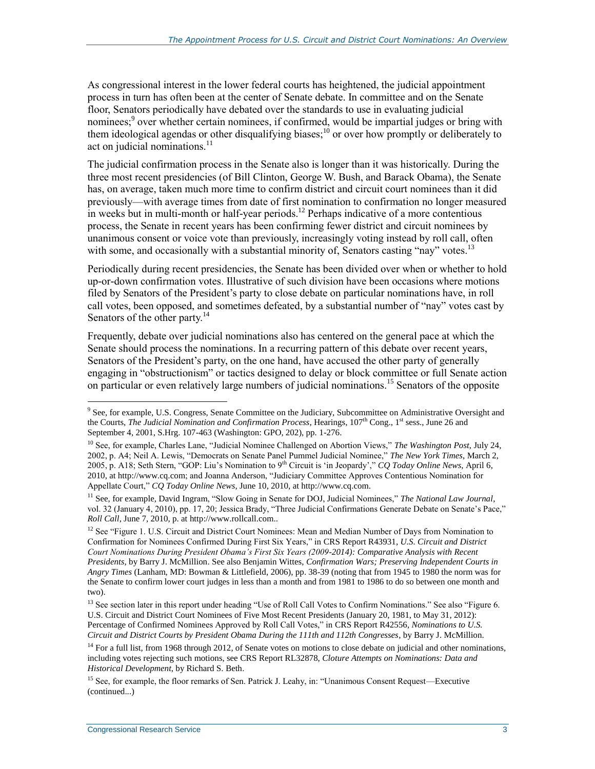As congressional interest in the lower federal courts has heightened, the judicial appointment process in turn has often been at the center of Senate debate. In committee and on the Senate floor, Senators periodically have debated over the standards to use in evaluating judicial nominees;<sup>9</sup> over whether certain nominees, if confirmed, would be impartial judges or bring with them ideological agendas or other disqualifying biases;<sup>10</sup> or over how promptly or deliberately to act on judicial nominations. $11$ 

The judicial confirmation process in the Senate also is longer than it was historically. During the three most recent presidencies (of Bill Clinton, George W. Bush, and Barack Obama), the Senate has, on average, taken much more time to confirm district and circuit court nominees than it did previously—with average times from date of first nomination to confirmation no longer measured in weeks but in multi-month or half-year periods.<sup>12</sup> Perhaps indicative of a more contentious process, the Senate in recent years has been confirming fewer district and circuit nominees by unanimous consent or voice vote than previously, increasingly voting instead by roll call, often with some, and occasionally with a substantial minority of, Senators casting "nay" votes.<sup>13</sup>

Periodically during recent presidencies, the Senate has been divided over when or whether to hold up-or-down confirmation votes. Illustrative of such division have been occasions where motions filed by Senators of the President's party to close debate on particular nominations have, in roll call votes, been opposed, and sometimes defeated, by a substantial number of "nay" votes cast by Senators of the other party.<sup>14</sup>

Frequently, debate over judicial nominations also has centered on the general pace at which the Senate should process the nominations. In a recurring pattern of this debate over recent years, Senators of the President's party, on the one hand, have accused the other party of generally engaging in "obstructionism" or tactics designed to delay or block committee or full Senate action on particular or even relatively large numbers of judicial nominations.<sup>15</sup> Senators of the opposite

 $\overline{a}$ <sup>9</sup> See, for example, U.S. Congress, Senate Committee on the Judiciary, Subcommittee on Administrative Oversight and the Courts, *The Judicial Nomination and Confirmation Process*, Hearings, 107<sup>th</sup> Cong., 1<sup>st</sup> sess., June 26 and September 4, 2001, S.Hrg. 107-463 (Washington: GPO, 202), pp*.* 1-276.

<sup>10</sup> See, for example, Charles Lane, "Judicial Nominee Challenged on Abortion Views," *The Washington Post*, July 24, 2002, p. A4; Neil A. Lewis, "Democrats on Senate Panel Pummel Judicial Nominee," *The New York Times*, March 2, 2005, p. A18; Seth Stern, "GOP: Liu's Nomination to 9th Circuit is 'in Jeopardy'," *CQ Today Online News*, April 6, 2010, at http://www.cq.com; and Joanna Anderson, "Judiciary Committee Approves Contentious Nomination for Appellate Court," *CQ Today Online News*, June 10, 2010, at http://www.cq.com.

<sup>&</sup>lt;sup>11</sup> See, for example, David Ingram, "Slow Going in Senate for DOJ, Judicial Nominees," The National Law Journal, vol. 32 (January 4, 2010), pp. 17, 20; Jessica Brady, "Three Judicial Confirmations Generate Debate on Senate's Pace," *Roll Call*, June 7, 2010, p. at http://www.rollcall.com..

<sup>&</sup>lt;sup>12</sup> See "Figure 1. U.S. Circuit and District Court Nominees: Mean and Median Number of Days from Nomination to Confirmation for Nominees Confirmed During First Six Years," in CRS Report R43931, *U.S. Circuit and District Court Nominations During President Obama's First Six Years (2009-2014): Comparative Analysis with Recent Presidents*, by Barry J. McMillion. See also Benjamin Wittes, *Confirmation Wars; Preserving Independent Courts in Angry Times* (Lanham, MD: Bowman & Littlefield, 2006), pp. 38-39 (noting that from 1945 to 1980 the norm was for the Senate to confirm lower court judges in less than a month and from 1981 to 1986 to do so between one month and two).

<sup>&</sup>lt;sup>13</sup> See section later in this report under heading "Use of Roll Call Votes to Confirm Nominations." See also "Figure 6. U.S. Circuit and District Court Nominees of Five Most Recent Presidents (January 20, 1981, to May 31, 2012): Percentage of Confirmed Nominees Approved by Roll Call Votes," in CRS Report R42556, *Nominations to U.S. Circuit and District Courts by President Obama During the 111th and 112th Congresses*, by Barry J. McMillion.

<sup>&</sup>lt;sup>14</sup> For a full list, from 1968 through 2012, of Senate votes on motions to close debate on judicial and other nominations, including votes rejecting such motions, see CRS Report RL32878, *Cloture Attempts on Nominations: Data and Historical Development*, by Richard S. Beth.

<sup>15</sup> See, for example, the floor remarks of Sen. Patrick J. Leahy, in: "Unanimous Consent Request—Executive (continued...)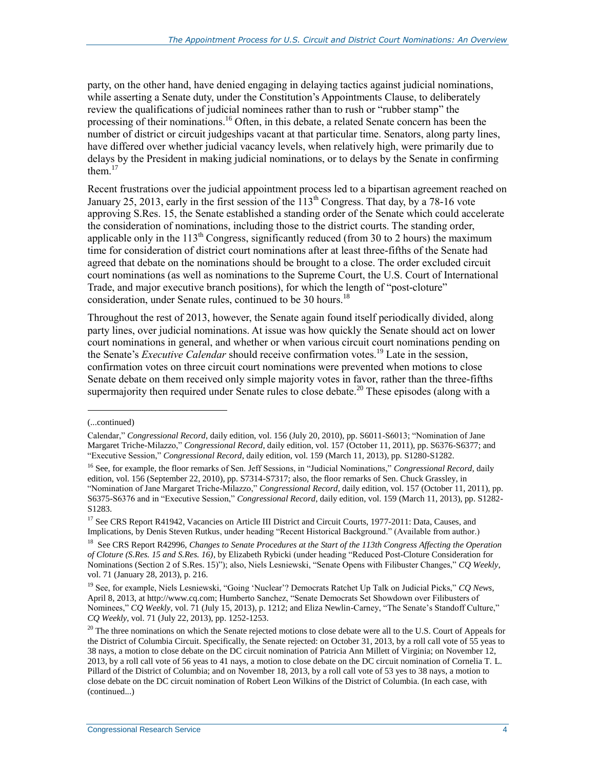party, on the other hand, have denied engaging in delaying tactics against judicial nominations, while asserting a Senate duty, under the Constitution's Appointments Clause, to deliberately review the qualifications of judicial nominees rather than to rush or "rubber stamp" the processing of their nominations.<sup>16</sup> Often, in this debate, a related Senate concern has been the number of district or circuit judgeships vacant at that particular time. Senators, along party lines, have differed over whether judicial vacancy levels, when relatively high, were primarily due to delays by the President in making judicial nominations, or to delays by the Senate in confirming them. $17$ 

Recent frustrations over the judicial appointment process led to a bipartisan agreement reached on January 25, 2013, early in the first session of the  $113<sup>th</sup>$  Congress. That day, by a 78-16 vote approving S.Res. 15, the Senate established a standing order of the Senate which could accelerate the consideration of nominations, including those to the district courts. The standing order, applicable only in the  $113<sup>th</sup>$  Congress, significantly reduced (from 30 to 2 hours) the maximum time for consideration of district court nominations after at least three-fifths of the Senate had agreed that debate on the nominations should be brought to a close. The order excluded circuit court nominations (as well as nominations to the Supreme Court, the U.S. Court of International Trade, and major executive branch positions), for which the length of "post-cloture" consideration, under Senate rules, continued to be 30 hours.<sup>18</sup>

Throughout the rest of 2013, however, the Senate again found itself periodically divided, along party lines, over judicial nominations. At issue was how quickly the Senate should act on lower court nominations in general, and whether or when various circuit court nominations pending on the Senate's *Executive Calendar* should receive confirmation votes.<sup>19</sup> Late in the session, confirmation votes on three circuit court nominations were prevented when motions to close Senate debate on them received only simple majority votes in favor, rather than the three-fifths supermajority then required under Senate rules to close debate.<sup>20</sup> These episodes (along with a

<sup>(...</sup>continued)

Calendar," *Congressional Record*, daily edition, vol. 156 (July 20, 2010), pp. S6011-S6013; "Nomination of Jane Margaret Triche-Milazzo," *Congressional Record*, daily edition, vol. 157 (October 11, 2011), pp. S6376-S6377; and "Executive Session," *Congressional Record*, daily edition, vol. 159 (March 11, 2013), pp. S1280-S1282.

<sup>16</sup> See, for example, the floor remarks of Sen. Jeff Sessions, in "Judicial Nominations," *Congressional Record*, daily edition, vol. 156 (September 22, 2010), pp. S7314-S7317; also, the floor remarks of Sen. Chuck Grassley, in "Nomination of Jane Margaret Triche-Milazzo," *Congressional Record*, daily edition, vol. 157 (October 11, 2011), pp. S6375-S6376 and in "Executive Session," *Congressional Record*, daily edition, vol. 159 (March 11, 2013), pp. S1282- S1283.

<sup>&</sup>lt;sup>17</sup> See CRS Report R41942, Vacancies on Article III District and Circuit Courts, 1977-2011: Data, Causes, and Implications, by Denis Steven Rutkus, under heading "Recent Historical Background." (Available from author.)

<sup>&</sup>lt;sup>18</sup> See CRS Report R42996, *Changes to Senate Procedures at the Start of the 113th Congress Affecting the Operation of Cloture (S.Res. 15 and S.Res. 16)*, by Elizabeth Rybicki (under heading "Reduced Post-Cloture Consideration for Nominations (Section 2 of S.Res. 15)"); also, Niels Lesniewski, "Senate Opens with Filibuster Changes," *CQ Weekly*, vol. 71 (January 28, 2013), p. 216.

<sup>19</sup> See, for example, Niels Lesniewski, "Going 'Nuclear'? Democrats Ratchet Up Talk on Judicial Picks," *CQ News*, April 8, 2013, at http://www.cq.com; Humberto Sanchez, "Senate Democrats Set Showdown over Filibusters of Nominees," *CQ Weekly*, vol. 71 (July 15, 2013), p. 1212; and Eliza Newlin-Carney, "The Senate's Standoff Culture," *CQ Weekly*, vol. 71 (July 22, 2013), pp. 1252-1253.

 $20$  The three nominations on which the Senate rejected motions to close debate were all to the U.S. Court of Appeals for the District of Columbia Circuit. Specifically, the Senate rejected: on October 31, 2013, by a roll call vote of 55 yeas to 38 nays, a motion to close debate on the DC circuit nomination of Patricia Ann Millett of Virginia; on November 12, 2013, by a roll call vote of 56 yeas to 41 nays, a motion to close debate on the DC circuit nomination of Cornelia T. L. Pillard of the District of Columbia; and on November 18, 2013, by a roll call vote of 53 yes to 38 nays, a motion to close debate on the DC circuit nomination of Robert Leon Wilkins of the District of Columbia. (In each case, with (continued...)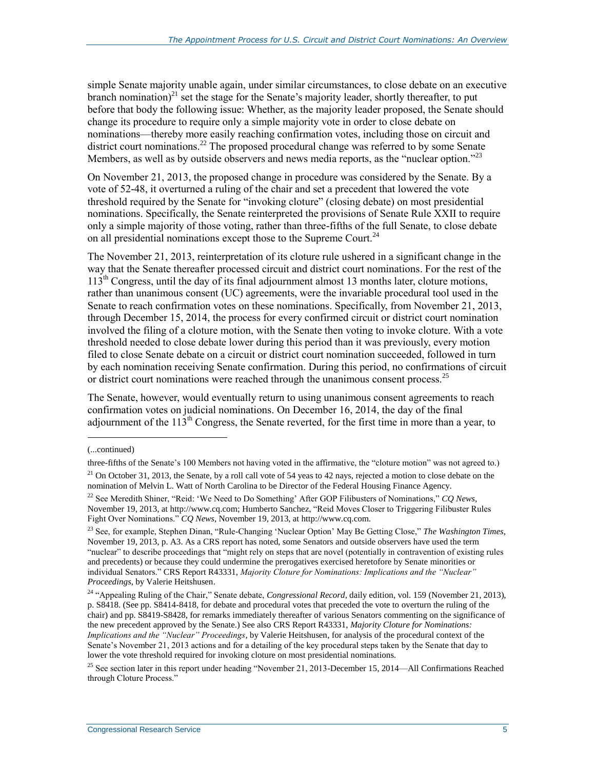simple Senate majority unable again, under similar circumstances, to close debate on an executive branch nomination)<sup>21</sup> set the stage for the Senate's majority leader, shortly thereafter, to put before that body the following issue: Whether, as the majority leader proposed, the Senate should change its procedure to require only a simple majority vote in order to close debate on nominations—thereby more easily reaching confirmation votes, including those on circuit and district court nominations.<sup>22</sup> The proposed procedural change was referred to by some Senate Members, as well as by outside observers and news media reports, as the "nuclear option."<sup>23</sup>

On November 21, 2013, the proposed change in procedure was considered by the Senate. By a vote of 52-48, it overturned a ruling of the chair and set a precedent that lowered the vote threshold required by the Senate for "invoking cloture" (closing debate) on most presidential nominations. Specifically, the Senate reinterpreted the provisions of Senate Rule XXII to require only a simple majority of those voting, rather than three-fifths of the full Senate, to close debate on all presidential nominations except those to the Supreme Court.<sup>24</sup>

The November 21, 2013, reinterpretation of its cloture rule ushered in a significant change in the way that the Senate thereafter processed circuit and district court nominations. For the rest of the  $113<sup>th</sup>$  Congress, until the day of its final adjournment almost 13 months later, cloture motions, rather than unanimous consent (UC) agreements, were the invariable procedural tool used in the Senate to reach confirmation votes on these nominations. Specifically, from November 21, 2013, through December 15, 2014, the process for every confirmed circuit or district court nomination involved the filing of a cloture motion, with the Senate then voting to invoke cloture. With a vote threshold needed to close debate lower during this period than it was previously, every motion filed to close Senate debate on a circuit or district court nomination succeeded, followed in turn by each nomination receiving Senate confirmation. During this period, no confirmations of circuit or district court nominations were reached through the unanimous consent process.<sup>25</sup>

The Senate, however, would eventually return to using unanimous consent agreements to reach confirmation votes on judicial nominations. On December 16, 2014, the day of the final adjournment of the  $113<sup>th</sup>$  Congress, the Senate reverted, for the first time in more than a year, to

<sup>(...</sup>continued)

three-fifths of the Senate's 100 Members not having voted in the affirmative, the "cloture motion" was not agreed to.)  $21$  On October 31, 2013, the Senate, by a roll call vote of 54 yeas to 42 nays, rejected a motion to close debate on the

nomination of Melvin L. Watt of North Carolina to be Director of the Federal Housing Finance Agency.

<sup>22</sup> See Meredith Shiner, "Reid: 'We Need to Do Something' After GOP Filibusters of Nominations," *CQ News*, November 19, 2013, at http://www.cq.com; Humberto Sanchez, "Reid Moves Closer to Triggering Filibuster Rules Fight Over Nominations." *CQ News*, November 19, 2013, at http://www.cq.com.

<sup>23</sup> See, for example, Stephen Dinan, "Rule-Changing 'Nuclear Option' May Be Getting Close," *The Washington Times*, November 19, 2013, p. A3. As a CRS report has noted, some Senators and outside observers have used the term "nuclear" to describe proceedings that "might rely on steps that are novel (potentially in contravention of existing rules and precedents) or because they could undermine the prerogatives exercised heretofore by Senate minorities or individual Senators." CRS Report R43331, *Majority Cloture for Nominations: Implications and the "Nuclear" Proceedings*, by Valerie Heitshusen.

<sup>24</sup> "Appealing Ruling of the Chair," Senate debate, *Congressional Record*, daily edition, vol. 159 (November 21, 2013), p. S8418. (See pp. S8414-8418, for debate and procedural votes that preceded the vote to overturn the ruling of the chair) and pp. S8419-S8428, for remarks immediately thereafter of various Senators commenting on the significance of the new precedent approved by the Senate.) See also CRS Report R43331, *Majority Cloture for Nominations: Implications and the "Nuclear" Proceedings*, by Valerie Heitshusen, for analysis of the procedural context of the Senate's November 21, 2013 actions and for a detailing of the key procedural steps taken by the Senate that day to lower the vote threshold required for invoking cloture on most presidential nominations.

<sup>&</sup>lt;sup>25</sup> See section later in this report under heading "November 21, 2013-December 15, 2014—All Confirmations Reached through Cloture Process."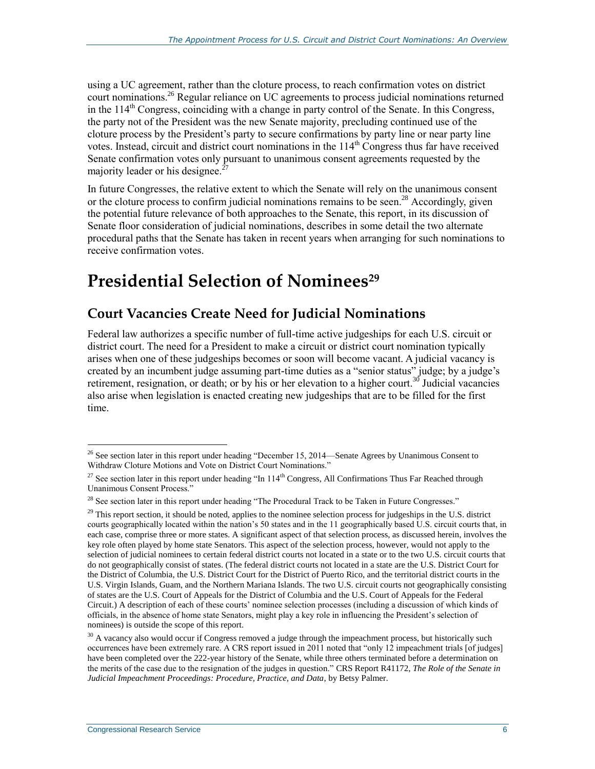using a UC agreement, rather than the cloture process, to reach confirmation votes on district court nominations.<sup>26</sup> Regular reliance on UC agreements to process judicial nominations returned in the 114<sup>th</sup> Congress, coinciding with a change in party control of the Senate. In this Congress, the party not of the President was the new Senate majority, precluding continued use of the cloture process by the President's party to secure confirmations by party line or near party line votes. Instead, circuit and district court nominations in the 114<sup>th</sup> Congress thus far have received Senate confirmation votes only pursuant to unanimous consent agreements requested by the majority leader or his designee.<sup>2</sup>

In future Congresses, the relative extent to which the Senate will rely on the unanimous consent or the cloture process to confirm judicial nominations remains to be seen.<sup>28</sup> Accordingly, given the potential future relevance of both approaches to the Senate, this report, in its discussion of Senate floor consideration of judicial nominations, describes in some detail the two alternate procedural paths that the Senate has taken in recent years when arranging for such nominations to receive confirmation votes.

## <span id="page-10-0"></span>**Presidential Selection of Nominees<sup>29</sup>**

### **Court Vacancies Create Need for Judicial Nominations**

Federal law authorizes a specific number of full-time active judgeships for each U.S. circuit or district court. The need for a President to make a circuit or district court nomination typically arises when one of these judgeships becomes or soon will become vacant. A judicial vacancy is created by an incumbent judge assuming part-time duties as a "senior status" judge; by a judge's retirement, resignation, or death; or by his or her elevation to a higher court.<sup>30</sup> Judicial vacancies also arise when legislation is enacted creating new judgeships that are to be filled for the first time.

 $\overline{a}$ <sup>26</sup> See section later in this report under heading "December 15, 2014—Senate Agrees by Unanimous Consent to Withdraw Cloture Motions and Vote on District Court Nominations."

<sup>&</sup>lt;sup>27</sup> See section later in this report under heading "In  $114<sup>th</sup>$  Congress, All Confirmations Thus Far Reached through Unanimous Consent Process."

<sup>&</sup>lt;sup>28</sup> See section later in this report under heading "The Procedural Track to be Taken in Future Congresses."

 $29$  This report section, it should be noted, applies to the nominee selection process for judgeships in the U.S. district courts geographically located within the nation's 50 states and in the 11 geographically based U.S. circuit courts that, in each case, comprise three or more states. A significant aspect of that selection process, as discussed herein, involves the key role often played by home state Senators. This aspect of the selection process, however, would not apply to the selection of judicial nominees to certain federal district courts not located in a state or to the two U.S. circuit courts that do not geographically consist of states. (The federal district courts not located in a state are the U.S. District Court for the District of Columbia, the U.S. District Court for the District of Puerto Rico, and the territorial district courts in the U.S. Virgin Islands, Guam, and the Northern Mariana Islands. The two U.S. circuit courts not geographically consisting of states are the U.S. Court of Appeals for the District of Columbia and the U.S. Court of Appeals for the Federal Circuit.) A description of each of these courts' nominee selection processes (including a discussion of which kinds of officials, in the absence of home state Senators, might play a key role in influencing the President's selection of nominees) is outside the scope of this report.

 $30$  A vacancy also would occur if Congress removed a judge through the impeachment process, but historically such occurrences have been extremely rare. A CRS report issued in 2011 noted that "only 12 impeachment trials [of judges] have been completed over the 222-year history of the Senate, while three others terminated before a determination on the merits of the case due to the resignation of the judges in question." CRS Report R41172, *The Role of the Senate in Judicial Impeachment Proceedings: Procedure, Practice, and Data*, by Betsy Palmer.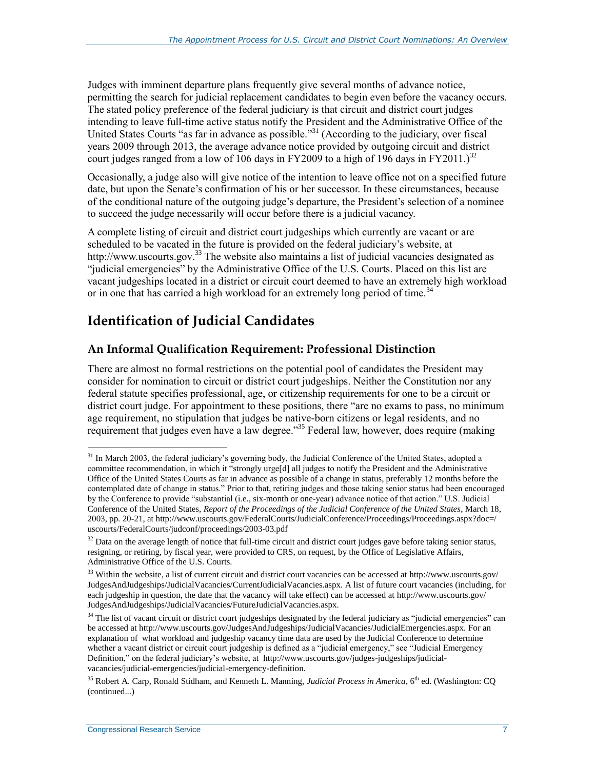Judges with imminent departure plans frequently give several months of advance notice, permitting the search for judicial replacement candidates to begin even before the vacancy occurs. The stated policy preference of the federal judiciary is that circuit and district court judges intending to leave full-time active status notify the President and the Administrative Office of the United States Courts "as far in advance as possible."<sup>31</sup> (According to the judiciary, over fiscal years 2009 through 2013, the average advance notice provided by outgoing circuit and district court judges ranged from a low of 106 days in FY2009 to a high of 196 days in FY2011.)<sup>32</sup>

Occasionally, a judge also will give notice of the intention to leave office not on a specified future date, but upon the Senate's confirmation of his or her successor. In these circumstances, because of the conditional nature of the outgoing judge's departure, the President's selection of a nominee to succeed the judge necessarily will occur before there is a judicial vacancy.

A complete listing of circuit and district court judgeships which currently are vacant or are scheduled to be vacated in the future is provided on the federal judiciary's website, at http://www.uscourts.gov.<sup>33</sup> The website also maintains a list of judicial vacancies designated as "judicial emergencies" by the Administrative Office of the U.S. Courts. Placed on this list are vacant judgeships located in a district or circuit court deemed to have an extremely high workload or in one that has carried a high workload for an extremely long period of time.<sup>34</sup>

### **Identification of Judicial Candidates**

### **An Informal Qualification Requirement: Professional Distinction**

There are almost no formal restrictions on the potential pool of candidates the President may consider for nomination to circuit or district court judgeships. Neither the Constitution nor any federal statute specifies professional, age, or citizenship requirements for one to be a circuit or district court judge. For appointment to these positions, there "are no exams to pass, no minimum age requirement, no stipulation that judges be native-born citizens or legal residents, and no requirement that judges even have a law degree."<sup>35</sup> Federal law, however, does require (making

<sup>&</sup>lt;sup>31</sup> In March 2003, the federal judiciary's governing body, the Judicial Conference of the United States, adopted a committee recommendation, in which it "strongly urge[d] all judges to notify the President and the Administrative Office of the United States Courts as far in advance as possible of a change in status, preferably 12 months before the contemplated date of change in status." Prior to that, retiring judges and those taking senior status had been encouraged by the Conference to provide "substantial (i.e., six-month or one-year) advance notice of that action." U.S. Judicial Conference of the United States, *Report of the Proceedings of the Judicial Conference of the United States*, March 18, 2003, pp. 20-21, at http://www.uscourts.gov/FederalCourts/JudicialConference/Proceedings/Proceedings.aspx?doc=/ uscourts/FederalCourts/judconf/proceedings/2003-03.pdf

 $32$  Data on the average length of notice that full-time circuit and district court judges gave before taking senior status, resigning, or retiring, by fiscal year, were provided to CRS, on request, by the Office of Legislative Affairs, Administrative Office of the U.S. Courts.

 $33$  Within the website, a list of current circuit and district court vacancies can be accessed at http://www.uscourts.gov/ JudgesAndJudgeships/JudicialVacancies/CurrentJudicialVacancies.aspx. A list of future court vacancies (including, for each judgeship in question, the date that the vacancy will take effect) can be accessed at http://www.uscourts.gov/ JudgesAndJudgeships/JudicialVacancies/FutureJudicialVacancies.aspx.

<sup>&</sup>lt;sup>34</sup> The list of vacant circuit or district court judgeships designated by the federal judiciary as "judicial emergencies" can be accessed at http://www.uscourts.gov/JudgesAndJudgeships/JudicialVacancies/JudicialEmergencies.aspx. For an explanation of what workload and judgeship vacancy time data are used by the Judicial Conference to determine whether a vacant district or circuit court judgeship is defined as a "judicial emergency," see "Judicial Emergency Definition," on the federal judiciary's website, at http://www.uscourts.gov/judges-judgeships/judicialvacancies/judicial-emergencies/judicial-emergency-definition.

<sup>&</sup>lt;sup>35</sup> Robert A. Carp, Ronald Stidham, and Kenneth L. Manning, *Judicial Process in America*, 6<sup>th</sup> ed. (Washington: CO (continued...)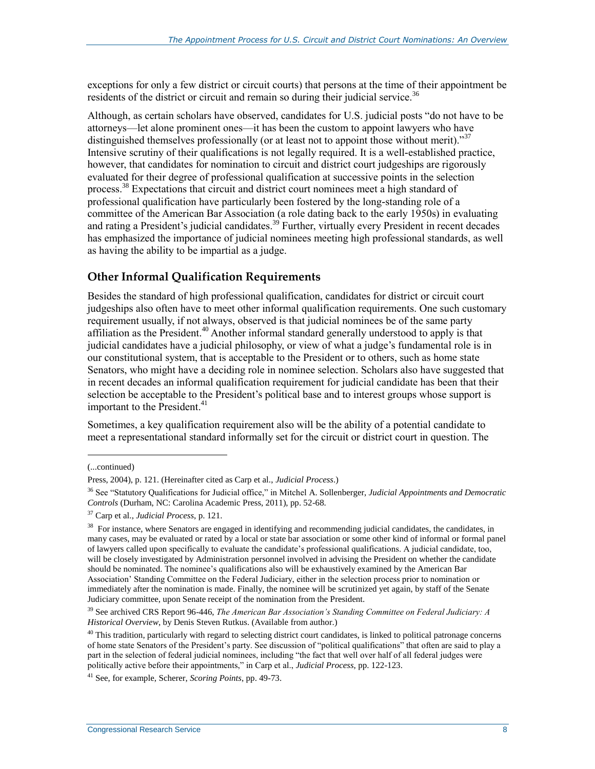exceptions for only a few district or circuit courts) that persons at the time of their appointment be residents of the district or circuit and remain so during their judicial service.<sup>36</sup>

Although, as certain scholars have observed, candidates for U.S. judicial posts "do not have to be attorneys—let alone prominent ones—it has been the custom to appoint lawyers who have distinguished themselves professionally (or at least not to appoint those without merit)."<sup>37</sup> Intensive scrutiny of their qualifications is not legally required. It is a well-established practice, however, that candidates for nomination to circuit and district court judgeships are rigorously evaluated for their degree of professional qualification at successive points in the selection process.<sup>38</sup> Expectations that circuit and district court nominees meet a high standard of professional qualification have particularly been fostered by the long-standing role of a committee of the American Bar Association (a role dating back to the early 1950s) in evaluating and rating a President's judicial candidates.<sup>39</sup> Further, virtually every President in recent decades has emphasized the importance of judicial nominees meeting high professional standards, as well as having the ability to be impartial as a judge.

#### **Other Informal Qualification Requirements**

Besides the standard of high professional qualification, candidates for district or circuit court judgeships also often have to meet other informal qualification requirements. One such customary requirement usually, if not always, observed is that judicial nominees be of the same party affiliation as the President.<sup>40</sup> Another informal standard generally understood to apply is that judicial candidates have a judicial philosophy, or view of what a judge's fundamental role is in our constitutional system, that is acceptable to the President or to others, such as home state Senators, who might have a deciding role in nominee selection. Scholars also have suggested that in recent decades an informal qualification requirement for judicial candidate has been that their selection be acceptable to the President's political base and to interest groups whose support is important to the President.<sup>41</sup>

Sometimes, a key qualification requirement also will be the ability of a potential candidate to meet a representational standard informally set for the circuit or district court in question. The

<sup>(...</sup>continued)

Press, 2004), p. 121. (Hereinafter cited as Carp et al., *Judicial Process*.)

<sup>36</sup> See "Statutory Qualifications for Judicial office," in Mitchel A. Sollenberger, *Judicial Appointments and Democratic Controls* (Durham, NC: Carolina Academic Press, 2011), pp. 52-68.

<sup>37</sup> Carp et al., *Judicial Process*, p. 121.

<sup>&</sup>lt;sup>38</sup> For instance, where Senators are engaged in identifying and recommending judicial candidates, the candidates, in many cases, may be evaluated or rated by a local or state bar association or some other kind of informal or formal panel of lawyers called upon specifically to evaluate the candidate's professional qualifications. A judicial candidate, too, will be closely investigated by Administration personnel involved in advising the President on whether the candidate should be nominated. The nominee's qualifications also will be exhaustively examined by the American Bar Association' Standing Committee on the Federal Judiciary, either in the selection process prior to nomination or immediately after the nomination is made. Finally, the nominee will be scrutinized yet again, by staff of the Senate Judiciary committee, upon Senate receipt of the nomination from the President.

<sup>39</sup> See archived CRS Report 96-446, *The American Bar Association's Standing Committee on Federal Judiciary: A Historical Overview*, by Denis Steven Rutkus. (Available from author.)

 $40$  This tradition, particularly with regard to selecting district court candidates, is linked to political patronage concerns of home state Senators of the President's party. See discussion of "political qualifications" that often are said to play a part in the selection of federal judicial nominees, including "the fact that well over half of all federal judges were politically active before their appointments," in Carp et al., *Judicial Process*, pp. 122-123.

<sup>41</sup> See, for example, Scherer, *Scoring Points*, pp. 49-73.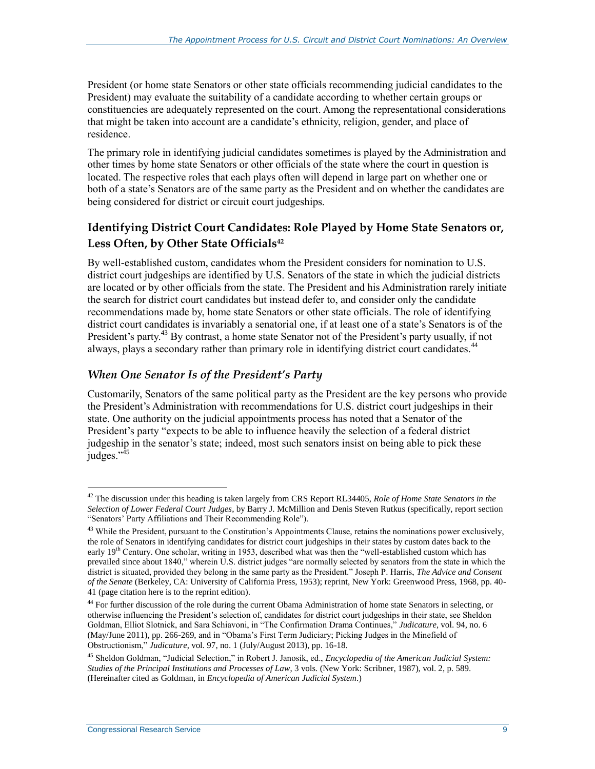President (or home state Senators or other state officials recommending judicial candidates to the President) may evaluate the suitability of a candidate according to whether certain groups or constituencies are adequately represented on the court. Among the representational considerations that might be taken into account are a candidate's ethnicity, religion, gender, and place of residence.

The primary role in identifying judicial candidates sometimes is played by the Administration and other times by home state Senators or other officials of the state where the court in question is located. The respective roles that each plays often will depend in large part on whether one or both of a state's Senators are of the same party as the President and on whether the candidates are being considered for district or circuit court judgeships.

### **Identifying District Court Candidates: Role Played by Home State Senators or, Less Often, by Other State Officials<sup>42</sup>**

By well-established custom, candidates whom the President considers for nomination to U.S. district court judgeships are identified by U.S. Senators of the state in which the judicial districts are located or by other officials from the state. The President and his Administration rarely initiate the search for district court candidates but instead defer to, and consider only the candidate recommendations made by, home state Senators or other state officials. The role of identifying district court candidates is invariably a senatorial one, if at least one of a state's Senators is of the President's party.<sup>43</sup> By contrast, a home state Senator not of the President's party usually, if not always, plays a secondary rather than primary role in identifying district court candidates.<sup>44</sup>

### *When One Senator Is of the President's Party*

Customarily, Senators of the same political party as the President are the key persons who provide the President's Administration with recommendations for U.S. district court judgeships in their state. One authority on the judicial appointments process has noted that a Senator of the President's party "expects to be able to influence heavily the selection of a federal district judgeship in the senator's state; indeed, most such senators insist on being able to pick these iudges." $45$ 

<sup>42</sup> The discussion under this heading is taken largely from CRS Report RL34405, *Role of Home State Senators in the Selection of Lower Federal Court Judges*, by Barry J. McMillion and Denis Steven Rutkus (specifically, report section "Senators' Party Affiliations and Their Recommending Role").

<sup>&</sup>lt;sup>43</sup> While the President, pursuant to the Constitution's Appointments Clause, retains the nominations power exclusively, the role of Senators in identifying candidates for district court judgeships in their states by custom dates back to the early 19<sup>th</sup> Century. One scholar, writing in 1953, described what was then the "well-established custom which has prevailed since about 1840," wherein U.S. district judges "are normally selected by senators from the state in which the district is situated, provided they belong in the same party as the President." Joseph P. Harris, *The Advice and Consent of the Senate* (Berkeley, CA: University of California Press, 1953); reprint, New York: Greenwood Press, 1968, pp. 40- 41 (page citation here is to the reprint edition).

<sup>&</sup>lt;sup>44</sup> For further discussion of the role during the current Obama Administration of home state Senators in selecting, or otherwise influencing the President's selection of, candidates for district court judgeships in their state, see Sheldon Goldman, Elliot Slotnick, and Sara Schiavoni, in "The Confirmation Drama Continues," *Judicature*, vol. 94, no. 6 (May/June 2011), pp. 266-269, and in "Obama's First Term Judiciary; Picking Judges in the Minefield of Obstructionism," *Judicature*, vol. 97, no. 1 (July/August 2013), pp. 16-18.

<sup>45</sup> Sheldon Goldman, "Judicial Selection," in Robert J. Janosik, ed., *Encyclopedia of the American Judicial System: Studies of the Principal Institutions and Processes of Law*, 3 vols. (New York: Scribner, 1987), vol. 2, p. 589. (Hereinafter cited as Goldman, in *Encyclopedia of American Judicial System*.)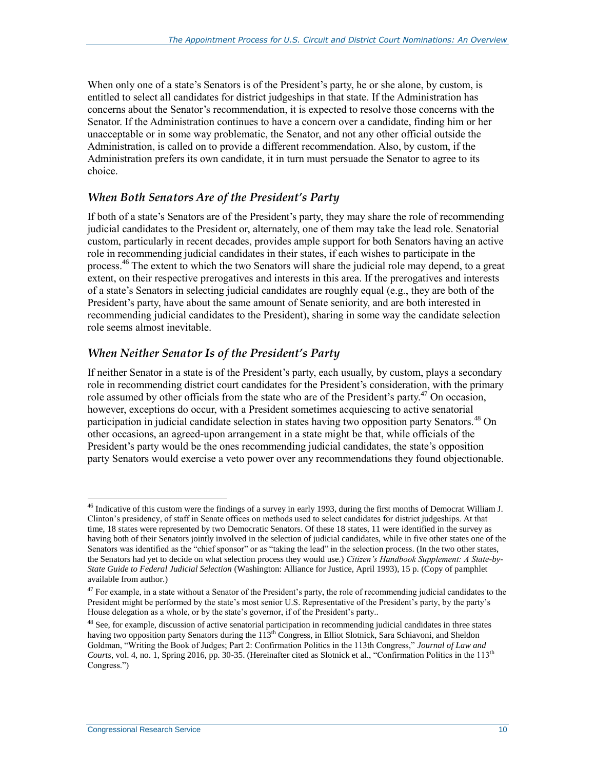When only one of a state's Senators is of the President's party, he or she alone, by custom, is entitled to select all candidates for district judgeships in that state. If the Administration has concerns about the Senator's recommendation, it is expected to resolve those concerns with the Senator. If the Administration continues to have a concern over a candidate, finding him or her unacceptable or in some way problematic, the Senator, and not any other official outside the Administration, is called on to provide a different recommendation. Also, by custom, if the Administration prefers its own candidate, it in turn must persuade the Senator to agree to its choice.

### *When Both Senators Are of the President's Party*

If both of a state's Senators are of the President's party, they may share the role of recommending judicial candidates to the President or, alternately, one of them may take the lead role. Senatorial custom, particularly in recent decades, provides ample support for both Senators having an active role in recommending judicial candidates in their states, if each wishes to participate in the process.<sup>46</sup> The extent to which the two Senators will share the judicial role may depend, to a great extent, on their respective prerogatives and interests in this area. If the prerogatives and interests of a state's Senators in selecting judicial candidates are roughly equal (e.g., they are both of the President's party, have about the same amount of Senate seniority, and are both interested in recommending judicial candidates to the President), sharing in some way the candidate selection role seems almost inevitable.

### *When Neither Senator Is of the President's Party*

If neither Senator in a state is of the President's party, each usually, by custom, plays a secondary role in recommending district court candidates for the President's consideration, with the primary role assumed by other officials from the state who are of the President's party.<sup>47</sup> On occasion. however, exceptions do occur, with a President sometimes acquiescing to active senatorial participation in judicial candidate selection in states having two opposition party Senators.<sup>48</sup> On other occasions, an agreed-upon arrangement in a state might be that, while officials of the President's party would be the ones recommending judicial candidates, the state's opposition party Senators would exercise a veto power over any recommendations they found objectionable.

 $46$  Indicative of this custom were the findings of a survey in early 1993, during the first months of Democrat William J. Clinton's presidency, of staff in Senate offices on methods used to select candidates for district judgeships. At that time, 18 states were represented by two Democratic Senators. Of these 18 states, 11 were identified in the survey as having both of their Senators jointly involved in the selection of judicial candidates, while in five other states one of the Senators was identified as the "chief sponsor" or as "taking the lead" in the selection process. (In the two other states, the Senators had yet to decide on what selection process they would use.) *Citizen's Handbook Supplement: A State-by-State Guide to Federal Judicial Selection* (Washington: Alliance for Justice, April 1993), 15 p. (Copy of pamphlet available from author.)

 $47$  For example, in a state without a Senator of the President's party, the role of recommending judicial candidates to the President might be performed by the state's most senior U.S. Representative of the President's party, by the party's House delegation as a whole, or by the state's governor, if of the President's party..

 $48$  See, for example, discussion of active senatorial participation in recommending judicial candidates in three states having two opposition party Senators during the 113<sup>th</sup> Congress, in Elliot Slotnick, Sara Schiavoni, and Sheldon Goldman, "Writing the Book of Judges; Part 2: Confirmation Politics in the 113th Congress," *Journal of Law and Courts*, vol. 4, no. 1, Spring 2016, pp. 30-35. (Hereinafter cited as Slotnick et al., "Confirmation Politics in the 113<sup>th</sup> Congress.")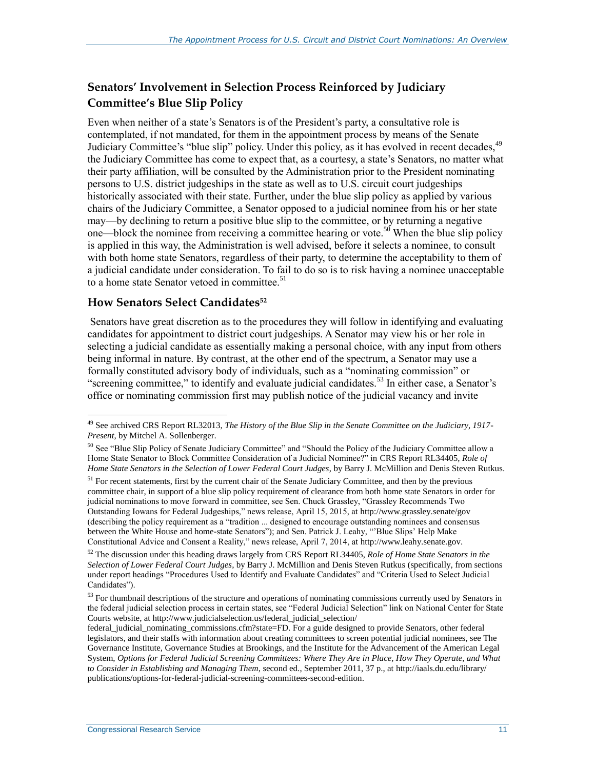### **Senators' Involvement in Selection Process Reinforced by Judiciary Committee's Blue Slip Policy**

Even when neither of a state's Senators is of the President's party, a consultative role is contemplated, if not mandated, for them in the appointment process by means of the Senate Judiciary Committee's "blue slip" policy. Under this policy, as it has evolved in recent decades.<sup>49</sup> the Judiciary Committee has come to expect that, as a courtesy, a state's Senators, no matter what their party affiliation, will be consulted by the Administration prior to the President nominating persons to U.S. district judgeships in the state as well as to U.S. circuit court judgeships historically associated with their state. Further, under the blue slip policy as applied by various chairs of the Judiciary Committee, a Senator opposed to a judicial nominee from his or her state may—by declining to return a positive blue slip to the committee, or by returning a negative one—block the nominee from receiving a committee hearing or vote.<sup>50</sup> When the blue slip policy is applied in this way, the Administration is well advised, before it selects a nominee, to consult with both home state Senators, regardless of their party, to determine the acceptability to them of a judicial candidate under consideration. To fail to do so is to risk having a nominee unacceptable to a home state Senator vetoed in committee.<sup>51</sup>

#### **How Senators Select Candidates<sup>52</sup>**

 $\overline{a}$ 

Senators have great discretion as to the procedures they will follow in identifying and evaluating candidates for appointment to district court judgeships. A Senator may view his or her role in selecting a judicial candidate as essentially making a personal choice, with any input from others being informal in nature. By contrast, at the other end of the spectrum, a Senator may use a formally constituted advisory body of individuals, such as a "nominating commission" or "screening committee," to identify and evaluate judicial candidates.<sup>53</sup> In either case, a Senator's office or nominating commission first may publish notice of the judicial vacancy and invite

<sup>49</sup> See archived CRS Report RL32013, *The History of the Blue Slip in the Senate Committee on the Judiciary, 1917- Present*, by Mitchel A. Sollenberger.

 $50$  See "Blue Slip Policy of Senate Judiciary Committee" and "Should the Policy of the Judiciary Committee allow a Home State Senator to Block Committee Consideration of a Judicial Nominee?" in CRS Report RL34405, *Role of Home State Senators in the Selection of Lower Federal Court Judges*, by Barry J. McMillion and Denis Steven Rutkus.

<sup>&</sup>lt;sup>51</sup> For recent statements, first by the current chair of the Senate Judiciary Committee, and then by the previous committee chair, in support of a blue slip policy requirement of clearance from both home state Senators in order for judicial nominations to move forward in committee, see Sen. Chuck Grassley, "Grassley Recommends Two Outstanding Iowans for Federal Judgeships," news release, April 15, 2015, at http://www.grassley.senate/gov (describing the policy requirement as a "tradition ... designed to encourage outstanding nominees and consensus between the White House and home-state Senators"); and Sen. Patrick J. Leahy, "'Blue Slips' Help Make Constitutional Advice and Consent a Reality," news release, April 7, 2014, at http://www.leahy.senate.gov.

<sup>52</sup> The discussion under this heading draws largely from CRS Report RL34405, *Role of Home State Senators in the Selection of Lower Federal Court Judges*, by Barry J. McMillion and Denis Steven Rutkus (specifically, from sections under report headings "Procedures Used to Identify and Evaluate Candidates" and "Criteria Used to Select Judicial Candidates").

<sup>&</sup>lt;sup>53</sup> For thumbnail descriptions of the structure and operations of nominating commissions currently used by Senators in the federal judicial selection process in certain states, see "Federal Judicial Selection" link on National Center for State Courts website, at http://www.judicialselection.us/federal\_judicial\_selection/

federal judicial nominating commissions.cfm?state=FD. For a guide designed to provide Senators, other federal legislators, and their staffs with information about creating committees to screen potential judicial nominees, see The Governance Institute, Governance Studies at Brookings, and the Institute for the Advancement of the American Legal System, *Options for Federal Judicial Screening Committees: Where They Are in Place, How They Operate, and What to Consider in Establishing and Managing Them*, second ed., September 2011, 37 p., at http://iaals.du.edu/library/ publications/options-for-federal-judicial-screening-committees-second-edition.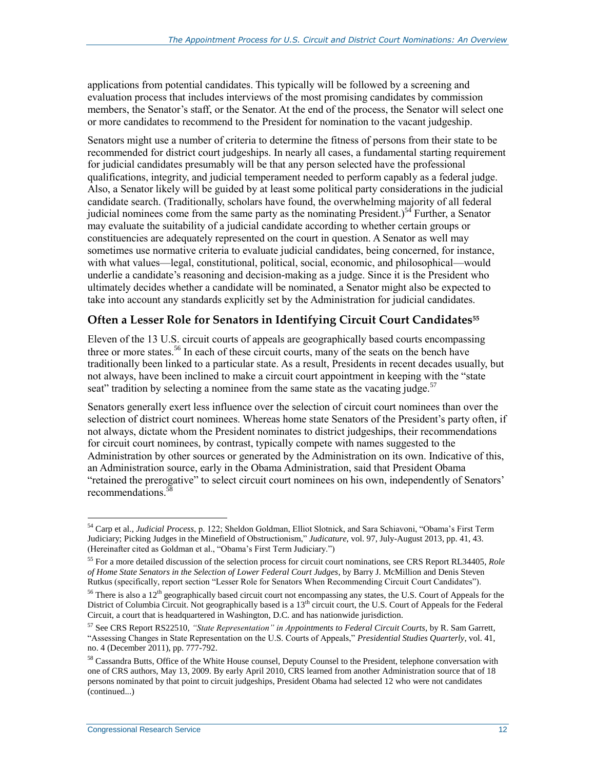applications from potential candidates. This typically will be followed by a screening and evaluation process that includes interviews of the most promising candidates by commission members, the Senator's staff, or the Senator. At the end of the process, the Senator will select one or more candidates to recommend to the President for nomination to the vacant judgeship.

Senators might use a number of criteria to determine the fitness of persons from their state to be recommended for district court judgeships. In nearly all cases, a fundamental starting requirement for judicial candidates presumably will be that any person selected have the professional qualifications, integrity, and judicial temperament needed to perform capably as a federal judge. Also, a Senator likely will be guided by at least some political party considerations in the judicial candidate search. (Traditionally, scholars have found, the overwhelming majority of all federal judicial nominees come from the same party as the nominating President.)<sup>54</sup> Further, a Senator may evaluate the suitability of a judicial candidate according to whether certain groups or constituencies are adequately represented on the court in question. A Senator as well may sometimes use normative criteria to evaluate judicial candidates, being concerned, for instance, with what values—legal, constitutional, political, social, economic, and philosophical—would underlie a candidate's reasoning and decision-making as a judge. Since it is the President who ultimately decides whether a candidate will be nominated, a Senator might also be expected to take into account any standards explicitly set by the Administration for judicial candidates.

### **Often a Lesser Role for Senators in Identifying Circuit Court Candidates<sup>55</sup>**

Eleven of the 13 U.S. circuit courts of appeals are geographically based courts encompassing three or more states.<sup>56</sup> In each of these circuit courts, many of the seats on the bench have traditionally been linked to a particular state. As a result, Presidents in recent decades usually, but not always, have been inclined to make a circuit court appointment in keeping with the "state seat" tradition by selecting a nominee from the same state as the vacating judge.<sup>57</sup>

Senators generally exert less influence over the selection of circuit court nominees than over the selection of district court nominees. Whereas home state Senators of the President's party often, if not always, dictate whom the President nominates to district judgeships, their recommendations for circuit court nominees, by contrast, typically compete with names suggested to the Administration by other sources or generated by the Administration on its own. Indicative of this, an Administration source, early in the Obama Administration, said that President Obama "retained the prerogative" to select circuit court nominees on his own, independently of Senators' recommendations.<sup>58</sup>

 $\overline{a}$ <sup>54</sup> Carp et al., *Judicial Process*, p. 122; Sheldon Goldman, Elliot Slotnick, and Sara Schiavoni, "Obama's First Term Judiciary; Picking Judges in the Minefield of Obstructionism," *Judicature,* vol. 97, July-August 2013, pp. 41, 43. (Hereinafter cited as Goldman et al., "Obama's First Term Judiciary.")

<sup>55</sup> For a more detailed discussion of the selection process for circuit court nominations, see CRS Report RL34405, *Role of Home State Senators in the Selection of Lower Federal Court Judges*, by Barry J. McMillion and Denis Steven Rutkus (specifically, report section "Lesser Role for Senators When Recommending Circuit Court Candidates").

<sup>&</sup>lt;sup>56</sup> There is also a 12<sup>th</sup> geographically based circuit court not encompassing any states, the U.S. Court of Appeals for the District of Columbia Circuit. Not geographically based is a 13<sup>th</sup> circuit court, the U.S. Court of Appeals for the Federal Circuit, a court that is headquartered in Washington, D.C. and has nationwide jurisdiction.

<sup>57</sup> See CRS Report RS22510, *"State Representation" in Appointments to Federal Circuit Courts*, by R. Sam Garrett, "Assessing Changes in State Representation on the U.S. Courts of Appeals," *Presidential Studies Quarterly*, vol. 41, no. 4 (December 2011), pp. 777-792.

<sup>58</sup> Cassandra Butts, Office of the White House counsel, Deputy Counsel to the President, telephone conversation with one of CRS authors, May 13, 2009. By early April 2010, CRS learned from another Administration source that of 18 persons nominated by that point to circuit judgeships, President Obama had selected 12 who were not candidates (continued...)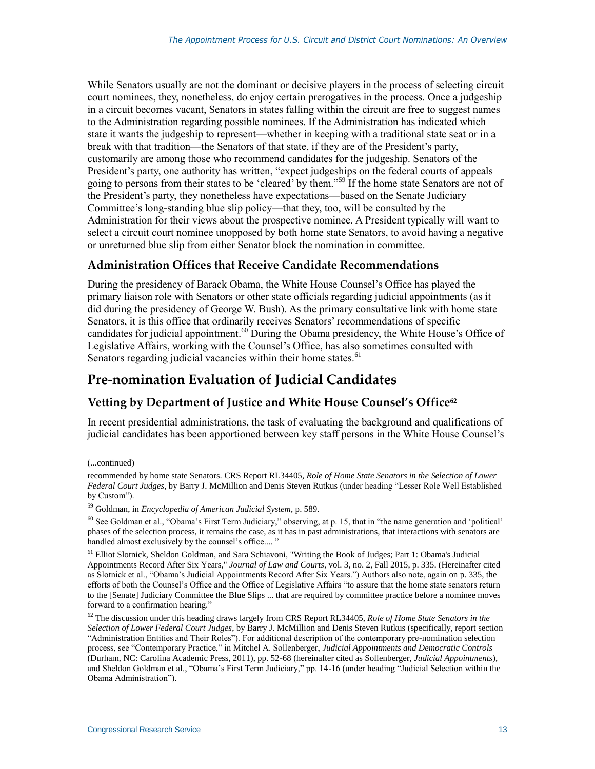While Senators usually are not the dominant or decisive players in the process of selecting circuit court nominees, they, nonetheless, do enjoy certain prerogatives in the process. Once a judgeship in a circuit becomes vacant, Senators in states falling within the circuit are free to suggest names to the Administration regarding possible nominees. If the Administration has indicated which state it wants the judgeship to represent—whether in keeping with a traditional state seat or in a break with that tradition—the Senators of that state, if they are of the President's party, customarily are among those who recommend candidates for the judgeship. Senators of the President's party, one authority has written, "expect judgeships on the federal courts of appeals going to persons from their states to be 'cleared' by them."<sup>59</sup> If the home state Senators are not of the President's party, they nonetheless have expectations—based on the Senate Judiciary Committee's long-standing blue slip policy—that they, too, will be consulted by the Administration for their views about the prospective nominee. A President typically will want to select a circuit court nominee unopposed by both home state Senators, to avoid having a negative or unreturned blue slip from either Senator block the nomination in committee.

### **Administration Offices that Receive Candidate Recommendations**

During the presidency of Barack Obama, the White House Counsel's Office has played the primary liaison role with Senators or other state officials regarding judicial appointments (as it did during the presidency of George W. Bush). As the primary consultative link with home state Senators, it is this office that ordinarily receives Senators' recommendations of specific candidates for judicial appointment.<sup>60</sup> During the Obama presidency, the White House's Office of Legislative Affairs, working with the Counsel's Office, has also sometimes consulted with Senators regarding judicial vacancies within their home states.<sup>61</sup>

### **Pre-nomination Evaluation of Judicial Candidates**

### **Vetting by Department of Justice and White House Counsel's Office<sup>62</sup>**

In recent presidential administrations, the task of evaluating the background and qualifications of judicial candidates has been apportioned between key staff persons in the White House Counsel's

l

<sup>(...</sup>continued)

recommended by home state Senators. CRS Report RL34405, *Role of Home State Senators in the Selection of Lower Federal Court Judges*, by Barry J. McMillion and Denis Steven Rutkus (under heading "Lesser Role Well Established by Custom").

<sup>59</sup> Goldman, in *Encyclopedia of American Judicial System*, p. 589*.*

<sup>60</sup> See Goldman et al., "Obama's First Term Judiciary," observing, at p. 15, that in "the name generation and 'political' phases of the selection process, it remains the case, as it has in past administrations, that interactions with senators are handled almost exclusively by the counsel's office...."

<sup>&</sup>lt;sup>61</sup> Elliot Slotnick, Sheldon Goldman, and Sara Schiavoni, "Writing the Book of Judges; Part 1: Obama's Judicial Appointments Record After Six Years," *Journal of Law and Courts*, vol. 3, no. 2, Fall 2015, p. 335. (Hereinafter cited as Slotnick et al., "Obama's Judicial Appointments Record After Six Years.") Authors also note, again on p. 335, the efforts of both the Counsel's Office and the Office of Legislative Affairs "to assure that the home state senators return to the [Senate] Judiciary Committee the Blue Slips ... that are required by committee practice before a nominee moves forward to a confirmation hearing."

<sup>62</sup> The discussion under this heading draws largely from CRS Report RL34405, *Role of Home State Senators in the Selection of Lower Federal Court Judges*, by Barry J. McMillion and Denis Steven Rutkus (specifically, report section "Administration Entities and Their Roles"). For additional description of the contemporary pre-nomination selection process, see "Contemporary Practice," in Mitchel A. Sollenberger, *Judicial Appointments and Democratic Controls* (Durham, NC: Carolina Academic Press, 2011), pp. 52-68 (hereinafter cited as Sollenberger, *Judicial Appointments*), and Sheldon Goldman et al., "Obama's First Term Judiciary," pp. 14-16 (under heading "Judicial Selection within the Obama Administration").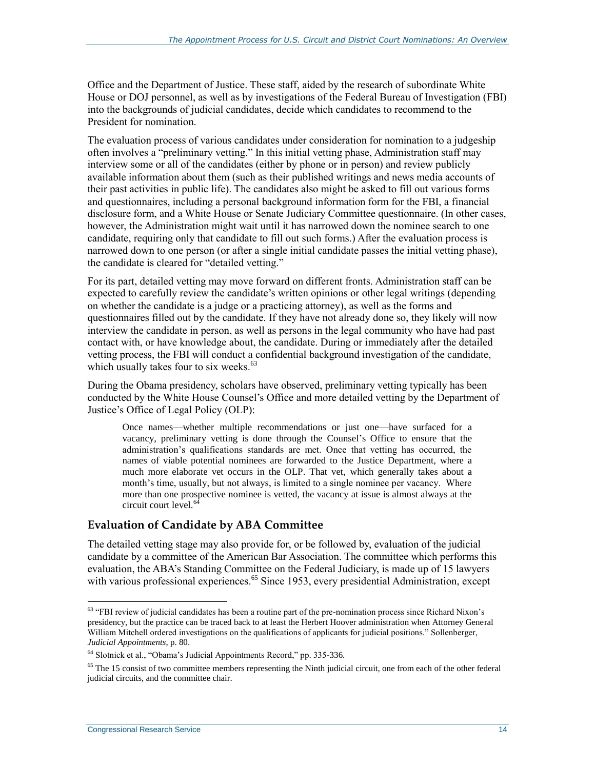Office and the Department of Justice. These staff, aided by the research of subordinate White House or DOJ personnel, as well as by investigations of the Federal Bureau of Investigation (FBI) into the backgrounds of judicial candidates, decide which candidates to recommend to the President for nomination.

The evaluation process of various candidates under consideration for nomination to a judgeship often involves a "preliminary vetting." In this initial vetting phase, Administration staff may interview some or all of the candidates (either by phone or in person) and review publicly available information about them (such as their published writings and news media accounts of their past activities in public life). The candidates also might be asked to fill out various forms and questionnaires, including a personal background information form for the FBI, a financial disclosure form, and a White House or Senate Judiciary Committee questionnaire. (In other cases, however, the Administration might wait until it has narrowed down the nominee search to one candidate, requiring only that candidate to fill out such forms.) After the evaluation process is narrowed down to one person (or after a single initial candidate passes the initial vetting phase), the candidate is cleared for "detailed vetting."

For its part, detailed vetting may move forward on different fronts. Administration staff can be expected to carefully review the candidate's written opinions or other legal writings (depending on whether the candidate is a judge or a practicing attorney), as well as the forms and questionnaires filled out by the candidate. If they have not already done so, they likely will now interview the candidate in person, as well as persons in the legal community who have had past contact with, or have knowledge about, the candidate. During or immediately after the detailed vetting process, the FBI will conduct a confidential background investigation of the candidate, which usually takes four to six weeks.<sup>63</sup>

During the Obama presidency, scholars have observed, preliminary vetting typically has been conducted by the White House Counsel's Office and more detailed vetting by the Department of Justice's Office of Legal Policy (OLP):

Once names—whether multiple recommendations or just one—have surfaced for a vacancy, preliminary vetting is done through the Counsel's Office to ensure that the administration's qualifications standards are met. Once that vetting has occurred, the names of viable potential nominees are forwarded to the Justice Department, where a much more elaborate vet occurs in the OLP. That vet, which generally takes about a month's time, usually, but not always, is limited to a single nominee per vacancy. Where more than one prospective nominee is vetted, the vacancy at issue is almost always at the circuit court level.<sup>64</sup>

#### **Evaluation of Candidate by ABA Committee**

The detailed vetting stage may also provide for, or be followed by, evaluation of the judicial candidate by a committee of the American Bar Association. The committee which performs this evaluation, the ABA's Standing Committee on the Federal Judiciary, is made up of 15 lawyers with various professional experiences.<sup>65</sup> Since 1953, every presidential Administration, except

 $63$  "FBI review of judicial candidates has been a routine part of the pre-nomination process since Richard Nixon's presidency, but the practice can be traced back to at least the Herbert Hoover administration when Attorney General William Mitchell ordered investigations on the qualifications of applicants for judicial positions." Sollenberger, *Judicial Appointments*, p. 80.

<sup>64</sup> Slotnick et al., "Obama's Judicial Appointments Record," pp. 335-336.

<sup>&</sup>lt;sup>65</sup> The 15 consist of two committee members representing the Ninth judicial circuit, one from each of the other federal judicial circuits, and the committee chair.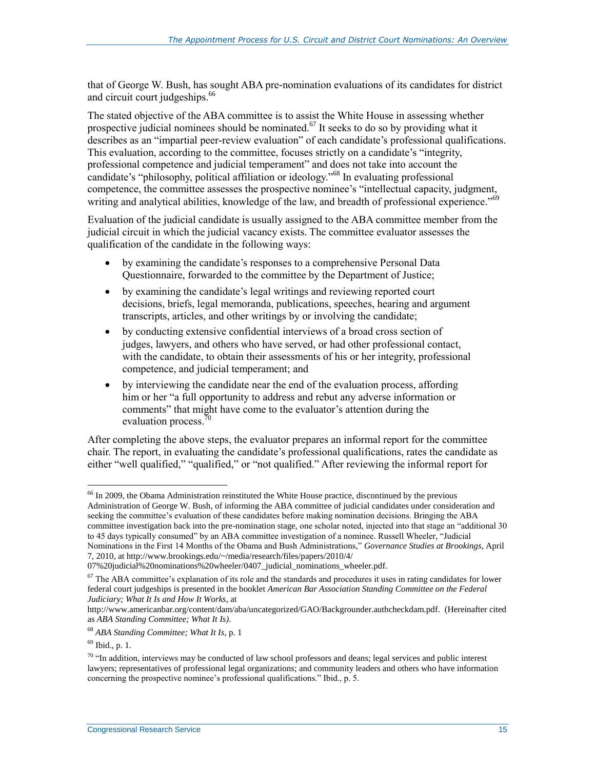that of George W. Bush, has sought ABA pre-nomination evaluations of its candidates for district and circuit court judgeships.<sup>66</sup>

The stated objective of the ABA committee is to assist the White House in assessing whether prospective judicial nominees should be nominated.<sup>67</sup> It seeks to do so by providing what it describes as an "impartial peer-review evaluation" of each candidate's professional qualifications. This evaluation, according to the committee, focuses strictly on a candidate's "integrity, professional competence and judicial temperament" and does not take into account the candidate's "philosophy, political affiliation or ideology."<sup>68</sup> In evaluating professional competence, the committee assesses the prospective nominee's "intellectual capacity, judgment, writing and analytical abilities, knowledge of the law, and breadth of professional experience."<sup>69</sup>

Evaluation of the judicial candidate is usually assigned to the ABA committee member from the judicial circuit in which the judicial vacancy exists. The committee evaluator assesses the qualification of the candidate in the following ways:

- by examining the candidate's responses to a comprehensive Personal Data Questionnaire, forwarded to the committee by the Department of Justice;
- by examining the candidate's legal writings and reviewing reported court decisions, briefs, legal memoranda, publications, speeches, hearing and argument transcripts, articles, and other writings by or involving the candidate;
- by conducting extensive confidential interviews of a broad cross section of judges, lawyers, and others who have served, or had other professional contact, with the candidate, to obtain their assessments of his or her integrity, professional competence, and judicial temperament; and
- by interviewing the candidate near the end of the evaluation process, affording him or her "a full opportunity to address and rebut any adverse information or comments" that might have come to the evaluator's attention during the evaluation process.<sup>70</sup>

After completing the above steps, the evaluator prepares an informal report for the committee chair. The report, in evaluating the candidate's professional qualifications, rates the candidate as either "well qualified," "qualified," or "not qualified." After reviewing the informal report for

<sup>&</sup>lt;sup>66</sup> In 2009, the Obama Administration reinstituted the White House practice, discontinued by the previous Administration of George W. Bush, of informing the ABA committee of judicial candidates under consideration and seeking the committee's evaluation of these candidates before making nomination decisions. Bringing the ABA committee investigation back into the pre-nomination stage, one scholar noted, injected into that stage an "additional 30 to 45 days typically consumed" by an ABA committee investigation of a nominee. Russell Wheeler, "Judicial Nominations in the First 14 Months of the Obama and Bush Administrations," *Governance Studies at Brookings*, April

<sup>7, 2010,</sup> at http://www.brookings.edu/~/media/research/files/papers/2010/4/

<sup>07%20</sup>judicial%20nominations%20wheeler/0407\_judicial\_nominations\_wheeler.pdf.

 $67$  The ABA committee's explanation of its role and the standards and procedures it uses in rating candidates for lower federal court judgeships is presented in the booklet *American Bar Association Standing Committee on the Federal Judiciary; What It Is and How It Works*, at

http://www.americanbar.org/content/dam/aba/uncategorized/GAO/Backgrounder.authcheckdam.pdf. (Hereinafter cited as *ABA Standing Committee; What It Is)*.

<sup>68</sup> *ABA Standing Committee; What It Is*, p. 1

<sup>69</sup> Ibid., p. 1.

 $70$  "In addition, interviews may be conducted of law school professors and deans; legal services and public interest lawyers; representatives of professional legal organizations; and community leaders and others who have information concerning the prospective nominee's professional qualifications." Ibid., p. 5.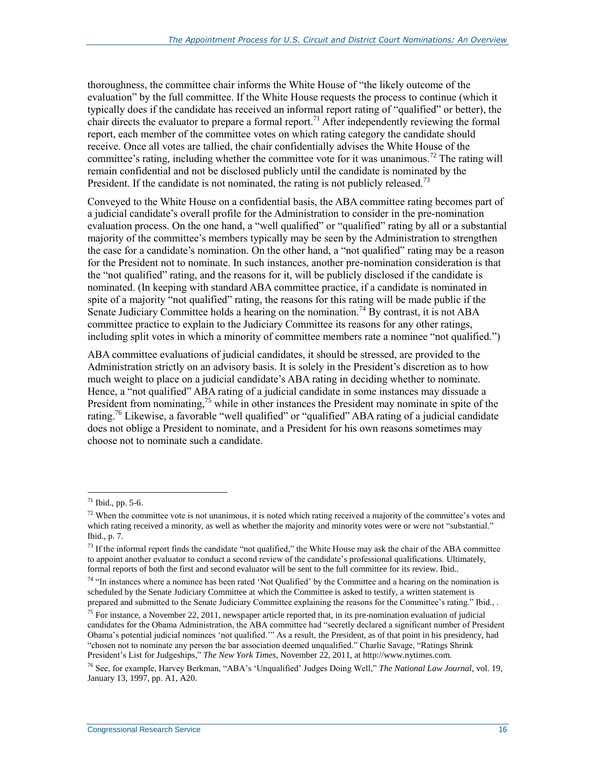thoroughness, the committee chair informs the White House of "the likely outcome of the evaluation" by the full committee. If the White House requests the process to continue (which it typically does if the candidate has received an informal report rating of "qualified" or better), the chair directs the evaluator to prepare a formal report.<sup>71</sup> After independently reviewing the formal report, each member of the committee votes on which rating category the candidate should receive. Once all votes are tallied, the chair confidentially advises the White House of the committee's rating, including whether the committee vote for it was unanimous.<sup>72</sup> The rating will remain confidential and not be disclosed publicly until the candidate is nominated by the President. If the candidate is not nominated, the rating is not publicly released.<sup>73</sup>

Conveyed to the White House on a confidential basis, the ABA committee rating becomes part of a judicial candidate's overall profile for the Administration to consider in the pre-nomination evaluation process. On the one hand, a "well qualified" or "qualified" rating by all or a substantial majority of the committee's members typically may be seen by the Administration to strengthen the case for a candidate's nomination. On the other hand, a "not qualified" rating may be a reason for the President not to nominate. In such instances, another pre-nomination consideration is that the "not qualified" rating, and the reasons for it, will be publicly disclosed if the candidate is nominated. (In keeping with standard ABA committee practice, if a candidate is nominated in spite of a majority "not qualified" rating, the reasons for this rating will be made public if the Senate Judiciary Committee holds a hearing on the nomination.<sup>74</sup> By contrast, it is not ABA committee practice to explain to the Judiciary Committee its reasons for any other ratings, including split votes in which a minority of committee members rate a nominee "not qualified.")

ABA committee evaluations of judicial candidates, it should be stressed, are provided to the Administration strictly on an advisory basis. It is solely in the President's discretion as to how much weight to place on a judicial candidate's ABA rating in deciding whether to nominate. Hence, a "not qualified" ABA rating of a judicial candidate in some instances may dissuade a President from nominating,  $^{75}$  while in other instances the President may nominate in spite of the rating.<sup>76</sup> Likewise, a favorable "well qualified" or "qualified" ABA rating of a judicial candidate does not oblige a President to nominate, and a President for his own reasons sometimes may choose not to nominate such a candidate.

 $71$  Ibid., pp. 5-6.

 $72$  When the committee vote is not unanimous, it is noted which rating received a majority of the committee's votes and which rating received a minority, as well as whether the majority and minority votes were or were not "substantial." Ibid., p. 7.

 $73$  If the informal report finds the candidate "not qualified," the White House may ask the chair of the ABA committee to appoint another evaluator to conduct a second review of the candidate's professional qualifications. Ultimately, formal reports of both the first and second evaluator will be sent to the full committee for its review. Ibid..

<sup>&</sup>lt;sup>74</sup> "In instances where a nominee has been rated 'Not Qualified' by the Committee and a hearing on the nomination is scheduled by the Senate Judiciary Committee at which the Committee is asked to testify, a written statement is prepared and submitted to the Senate Judiciary Committee explaining the reasons for the Committee's rating." Ibid., .

 $75$  For instance, a November 22, 2011, newspaper article reported that, in its pre-nomination evaluation of judicial candidates for the Obama Administration, the ABA committee had "secretly declared a significant number of President Obama's potential judicial nominees 'not qualified.'" As a result, the President, as of that point in his presidency, had "chosen not to nominate any person the bar association deemed unqualified." Charlie Savage, "Ratings Shrink President's List for Judgeships," *The New York Times*, November 22, 2011, at http://www.nytimes.com.

<sup>76</sup> See, for example, Harvey Berkman, "ABA's 'Unqualified' Judges Doing Well," *The National Law Journal*, vol. 19, January 13, 1997, pp. A1, A20.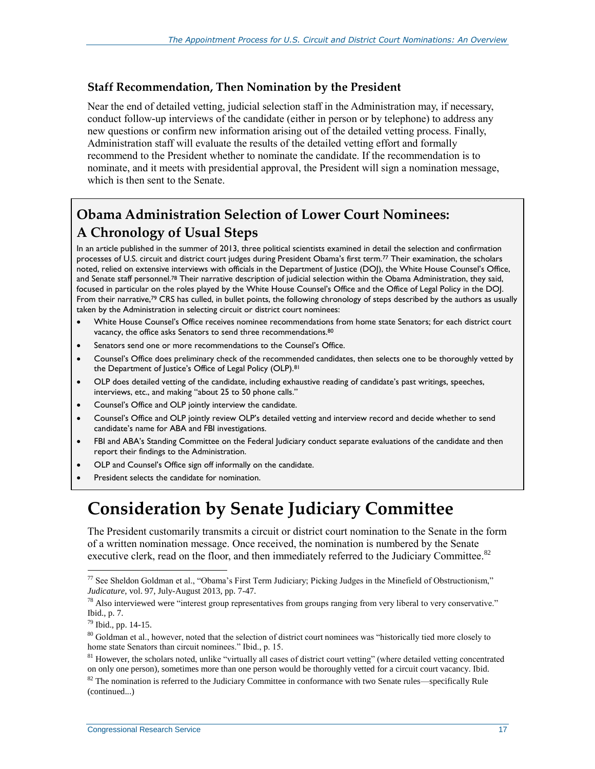#### **Staff Recommendation, Then Nomination by the President**

Near the end of detailed vetting, judicial selection staff in the Administration may, if necessary, conduct follow-up interviews of the candidate (either in person or by telephone) to address any new questions or confirm new information arising out of the detailed vetting process. Finally, Administration staff will evaluate the results of the detailed vetting effort and formally recommend to the President whether to nominate the candidate. If the recommendation is to nominate, and it meets with presidential approval, the President will sign a nomination message, which is then sent to the Senate.

### **Obama Administration Selection of Lower Court Nominees: A Chronology of Usual Steps**

In an article published in the summer of 2013, three political scientists examined in detail the selection and confirmation processes of U.S. circuit and district court judges during President Obama's first term.<sup>77</sup> Their examination, the scholars noted, relied on extensive interviews with officials in the Department of Justice (DOJ), the White House Counsel's Office, and Senate staff personnel.<sup>78</sup> Their narrative description of judicial selection within the Obama Administration, they said, focused in particular on the roles played by the White House Counsel's Office and the Office of Legal Policy in the DOJ. From their narrative,<sup>79</sup> CRS has culled, in bullet points, the following chronology of steps described by the authors as usually taken by the Administration in selecting circuit or district court nominees:

- White House Counsel's Office receives nominee recommendations from home state Senators; for each district court vacancy, the office asks Senators to send three recommendations.<sup>80</sup>
- Senators send one or more recommendations to the Counsel's Office.
- Counsel's Office does preliminary check of the recommended candidates, then selects one to be thoroughly vetted by the Department of Justice's Office of Legal Policy (OLP).<sup>81</sup>
- OLP does detailed vetting of the candidate, including exhaustive reading of candidate's past writings, speeches, interviews, etc., and making "about 25 to 50 phone calls."
- Counsel's Office and OLP jointly interview the candidate.
- Counsel's Office and OLP jointly review OLP's detailed vetting and interview record and decide whether to send candidate's name for ABA and FBI investigations.
- FBI and ABA's Standing Committee on the Federal Judiciary conduct separate evaluations of the candidate and then report their findings to the Administration.
- OLP and Counsel's Office sign off informally on the candidate.
- President selects the candidate for nomination.

## <span id="page-21-0"></span>**Consideration by Senate Judiciary Committee**

The President customarily transmits a circuit or district court nomination to the Senate in the form of a written nomination message. Once received, the nomination is numbered by the Senate executive clerk, read on the floor, and then immediately referred to the Judiciary Committee.<sup>82</sup>

<sup>77</sup> See Sheldon Goldman et al., "Obama's First Term Judiciary; Picking Judges in the Minefield of Obstructionism," *Judicature*, vol. 97, July-August 2013, pp. 7-47.

<sup>&</sup>lt;sup>78</sup> Also interviewed were "interest group representatives from groups ranging from very liberal to very conservative." Ibid., p. 7.

<sup>79</sup> Ibid., pp. 14-15.

<sup>&</sup>lt;sup>80</sup> Goldman et al., however, noted that the selection of district court nominees was "historically tied more closely to home state Senators than circuit nominees." Ibid., p. 15.

<sup>&</sup>lt;sup>81</sup> However, the scholars noted, unlike "virtually all cases of district court vetting" (where detailed vetting concentrated on only one person), sometimes more than one person would be thoroughly vetted for a circuit court vacancy. Ibid.

 $82$  The nomination is referred to the Judiciary Committee in conformance with two Senate rules—specifically Rule (continued...)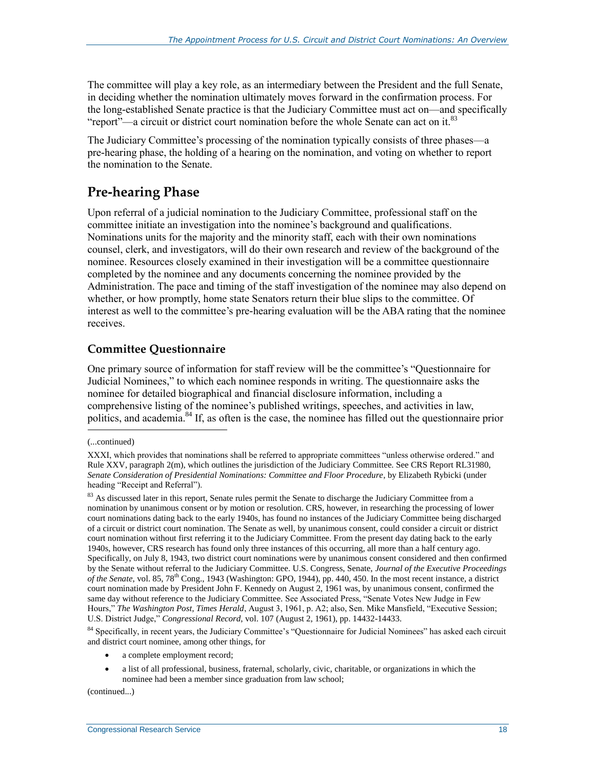The committee will play a key role, as an intermediary between the President and the full Senate, in deciding whether the nomination ultimately moves forward in the confirmation process. For the long-established Senate practice is that the Judiciary Committee must act on—and specifically "report"—a circuit or district court nomination before the whole Senate can act on it.<sup>83</sup>

The Judiciary Committee's processing of the nomination typically consists of three phases—a pre-hearing phase, the holding of a hearing on the nomination, and voting on whether to report the nomination to the Senate.

### **Pre-hearing Phase**

Upon referral of a judicial nomination to the Judiciary Committee, professional staff on the committee initiate an investigation into the nominee's background and qualifications. Nominations units for the majority and the minority staff, each with their own nominations counsel, clerk, and investigators, will do their own research and review of the background of the nominee. Resources closely examined in their investigation will be a committee questionnaire completed by the nominee and any documents concerning the nominee provided by the Administration. The pace and timing of the staff investigation of the nominee may also depend on whether, or how promptly, home state Senators return their blue slips to the committee. Of interest as well to the committee's pre-hearing evaluation will be the ABA rating that the nominee receives.

### **Committee Questionnaire**

One primary source of information for staff review will be the committee's "Questionnaire for Judicial Nominees," to which each nominee responds in writing. The questionnaire asks the nominee for detailed biographical and financial disclosure information, including a comprehensive listing of the nominee's published writings, speeches, and activities in law, politics, and academia.<sup>84</sup> If, as often is the case, the nominee has filled out the questionnaire prior  $\overline{a}$ 

<sup>84</sup> Specifically, in recent years, the Judiciary Committee's "Questionnaire for Judicial Nominees" has asked each circuit and district court nominee, among other things, for

- a complete employment record;
- a list of all professional, business, fraternal, scholarly, civic, charitable, or organizations in which the nominee had been a member since graduation from law school;

(continued...)

<sup>(...</sup>continued)

XXXI, which provides that nominations shall be referred to appropriate committees "unless otherwise ordered." and Rule XXV, paragraph 2(m), which outlines the jurisdiction of the Judiciary Committee. See CRS Report RL31980, *Senate Consideration of Presidential Nominations: Committee and Floor Procedure*, by Elizabeth Rybicki (under heading "Receipt and Referral").

<sup>&</sup>lt;sup>83</sup> As discussed later in this report, Senate rules permit the Senate to discharge the Judiciary Committee from a nomination by unanimous consent or by motion or resolution. CRS, however, in researching the processing of lower court nominations dating back to the early 1940s, has found no instances of the Judiciary Committee being discharged of a circuit or district court nomination. The Senate as well, by unanimous consent, could consider a circuit or district court nomination without first referring it to the Judiciary Committee. From the present day dating back to the early 1940s, however, CRS research has found only three instances of this occurring, all more than a half century ago. Specifically, on July 8, 1943, two district court nominations were by unanimous consent considered and then confirmed by the Senate without referral to the Judiciary Committee. U.S. Congress, Senate, *Journal of the Executive Proceedings of the Senate*, vol. 85, 78th Cong., 1943 (Washington: GPO, 1944), pp. 440, 450. In the most recent instance, a district court nomination made by President John F. Kennedy on August 2, 1961 was, by unanimous consent, confirmed the same day without reference to the Judiciary Committee. See Associated Press, "Senate Votes New Judge in Few Hours," *The Washington Post, Times Herald*, August 3, 1961, p. A2; also, Sen. Mike Mansfield, "Executive Session; U.S. District Judge," *Congressional Record*, vol. 107 (August 2, 1961), pp. 14432-14433.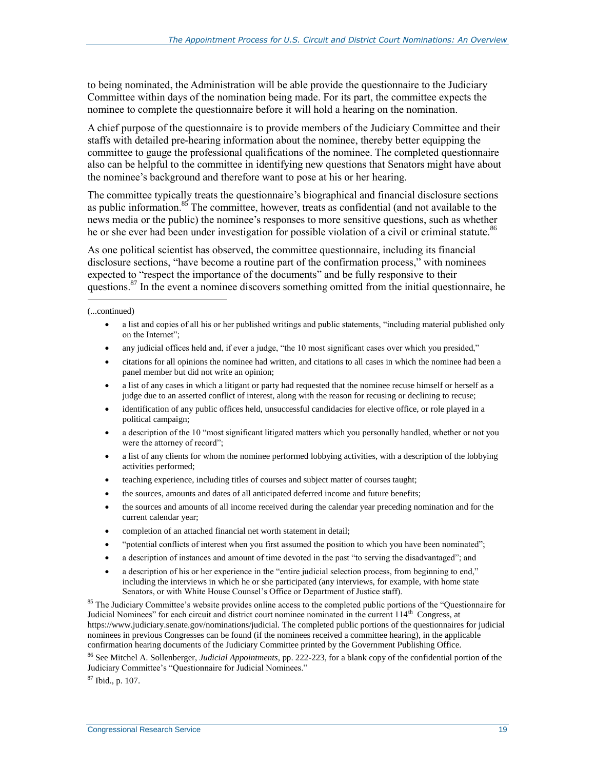to being nominated, the Administration will be able provide the questionnaire to the Judiciary Committee within days of the nomination being made. For its part, the committee expects the nominee to complete the questionnaire before it will hold a hearing on the nomination.

A chief purpose of the questionnaire is to provide members of the Judiciary Committee and their staffs with detailed pre-hearing information about the nominee, thereby better equipping the committee to gauge the professional qualifications of the nominee. The completed questionnaire also can be helpful to the committee in identifying new questions that Senators might have about the nominee's background and therefore want to pose at his or her hearing.

The committee typically treats the questionnaire's biographical and financial disclosure sections as public information.<sup>85</sup> The committee, however, treats as confidential (and not available to the news media or the public) the nominee's responses to more sensitive questions, such as whether he or she ever had been under investigation for possible violation of a civil or criminal statute.<sup>86</sup>

As one political scientist has observed, the committee questionnaire, including its financial disclosure sections, "have become a routine part of the confirmation process," with nominees expected to "respect the importance of the documents" and be fully responsive to their questions.<sup>87</sup> In the event a nominee discovers something omitted from the initial questionnaire, he  $\overline{a}$ 

(...continued)

- a list and copies of all his or her published writings and public statements, "including material published only on the Internet";
- any judicial offices held and, if ever a judge, "the 10 most significant cases over which you presided,"
- citations for all opinions the nominee had written, and citations to all cases in which the nominee had been a panel member but did not write an opinion;
- a list of any cases in which a litigant or party had requested that the nominee recuse himself or herself as a judge due to an asserted conflict of interest, along with the reason for recusing or declining to recuse;
- identification of any public offices held, unsuccessful candidacies for elective office, or role played in a political campaign;
- a description of the 10 "most significant litigated matters which you personally handled, whether or not you were the attorney of record";
- a list of any clients for whom the nominee performed lobbying activities, with a description of the lobbying activities performed;
- teaching experience, including titles of courses and subject matter of courses taught;
- the sources, amounts and dates of all anticipated deferred income and future benefits;
- the sources and amounts of all income received during the calendar year preceding nomination and for the current calendar year;
- completion of an attached financial net worth statement in detail;
- "potential conflicts of interest when you first assumed the position to which you have been nominated";
- a description of instances and amount of time devoted in the past "to serving the disadvantaged"; and
- a description of his or her experience in the "entire judicial selection process, from beginning to end," including the interviews in which he or she participated (any interviews, for example, with home state Senators, or with White House Counsel's Office or Department of Justice staff).

<sup>85</sup> The Judiciary Committee's website provides online access to the completed public portions of the "Questionnaire for Judicial Nominees" for each circuit and district court nominee nominated in the current 114<sup>th</sup> Congress, at https://www.judiciary.senate.gov/nominations/judicial. The completed public portions of the questionnaires for judicial nominees in previous Congresses can be found (if the nominees received a committee hearing), in the applicable confirmation hearing documents of the Judiciary Committee printed by the Government Publishing Office.

<sup>86</sup> See Mitchel A. Sollenberger, *Judicial Appointments,* pp. 222-223, for a blank copy of the confidential portion of the Judiciary Committee's "Questionnaire for Judicial Nominees."

<sup>87</sup> Ibid., p. 107.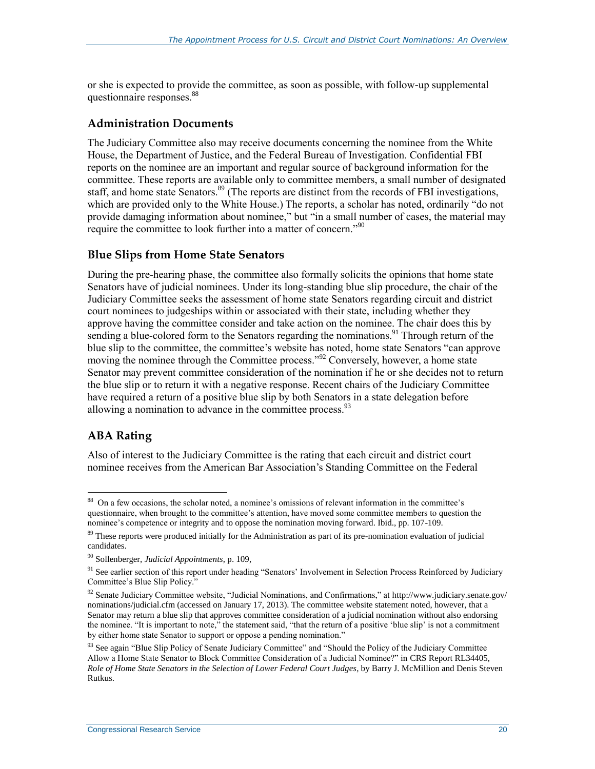or she is expected to provide the committee, as soon as possible, with follow-up supplemental questionnaire responses.<sup>88</sup>

#### **Administration Documents**

The Judiciary Committee also may receive documents concerning the nominee from the White House, the Department of Justice, and the Federal Bureau of Investigation. Confidential FBI reports on the nominee are an important and regular source of background information for the committee. These reports are available only to committee members, a small number of designated staff, and home state Senators.<sup>89</sup> (The reports are distinct from the records of FBI investigations, which are provided only to the White House.) The reports, a scholar has noted, ordinarily "do not provide damaging information about nominee," but "in a small number of cases, the material may require the committee to look further into a matter of concern."<sup>90</sup>

#### **Blue Slips from Home State Senators**

During the pre-hearing phase, the committee also formally solicits the opinions that home state Senators have of judicial nominees. Under its long-standing blue slip procedure, the chair of the Judiciary Committee seeks the assessment of home state Senators regarding circuit and district court nominees to judgeships within or associated with their state, including whether they approve having the committee consider and take action on the nominee. The chair does this by sending a blue-colored form to the Senators regarding the nominations.<sup>91</sup> Through return of the blue slip to the committee, the committee's website has noted, home state Senators "can approve moving the nominee through the Committee process."<sup>92</sup> Conversely, however, a home state Senator may prevent committee consideration of the nomination if he or she decides not to return the blue slip or to return it with a negative response. Recent chairs of the Judiciary Committee have required a return of a positive blue slip by both Senators in a state delegation before allowing a nomination to advance in the committee process.  $93$ 

### **ABA Rating**

Also of interest to the Judiciary Committee is the rating that each circuit and district court nominee receives from the American Bar Association's Standing Committee on the Federal

<sup>&</sup>lt;sup>88</sup> On a few occasions, the scholar noted, a nominee's omissions of relevant information in the committee's questionnaire, when brought to the committee's attention, have moved some committee members to question the nominee's competence or integrity and to oppose the nomination moving forward. Ibid., pp. 107-109.

<sup>&</sup>lt;sup>89</sup> These reports were produced initially for the Administration as part of its pre-nomination evaluation of judicial candidates.

<sup>90</sup> Sollenberger, *Judicial Appointments*, p. 109,

<sup>&</sup>lt;sup>91</sup> See earlier section of this report under heading "Senators' Involvement in Selection Process Reinforced by Judiciary Committee's Blue Slip Policy."

<sup>92</sup> Senate Judiciary Committee website, "Judicial Nominations, and Confirmations," at http://www.judiciary.senate.gov/ nominations/judicial.cfm (accessed on January 17, 2013). The committee website statement noted, however, that a Senator may return a blue slip that approves committee consideration of a judicial nomination without also endorsing the nominee. "It is important to note," the statement said, "that the return of a positive 'blue slip' is not a commitment by either home state Senator to support or oppose a pending nomination."

<sup>&</sup>lt;sup>93</sup> See again "Blue Slip Policy of Senate Judiciary Committee" and "Should the Policy of the Judiciary Committee Allow a Home State Senator to Block Committee Consideration of a Judicial Nominee?" in CRS Report RL34405, *Role of Home State Senators in the Selection of Lower Federal Court Judges*, by Barry J. McMillion and Denis Steven Rutkus.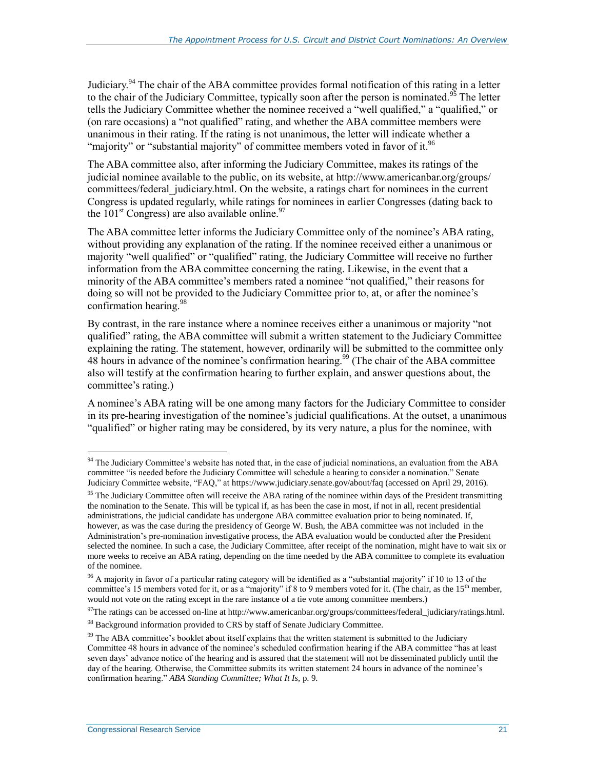Judiciary.<sup>94</sup> The chair of the ABA committee provides formal notification of this rating in a letter to the chair of the Judiciary Committee, typically soon after the person is nominated.<sup>95</sup> The letter tells the Judiciary Committee whether the nominee received a "well qualified," a "qualified," or (on rare occasions) a "not qualified" rating, and whether the ABA committee members were unanimous in their rating. If the rating is not unanimous, the letter will indicate whether a "majority" or "substantial majority" of committee members voted in favor of it.<sup>96</sup>

The ABA committee also, after informing the Judiciary Committee, makes its ratings of the judicial nominee available to the public, on its website, at http://www.americanbar.org/groups/ committees/federal judiciary.html. On the website, a ratings chart for nominees in the current Congress is updated regularly, while ratings for nominees in earlier Congresses (dating back to the 101<sup>st</sup> Congress) are also available online.<sup>97</sup>

The ABA committee letter informs the Judiciary Committee only of the nominee's ABA rating, without providing any explanation of the rating. If the nominee received either a unanimous or majority "well qualified" or "qualified" rating, the Judiciary Committee will receive no further information from the ABA committee concerning the rating. Likewise, in the event that a minority of the ABA committee's members rated a nominee "not qualified," their reasons for doing so will not be provided to the Judiciary Committee prior to, at, or after the nominee's confirmation hearing.<sup>98</sup>

By contrast, in the rare instance where a nominee receives either a unanimous or majority "not qualified" rating, the ABA committee will submit a written statement to the Judiciary Committee explaining the rating. The statement, however, ordinarily will be submitted to the committee only  $48$  hours in advance of the nominee's confirmation hearing.<sup>99</sup> (The chair of the ABA committee also will testify at the confirmation hearing to further explain, and answer questions about, the committee's rating.)

A nominee's ABA rating will be one among many factors for the Judiciary Committee to consider in its pre-hearing investigation of the nominee's judicial qualifications. At the outset, a unanimous "qualified" or higher rating may be considered, by its very nature, a plus for the nominee, with

 $94$  The Judiciary Committee's website has noted that, in the case of judicial nominations, an evaluation from the ABA committee "is needed before the Judiciary Committee will schedule a hearing to consider a nomination." Senate Judiciary Committee website, "FAQ," at https://www.judiciary.senate.gov/about/faq (accessed on April 29, 2016).

<sup>&</sup>lt;sup>95</sup> The Judiciary Committee often will receive the ABA rating of the nominee within days of the President transmitting the nomination to the Senate. This will be typical if, as has been the case in most, if not in all, recent presidential administrations, the judicial candidate has undergone ABA committee evaluation prior to being nominated. If, however, as was the case during the presidency of George W. Bush, the ABA committee was not included in the Administration's pre-nomination investigative process, the ABA evaluation would be conducted after the President selected the nominee. In such a case, the Judiciary Committee, after receipt of the nomination, might have to wait six or more weeks to receive an ABA rating, depending on the time needed by the ABA committee to complete its evaluation of the nominee.

<sup>&</sup>lt;sup>96</sup> A majority in favor of a particular rating category will be identified as a "substantial majority" if 10 to 13 of the committee's 15 members voted for it, or as a "majority" if 8 to 9 members voted for it. (The chair, as the 15<sup>th</sup> member, would not vote on the rating except in the rare instance of a tie vote among committee members.)

 $97$ The ratings can be accessed on-line at http://www.americanbar.org/groups/committees/federal\_judiciary/ratings.html. 98 Background information provided to CRS by staff of Senate Judiciary Committee.

<sup>&</sup>lt;sup>99</sup> The ABA committee's booklet about itself explains that the written statement is submitted to the Judiciary Committee 48 hours in advance of the nominee's scheduled confirmation hearing if the ABA committee "has at least seven days' advance notice of the hearing and is assured that the statement will not be disseminated publicly until the day of the hearing. Otherwise, the Committee submits its written statement 24 hours in advance of the nominee's confirmation hearing." *ABA Standing Committee; What It Is,* p. 9.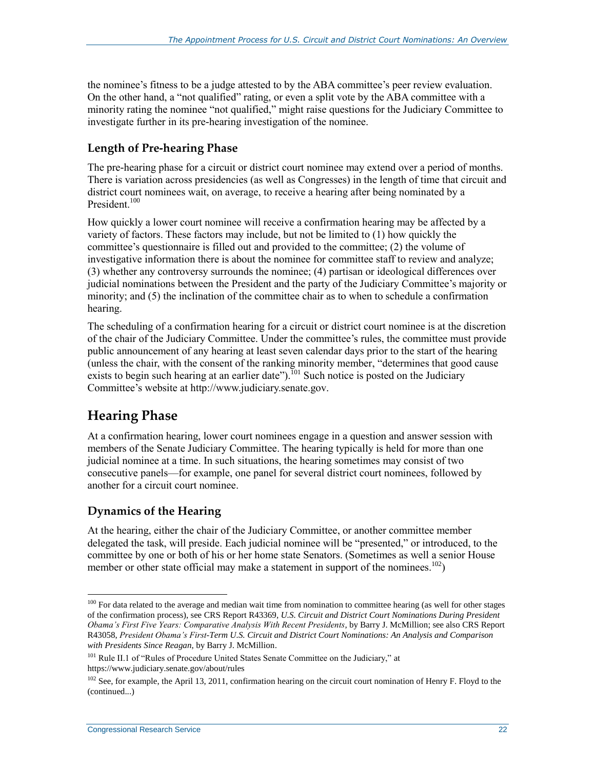the nominee's fitness to be a judge attested to by the ABA committee's peer review evaluation. On the other hand, a "not qualified" rating, or even a split vote by the ABA committee with a minority rating the nominee "not qualified," might raise questions for the Judiciary Committee to investigate further in its pre-hearing investigation of the nominee.

### **Length of Pre-hearing Phase**

The pre-hearing phase for a circuit or district court nominee may extend over a period of months. There is variation across presidencies (as well as Congresses) in the length of time that circuit and district court nominees wait, on average, to receive a hearing after being nominated by a President.<sup>100</sup>

How quickly a lower court nominee will receive a confirmation hearing may be affected by a variety of factors. These factors may include, but not be limited to (1) how quickly the committee's questionnaire is filled out and provided to the committee; (2) the volume of investigative information there is about the nominee for committee staff to review and analyze; (3) whether any controversy surrounds the nominee; (4) partisan or ideological differences over judicial nominations between the President and the party of the Judiciary Committee's majority or minority; and (5) the inclination of the committee chair as to when to schedule a confirmation hearing.

The scheduling of a confirmation hearing for a circuit or district court nominee is at the discretion of the chair of the Judiciary Committee. Under the committee's rules, the committee must provide public announcement of any hearing at least seven calendar days prior to the start of the hearing (unless the chair, with the consent of the ranking minority member, "determines that good cause exists to begin such hearing at an earlier date").<sup>101</sup> Such notice is posted on the Judiciary Committee's website at http://www.judiciary.senate.gov.

### **Hearing Phase**

 $\overline{a}$ 

At a confirmation hearing, lower court nominees engage in a question and answer session with members of the Senate Judiciary Committee. The hearing typically is held for more than one judicial nominee at a time. In such situations, the hearing sometimes may consist of two consecutive panels—for example, one panel for several district court nominees, followed by another for a circuit court nominee.

### **Dynamics of the Hearing**

At the hearing, either the chair of the Judiciary Committee, or another committee member delegated the task, will preside. Each judicial nominee will be "presented," or introduced, to the committee by one or both of his or her home state Senators. (Sometimes as well a senior House member or other state official may make a statement in support of the nominees.<sup>102</sup>)

 $100$  For data related to the average and median wait time from nomination to committee hearing (as well for other stages of the confirmation process), see CRS Report R43369, *U.S. Circuit and District Court Nominations During President Obama's First Five Years: Comparative Analysis With Recent Presidents*, by Barry J. McMillion; see also CRS Report R43058, *President Obama's First-Term U.S. Circuit and District Court Nominations: An Analysis and Comparison with Presidents Since Reagan*, by Barry J. McMillion.

<sup>&</sup>lt;sup>101</sup> Rule II.1 of "Rules of Procedure United States Senate Committee on the Judiciary," at https://www.judiciary.senate.gov/about/rules

 $102$  See, for example, the April 13, 2011, confirmation hearing on the circuit court nomination of Henry F. Floyd to the (continued...)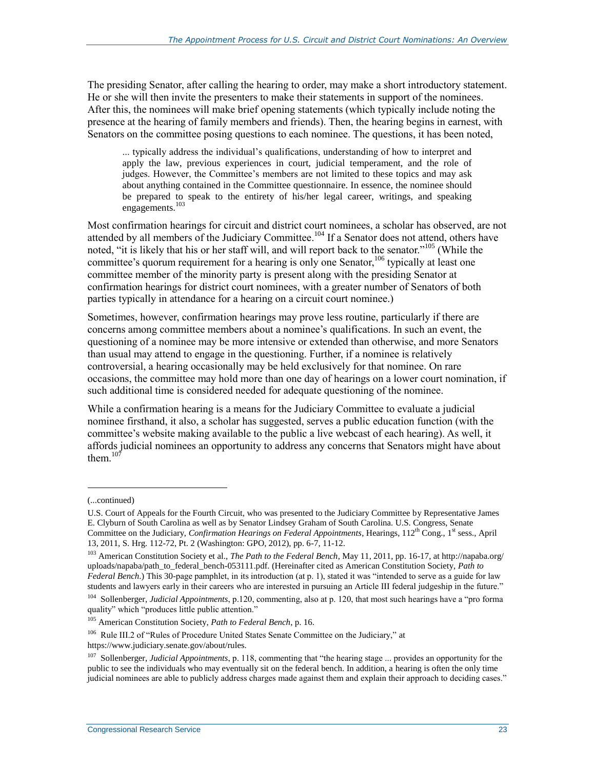The presiding Senator, after calling the hearing to order, may make a short introductory statement. He or she will then invite the presenters to make their statements in support of the nominees. After this, the nominees will make brief opening statements (which typically include noting the presence at the hearing of family members and friends). Then, the hearing begins in earnest, with Senators on the committee posing questions to each nominee. The questions, it has been noted,

... typically address the individual's qualifications, understanding of how to interpret and apply the law, previous experiences in court, judicial temperament, and the role of judges. However, the Committee's members are not limited to these topics and may ask about anything contained in the Committee questionnaire. In essence, the nominee should be prepared to speak to the entirety of his/her legal career, writings, and speaking engagements.<sup>103</sup>

Most confirmation hearings for circuit and district court nominees, a scholar has observed, are not attended by all members of the Judiciary Committee.<sup>104</sup> If a Senator does not attend, others have noted, "it is likely that his or her staff will, and will report back to the senator."<sup>105</sup> (While the committee's quorum requirement for a hearing is only one Senator,<sup>106</sup> typically at least one committee member of the minority party is present along with the presiding Senator at confirmation hearings for district court nominees, with a greater number of Senators of both parties typically in attendance for a hearing on a circuit court nominee.)

Sometimes, however, confirmation hearings may prove less routine, particularly if there are concerns among committee members about a nominee's qualifications. In such an event, the questioning of a nominee may be more intensive or extended than otherwise, and more Senators than usual may attend to engage in the questioning. Further, if a nominee is relatively controversial, a hearing occasionally may be held exclusively for that nominee. On rare occasions, the committee may hold more than one day of hearings on a lower court nomination, if such additional time is considered needed for adequate questioning of the nominee.

While a confirmation hearing is a means for the Judiciary Committee to evaluate a judicial nominee firsthand, it also, a scholar has suggested, serves a public education function (with the committee's website making available to the public a live webcast of each hearing). As well, it affords judicial nominees an opportunity to address any concerns that Senators might have about them. $107$ 

<sup>(...</sup>continued)

U.S. Court of Appeals for the Fourth Circuit, who was presented to the Judiciary Committee by Representative James E. Clyburn of South Carolina as well as by Senator Lindsey Graham of South Carolina. U.S. Congress, Senate Committee on the Judiciary, *Confirmation Hearings on Federal Appointments*, Hearings, 112<sup>th</sup> Cong., 1<sup>st</sup> sess., April 13, 2011, S. Hrg. 112-72, Pt. 2 (Washington: GPO, 2012), pp. 6-7, 11-12.

<sup>103</sup> American Constitution Society et al., *The Path to the Federal Bench*, May 11, 2011, pp. 16-17, at http://napaba.org/ uploads/napaba/path\_to\_federal\_bench-053111.pdf. (Hereinafter cited as American Constitution Society, *Path to Federal Bench*.) This 30-page pamphlet, in its introduction (at p. 1), stated it was "intended to serve as a guide for law students and lawyers early in their careers who are interested in pursuing an Article III federal judgeship in the future."

<sup>104</sup> Sollenberger, *Judicial Appointments*, p.120, commenting, also at p. 120, that most such hearings have a "pro forma quality" which "produces little public attention."

<sup>105</sup> American Constitution Society, *Path to Federal Bench*, p. 16.

<sup>&</sup>lt;sup>106</sup> Rule III.2 of "Rules of Procedure United States Senate Committee on the Judiciary," at https://www.judiciary.senate.gov/about/rules.

<sup>&</sup>lt;sup>107</sup> Sollenberger, *Judicial Appointments*, p. 118, commenting that "the hearing stage ... provides an opportunity for the public to see the individuals who may eventually sit on the federal bench. In addition, a hearing is often the only time judicial nominees are able to publicly address charges made against them and explain their approach to deciding cases."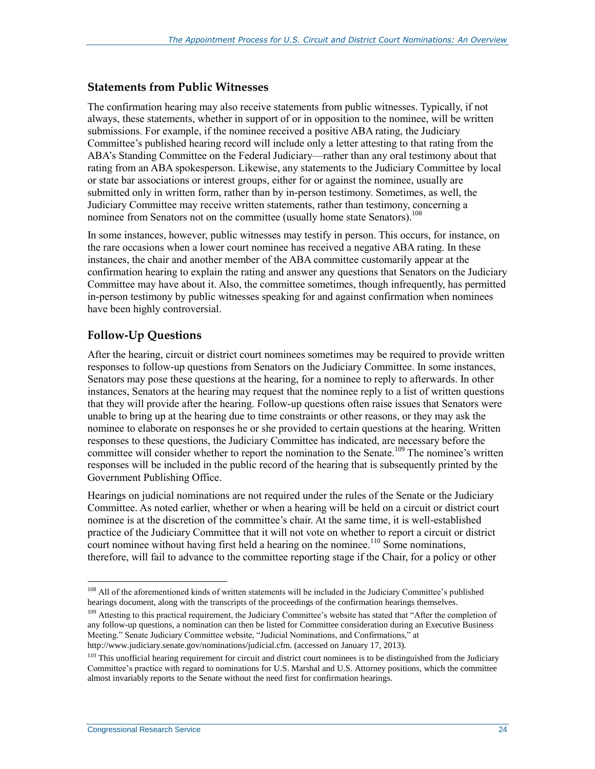#### **Statements from Public Witnesses**

The confirmation hearing may also receive statements from public witnesses. Typically, if not always, these statements, whether in support of or in opposition to the nominee, will be written submissions. For example, if the nominee received a positive ABA rating, the Judiciary Committee's published hearing record will include only a letter attesting to that rating from the ABA's Standing Committee on the Federal Judiciary—rather than any oral testimony about that rating from an ABA spokesperson. Likewise, any statements to the Judiciary Committee by local or state bar associations or interest groups, either for or against the nominee, usually are submitted only in written form, rather than by in-person testimony. Sometimes, as well, the Judiciary Committee may receive written statements, rather than testimony, concerning a nominee from Senators not on the committee (usually home state Senators).<sup>108</sup>

In some instances, however, public witnesses may testify in person. This occurs, for instance, on the rare occasions when a lower court nominee has received a negative ABA rating. In these instances, the chair and another member of the ABA committee customarily appear at the confirmation hearing to explain the rating and answer any questions that Senators on the Judiciary Committee may have about it. Also, the committee sometimes, though infrequently, has permitted in-person testimony by public witnesses speaking for and against confirmation when nominees have been highly controversial.

#### **Follow-Up Questions**

After the hearing, circuit or district court nominees sometimes may be required to provide written responses to follow-up questions from Senators on the Judiciary Committee. In some instances, Senators may pose these questions at the hearing, for a nominee to reply to afterwards. In other instances, Senators at the hearing may request that the nominee reply to a list of written questions that they will provide after the hearing. Follow-up questions often raise issues that Senators were unable to bring up at the hearing due to time constraints or other reasons, or they may ask the nominee to elaborate on responses he or she provided to certain questions at the hearing. Written responses to these questions, the Judiciary Committee has indicated, are necessary before the committee will consider whether to report the nomination to the Senate.<sup>109</sup> The nominee's written responses will be included in the public record of the hearing that is subsequently printed by the Government Publishing Office.

Hearings on judicial nominations are not required under the rules of the Senate or the Judiciary Committee. As noted earlier, whether or when a hearing will be held on a circuit or district court nominee is at the discretion of the committee's chair. At the same time, it is well-established practice of the Judiciary Committee that it will not vote on whether to report a circuit or district court nominee without having first held a hearing on the nominee.<sup>110</sup> Some nominations, therefore, will fail to advance to the committee reporting stage if the Chair, for a policy or other

<sup>&</sup>lt;sup>108</sup> All of the aforementioned kinds of written statements will be included in the Judiciary Committee's published hearings document, along with the transcripts of the proceedings of the confirmation hearings themselves.

<sup>&</sup>lt;sup>109</sup> Attesting to this practical requirement, the Judiciary Committee's website has stated that "After the completion of any follow-up questions, a nomination can then be listed for Committee consideration during an Executive Business Meeting." Senate Judiciary Committee website, "Judicial Nominations, and Confirmations," at http://www.judiciary.senate.gov/nominations/judicial.cfm. (accessed on January 17, 2013).

 $110$  This unofficial hearing requirement for circuit and district court nominees is to be distinguished from the Judiciary Committee's practice with regard to nominations for U.S. Marshal and U.S. Attorney positions, which the committee almost invariably reports to the Senate without the need first for confirmation hearings.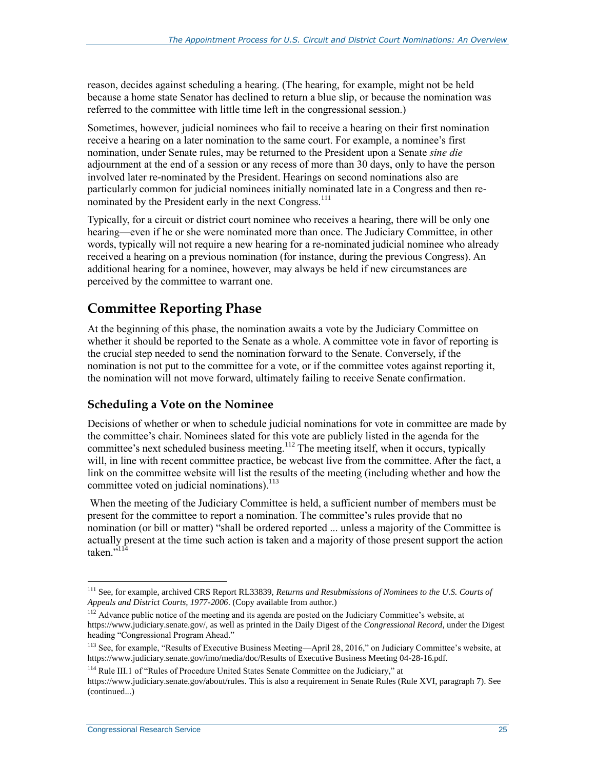reason, decides against scheduling a hearing. (The hearing, for example, might not be held because a home state Senator has declined to return a blue slip, or because the nomination was referred to the committee with little time left in the congressional session.)

Sometimes, however, judicial nominees who fail to receive a hearing on their first nomination receive a hearing on a later nomination to the same court. For example, a nominee's first nomination, under Senate rules, may be returned to the President upon a Senate *sine die* adjournment at the end of a session or any recess of more than 30 days, only to have the person involved later re-nominated by the President. Hearings on second nominations also are particularly common for judicial nominees initially nominated late in a Congress and then renominated by the President early in the next Congress.<sup>111</sup>

Typically, for a circuit or district court nominee who receives a hearing, there will be only one hearing—even if he or she were nominated more than once. The Judiciary Committee, in other words, typically will not require a new hearing for a re-nominated judicial nominee who already received a hearing on a previous nomination (for instance, during the previous Congress). An additional hearing for a nominee, however, may always be held if new circumstances are perceived by the committee to warrant one.

### **Committee Reporting Phase**

At the beginning of this phase, the nomination awaits a vote by the Judiciary Committee on whether it should be reported to the Senate as a whole. A committee vote in favor of reporting is the crucial step needed to send the nomination forward to the Senate. Conversely, if the nomination is not put to the committee for a vote, or if the committee votes against reporting it, the nomination will not move forward, ultimately failing to receive Senate confirmation.

### **Scheduling a Vote on the Nominee**

Decisions of whether or when to schedule judicial nominations for vote in committee are made by the committee's chair. Nominees slated for this vote are publicly listed in the agenda for the committee's next scheduled business meeting.<sup>112</sup> The meeting itself, when it occurs, typically will, in line with recent committee practice, be webcast live from the committee. After the fact, a link on the committee website will list the results of the meeting (including whether and how the committee voted on judicial nominations).<sup>113</sup>

When the meeting of the Judiciary Committee is held, a sufficient number of members must be present for the committee to report a nomination. The committee's rules provide that no nomination (or bill or matter) "shall be ordered reported ... unless a majority of the Committee is actually present at the time such action is taken and a majority of those present support the action taken<sup>,114</sup>

<sup>111</sup> See, for example, archived CRS Report RL33839, *Returns and Resubmissions of Nominees to the U.S. Courts of Appeals and District Courts, 1977-2006*. (Copy available from author.)

<sup>&</sup>lt;sup>112</sup> Advance public notice of the meeting and its agenda are posted on the Judiciary Committee's website, at https://www.judiciary.senate.gov/, as well as printed in the Daily Digest of the *Congressional Record*, under the Digest heading "Congressional Program Ahead."

<sup>113</sup> See, for example, "Results of Executive Business Meeting—April 28, 2016," on Judiciary Committee's website, at https://www.judiciary.senate.gov/imo/media/doc/Results of Executive Business Meeting 04-28-16.pdf.

<sup>&</sup>lt;sup>114</sup> Rule III.1 of "Rules of Procedure United States Senate Committee on the Judiciary," at https://www.judiciary.senate.gov/about/rules. This is also a requirement in Senate Rules (Rule XVI, paragraph 7). See (continued...)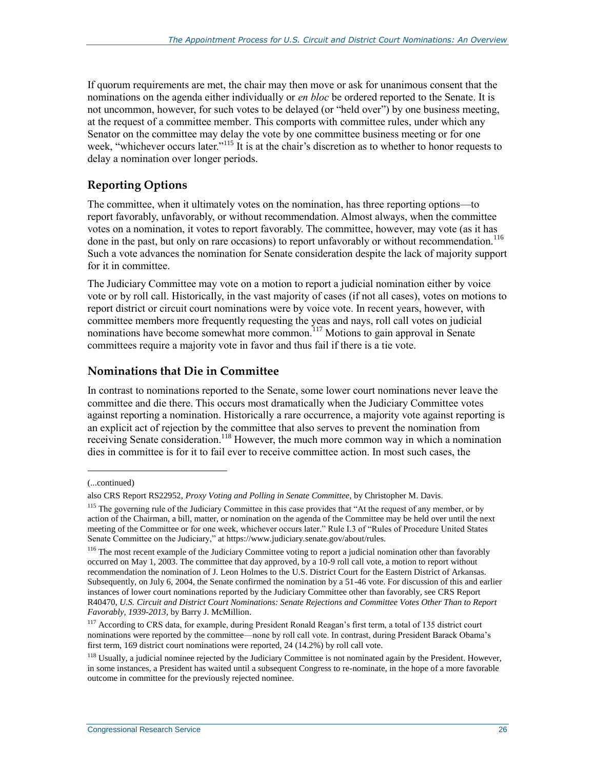If quorum requirements are met, the chair may then move or ask for unanimous consent that the nominations on the agenda either individually or *en bloc* be ordered reported to the Senate. It is not uncommon, however, for such votes to be delayed (or "held over") by one business meeting, at the request of a committee member. This comports with committee rules, under which any Senator on the committee may delay the vote by one committee business meeting or for one week, "whichever occurs later."<sup>115</sup> It is at the chair's discretion as to whether to honor requests to delay a nomination over longer periods.

### **Reporting Options**

The committee, when it ultimately votes on the nomination, has three reporting options—to report favorably, unfavorably, or without recommendation. Almost always, when the committee votes on a nomination, it votes to report favorably. The committee, however, may vote (as it has done in the past, but only on rare occasions) to report unfavorably or without recommendation.<sup>116</sup> Such a vote advances the nomination for Senate consideration despite the lack of majority support for it in committee.

The Judiciary Committee may vote on a motion to report a judicial nomination either by voice vote or by roll call. Historically, in the vast majority of cases (if not all cases), votes on motions to report district or circuit court nominations were by voice vote. In recent years, however, with committee members more frequently requesting the yeas and nays, roll call votes on judicial nominations have become somewhat more common.<sup>117</sup> Motions to gain approval in Senate committees require a majority vote in favor and thus fail if there is a tie vote.

#### **Nominations that Die in Committee**

In contrast to nominations reported to the Senate, some lower court nominations never leave the committee and die there. This occurs most dramatically when the Judiciary Committee votes against reporting a nomination. Historically a rare occurrence, a majority vote against reporting is an explicit act of rejection by the committee that also serves to prevent the nomination from receiving Senate consideration.<sup>118</sup> However, the much more common way in which a nomination dies in committee is for it to fail ever to receive committee action. In most such cases, the

<sup>(...</sup>continued)

also CRS Report RS22952, *Proxy Voting and Polling in Senate Committee*, by Christopher M. Davis.

<sup>&</sup>lt;sup>115</sup> The governing rule of the Judiciary Committee in this case provides that "At the request of any member, or by action of the Chairman, a bill, matter, or nomination on the agenda of the Committee may be held over until the next meeting of the Committee or for one week, whichever occurs later." Rule I.3 of "Rules of Procedure United States Senate Committee on the Judiciary," at https://www.judiciary.senate.gov/about/rules.

<sup>&</sup>lt;sup>116</sup> The most recent example of the Judiciary Committee voting to report a judicial nomination other than favorably occurred on May 1, 2003. The committee that day approved, by a 10-9 roll call vote, a motion to report without recommendation the nomination of J. Leon Holmes to the U.S. District Court for the Eastern District of Arkansas. Subsequently, on July 6, 2004, the Senate confirmed the nomination by a 51-46 vote. For discussion of this and earlier instances of lower court nominations reported by the Judiciary Committee other than favorably, see CRS Report R40470, *U.S. Circuit and District Court Nominations: Senate Rejections and Committee Votes Other Than to Report Favorably, 1939-2013*, by Barry J. McMillion.

<sup>&</sup>lt;sup>117</sup> According to CRS data, for example, during President Ronald Reagan's first term, a total of 135 district court nominations were reported by the committee—none by roll call vote. In contrast, during President Barack Obama's first term, 169 district court nominations were reported, 24 (14.2%) by roll call vote.

<sup>&</sup>lt;sup>118</sup> Usually, a judicial nominee rejected by the Judiciary Committee is not nominated again by the President. However, in some instances, a President has waited until a subsequent Congress to re-nominate, in the hope of a more favorable outcome in committee for the previously rejected nominee.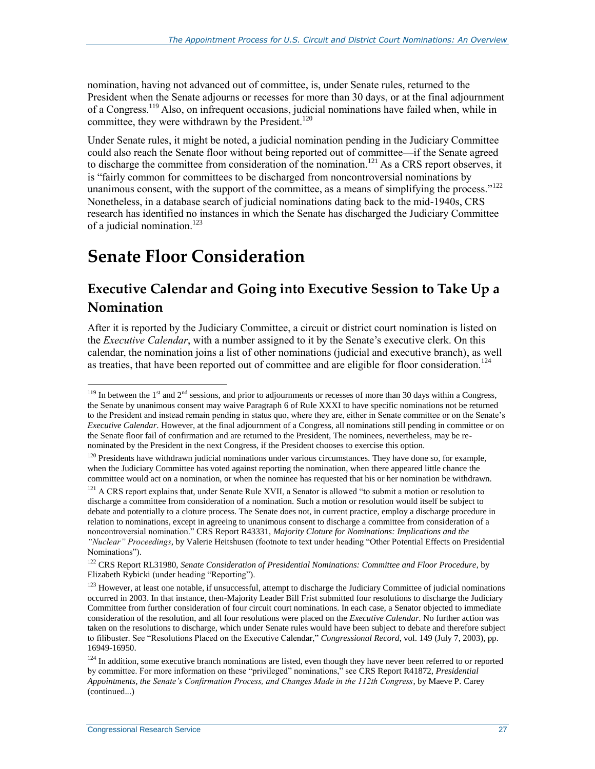nomination, having not advanced out of committee, is, under Senate rules, returned to the President when the Senate adjourns or recesses for more than 30 days, or at the final adjournment of a Congress.<sup>119</sup> Also, on infrequent occasions, judicial nominations have failed when, while in committee, they were withdrawn by the President.<sup>120</sup>

Under Senate rules, it might be noted, a judicial nomination pending in the Judiciary Committee could also reach the Senate floor without being reported out of committee—if the Senate agreed to discharge the committee from consideration of the nomination.<sup>121</sup> As a CRS report observes, it is "fairly common for committees to be discharged from noncontroversial nominations by unanimous consent, with the support of the committee, as a means of simplifying the process."<sup>122</sup> Nonetheless, in a database search of judicial nominations dating back to the mid-1940s, CRS research has identified no instances in which the Senate has discharged the Judiciary Committee of a judicial nomination.<sup>123</sup>

## <span id="page-31-0"></span>**Senate Floor Consideration**

### **Executive Calendar and Going into Executive Session to Take Up a Nomination**

After it is reported by the Judiciary Committee, a circuit or district court nomination is listed on the *Executive Calendar*, with a number assigned to it by the Senate's executive clerk. On this calendar, the nomination joins a list of other nominations (judicial and executive branch), as well as treaties, that have been reported out of committee and are eligible for floor consideration.<sup>124</sup>

 $119$  In between the 1<sup>st</sup> and 2<sup>nd</sup> sessions, and prior to adjournments or recesses of more than 30 days within a Congress, the Senate by unanimous consent may waive Paragraph 6 of Rule XXXI to have specific nominations not be returned to the President and instead remain pending in status quo, where they are, either in Senate committee or on the Senate's *Executive Calendar*. However, at the final adjournment of a Congress, all nominations still pending in committee or on the Senate floor fail of confirmation and are returned to the President, The nominees, nevertheless, may be renominated by the President in the next Congress, if the President chooses to exercise this option.

<sup>&</sup>lt;sup>120</sup> Presidents have withdrawn judicial nominations under various circumstances. They have done so, for example, when the Judiciary Committee has voted against reporting the nomination, when there appeared little chance the committee would act on a nomination, or when the nominee has requested that his or her nomination be withdrawn.

<sup>&</sup>lt;sup>121</sup> A CRS report explains that, under Senate Rule XVII, a Senator is allowed "to submit a motion or resolution to discharge a committee from consideration of a nomination. Such a motion or resolution would itself be subject to debate and potentially to a cloture process. The Senate does not, in current practice, employ a discharge procedure in relation to nominations, except in agreeing to unanimous consent to discharge a committee from consideration of a noncontroversial nomination." CRS Report R43331, *Majority Cloture for Nominations: Implications and the "Nuclear" Proceedings*, by Valerie Heitshusen (footnote to text under heading "Other Potential Effects on Presidential Nominations").

<sup>122</sup> CRS Report RL31980, *Senate Consideration of Presidential Nominations: Committee and Floor Procedure*, by Elizabeth Rybicki (under heading "Reporting").

<sup>&</sup>lt;sup>123</sup> However, at least one notable, if unsuccessful, attempt to discharge the Judiciary Committee of judicial nominations occurred in 2003. In that instance, then-Majority Leader Bill Frist submitted four resolutions to discharge the Judiciary Committee from further consideration of four circuit court nominations. In each case, a Senator objected to immediate consideration of the resolution, and all four resolutions were placed on the *Executive Calendar*. No further action was taken on the resolutions to discharge, which under Senate rules would have been subject to debate and therefore subject to filibuster. See "Resolutions Placed on the Executive Calendar," *Congressional Record*, vol. 149 (July 7, 2003), pp. 16949-16950.

<sup>&</sup>lt;sup>124</sup> In addition, some executive branch nominations are listed, even though they have never been referred to or reported by committee. For more information on these "privileged" nominations," see CRS Report R41872, *Presidential Appointments, the Senate's Confirmation Process, and Changes Made in the 112th Congress*, by Maeve P. Carey (continued...)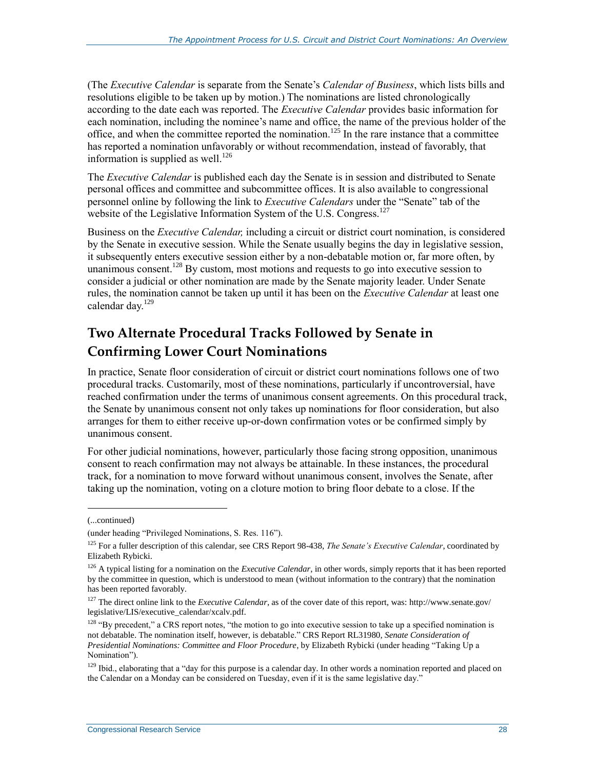(The *Executive Calendar* is separate from the Senate's *Calendar of Business*, which lists bills and resolutions eligible to be taken up by motion.) The nominations are listed chronologically according to the date each was reported. The *Executive Calendar* provides basic information for each nomination, including the nominee's name and office, the name of the previous holder of the office, and when the committee reported the nomination.<sup>125</sup> In the rare instance that a committee has reported a nomination unfavorably or without recommendation, instead of favorably, that information is supplied as well.<sup>126</sup>

The *Executive Calendar* is published each day the Senate is in session and distributed to Senate personal offices and committee and subcommittee offices. It is also available to congressional personnel online by following the link to *Executive Calendars* under the "Senate" tab of the website of the Legislative Information System of the U.S. Congress.<sup>127</sup>

Business on the *Executive Calendar,* including a circuit or district court nomination, is considered by the Senate in executive session. While the Senate usually begins the day in legislative session, it subsequently enters executive session either by a non-debatable motion or, far more often, by unanimous consent.<sup>128</sup> By custom, most motions and requests to go into executive session to consider a judicial or other nomination are made by the Senate majority leader. Under Senate rules, the nomination cannot be taken up until it has been on the *Executive Calendar* at least one calendar day.<sup>129</sup>

### **Two Alternate Procedural Tracks Followed by Senate in Confirming Lower Court Nominations**

In practice, Senate floor consideration of circuit or district court nominations follows one of two procedural tracks. Customarily, most of these nominations, particularly if uncontroversial, have reached confirmation under the terms of unanimous consent agreements. On this procedural track, the Senate by unanimous consent not only takes up nominations for floor consideration, but also arranges for them to either receive up-or-down confirmation votes or be confirmed simply by unanimous consent.

For other judicial nominations, however, particularly those facing strong opposition, unanimous consent to reach confirmation may not always be attainable. In these instances, the procedural track, for a nomination to move forward without unanimous consent, involves the Senate, after taking up the nomination, voting on a cloture motion to bring floor debate to a close. If the

<sup>(...</sup>continued)

<sup>(</sup>under heading "Privileged Nominations, S. Res. 116").

<sup>125</sup> For a fuller description of this calendar, see CRS Report 98-438, *The Senate's Executive Calendar*, coordinated by Elizabeth Rybicki.

<sup>126</sup> A typical listing for a nomination on the *Executive Calendar*, in other words, simply reports that it has been reported by the committee in question, which is understood to mean (without information to the contrary) that the nomination has been reported favorably.

<sup>127</sup> The direct online link to the *Executive Calendar*, as of the cover date of this report, was: http://www.senate.gov/ legislative/LIS/executive\_calendar/xcalv.pdf.

<sup>&</sup>lt;sup>128</sup> "By precedent," a CRS report notes, "the motion to go into executive session to take up a specified nomination is not debatable. The nomination itself, however, is debatable." CRS Report RL31980, *Senate Consideration of Presidential Nominations: Committee and Floor Procedure*, by Elizabeth Rybicki (under heading "Taking Up a Nomination").

<sup>&</sup>lt;sup>129</sup> Ibid., elaborating that a "day for this purpose is a calendar day. In other words a nomination reported and placed on the Calendar on a Monday can be considered on Tuesday, even if it is the same legislative day."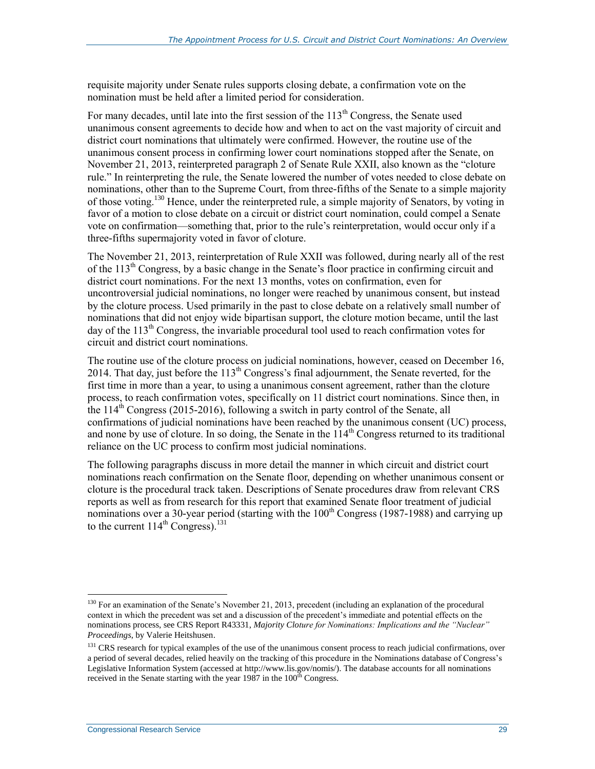requisite majority under Senate rules supports closing debate, a confirmation vote on the nomination must be held after a limited period for consideration.

For many decades, until late into the first session of the  $113<sup>th</sup>$  Congress, the Senate used unanimous consent agreements to decide how and when to act on the vast majority of circuit and district court nominations that ultimately were confirmed. However, the routine use of the unanimous consent process in confirming lower court nominations stopped after the Senate, on November 21, 2013, reinterpreted paragraph 2 of Senate Rule XXII, also known as the "cloture rule." In reinterpreting the rule, the Senate lowered the number of votes needed to close debate on nominations, other than to the Supreme Court, from three-fifths of the Senate to a simple majority of those voting.<sup>130</sup> Hence, under the reinterpreted rule, a simple majority of Senators, by voting in favor of a motion to close debate on a circuit or district court nomination, could compel a Senate vote on confirmation—something that, prior to the rule's reinterpretation, would occur only if a three-fifths supermajority voted in favor of cloture.

The November 21, 2013, reinterpretation of Rule XXII was followed, during nearly all of the rest of the 113<sup>th</sup> Congress, by a basic change in the Senate's floor practice in confirming circuit and district court nominations. For the next 13 months, votes on confirmation, even for uncontroversial judicial nominations, no longer were reached by unanimous consent, but instead by the cloture process. Used primarily in the past to close debate on a relatively small number of nominations that did not enjoy wide bipartisan support, the cloture motion became, until the last day of the  $113<sup>th</sup>$  Congress, the invariable procedural tool used to reach confirmation votes for circuit and district court nominations.

The routine use of the cloture process on judicial nominations, however, ceased on December 16, 2014. That day, just before the  $113<sup>th</sup>$  Congress's final adjournment, the Senate reverted, for the first time in more than a year, to using a unanimous consent agreement, rather than the cloture process, to reach confirmation votes, specifically on 11 district court nominations. Since then, in the  $114<sup>th</sup>$  Congress (2015-2016), following a switch in party control of the Senate, all confirmations of judicial nominations have been reached by the unanimous consent (UC) process, and none by use of cloture. In so doing, the Senate in the  $114<sup>th</sup>$  Congress returned to its traditional reliance on the UC process to confirm most judicial nominations.

The following paragraphs discuss in more detail the manner in which circuit and district court nominations reach confirmation on the Senate floor, depending on whether unanimous consent or cloture is the procedural track taken. Descriptions of Senate procedures draw from relevant CRS reports as well as from research for this report that examined Senate floor treatment of judicial nominations over a 30-year period (starting with the  $100<sup>th</sup>$  Congress (1987-1988) and carrying up to the current  $114^{\text{th}}$  Congress).<sup>131</sup>

<sup>&</sup>lt;sup>130</sup> For an examination of the Senate's November 21, 2013, precedent (including an explanation of the procedural context in which the precedent was set and a discussion of the precedent's immediate and potential effects on the nominations process, see CRS Report R43331, *Majority Cloture for Nominations: Implications and the "Nuclear" Proceedings*, by Valerie Heitshusen.

 $<sup>131</sup> CRS$  research for typical examples of the use of the unanimous consent process to reach judicial confirmations, over</sup> a period of several decades, relied heavily on the tracking of this procedure in the Nominations database of Congress's Legislative Information System (accessed at http://www.lis.gov/nomis/). The database accounts for all nominations received in the Senate starting with the year  $1987$  in the  $100<sup>th</sup>$  Congress.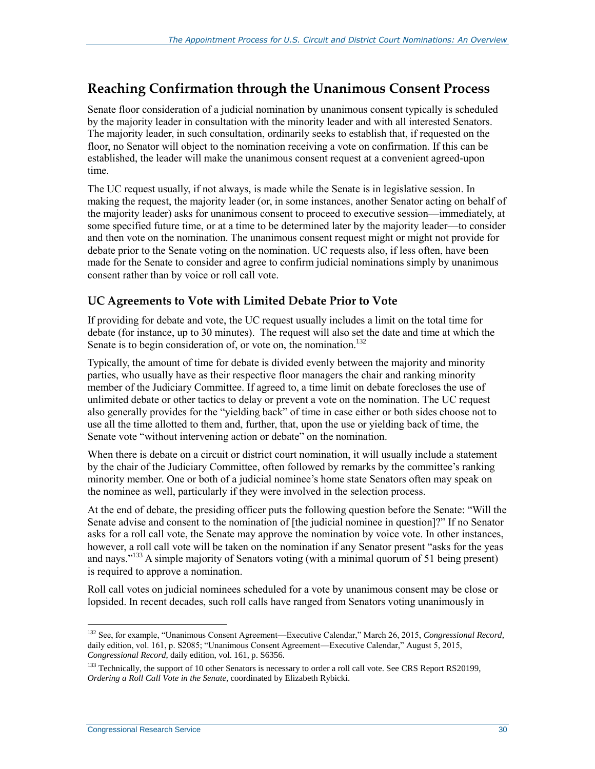### **Reaching Confirmation through the Unanimous Consent Process**

Senate floor consideration of a judicial nomination by unanimous consent typically is scheduled by the majority leader in consultation with the minority leader and with all interested Senators. The majority leader, in such consultation, ordinarily seeks to establish that, if requested on the floor, no Senator will object to the nomination receiving a vote on confirmation. If this can be established, the leader will make the unanimous consent request at a convenient agreed-upon time.

The UC request usually, if not always, is made while the Senate is in legislative session. In making the request, the majority leader (or, in some instances, another Senator acting on behalf of the majority leader) asks for unanimous consent to proceed to executive session—immediately, at some specified future time, or at a time to be determined later by the majority leader—to consider and then vote on the nomination. The unanimous consent request might or might not provide for debate prior to the Senate voting on the nomination. UC requests also, if less often, have been made for the Senate to consider and agree to confirm judicial nominations simply by unanimous consent rather than by voice or roll call vote.

### **UC Agreements to Vote with Limited Debate Prior to Vote**

If providing for debate and vote, the UC request usually includes a limit on the total time for debate (for instance, up to 30 minutes). The request will also set the date and time at which the Senate is to begin consideration of, or vote on, the nomination.<sup>132</sup>

Typically, the amount of time for debate is divided evenly between the majority and minority parties, who usually have as their respective floor managers the chair and ranking minority member of the Judiciary Committee. If agreed to, a time limit on debate forecloses the use of unlimited debate or other tactics to delay or prevent a vote on the nomination. The UC request also generally provides for the "yielding back" of time in case either or both sides choose not to use all the time allotted to them and, further, that, upon the use or yielding back of time, the Senate vote "without intervening action or debate" on the nomination.

When there is debate on a circuit or district court nomination, it will usually include a statement by the chair of the Judiciary Committee, often followed by remarks by the committee's ranking minority member. One or both of a judicial nominee's home state Senators often may speak on the nominee as well, particularly if they were involved in the selection process.

At the end of debate, the presiding officer puts the following question before the Senate: "Will the Senate advise and consent to the nomination of [the judicial nominee in question]?" If no Senator asks for a roll call vote, the Senate may approve the nomination by voice vote. In other instances, however, a roll call vote will be taken on the nomination if any Senator present "asks for the yeas and nays."<sup>133</sup> A simple majority of Senators voting (with a minimal quorum of 51 being present) is required to approve a nomination.

Roll call votes on judicial nominees scheduled for a vote by unanimous consent may be close or lopsided. In recent decades, such roll calls have ranged from Senators voting unanimously in

 $\overline{a}$ <sup>132</sup> See, for example, "Unanimous Consent Agreement—Executive Calendar," March 26, 2015, *Congressional Record*, daily edition, vol. 161, p. S2085; "Unanimous Consent Agreement—Executive Calendar," August 5, 2015, *Congressional Record*, daily edition, vol. 161, p. S6356.

<sup>&</sup>lt;sup>133</sup> Technically, the support of 10 other Senators is necessary to order a roll call vote. See CRS Report RS20199, *Ordering a Roll Call Vote in the Senate*, coordinated by Elizabeth Rybicki.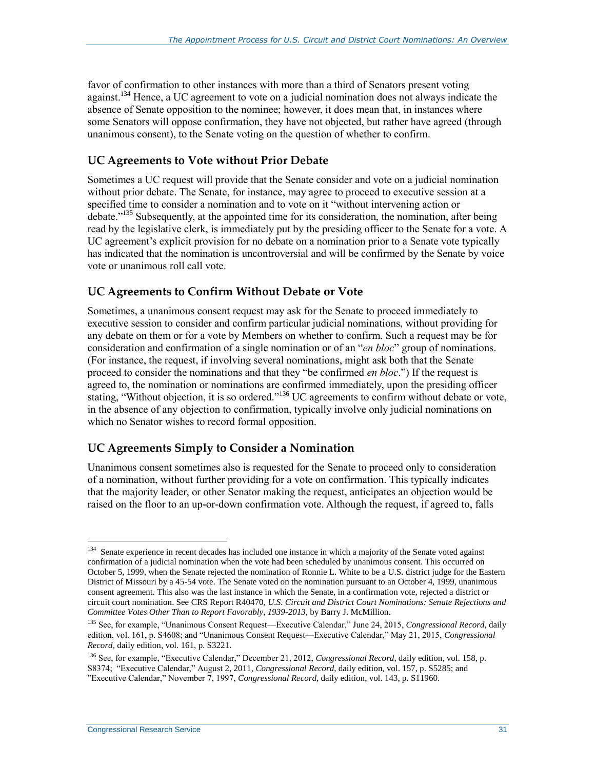favor of confirmation to other instances with more than a third of Senators present voting against.<sup>134</sup> Hence, a UC agreement to vote on a judicial nomination does not always indicate the absence of Senate opposition to the nominee; however, it does mean that, in instances where some Senators will oppose confirmation, they have not objected, but rather have agreed (through unanimous consent), to the Senate voting on the question of whether to confirm.

### **UC Agreements to Vote without Prior Debate**

Sometimes a UC request will provide that the Senate consider and vote on a judicial nomination without prior debate. The Senate, for instance, may agree to proceed to executive session at a specified time to consider a nomination and to vote on it "without intervening action or debate."<sup>135</sup> Subsequently, at the appointed time for its consideration, the nomination, after being read by the legislative clerk, is immediately put by the presiding officer to the Senate for a vote. A UC agreement's explicit provision for no debate on a nomination prior to a Senate vote typically has indicated that the nomination is uncontroversial and will be confirmed by the Senate by voice vote or unanimous roll call vote.

### **UC Agreements to Confirm Without Debate or Vote**

Sometimes, a unanimous consent request may ask for the Senate to proceed immediately to executive session to consider and confirm particular judicial nominations, without providing for any debate on them or for a vote by Members on whether to confirm. Such a request may be for consideration and confirmation of a single nomination or of an "*en bloc*" group of nominations. (For instance, the request, if involving several nominations, might ask both that the Senate proceed to consider the nominations and that they "be confirmed *en bloc*.") If the request is agreed to, the nomination or nominations are confirmed immediately, upon the presiding officer stating, "Without objection, it is so ordered."<sup>136</sup> UC agreements to confirm without debate or vote, in the absence of any objection to confirmation, typically involve only judicial nominations on which no Senator wishes to record formal opposition.

### **UC Agreements Simply to Consider a Nomination**

Unanimous consent sometimes also is requested for the Senate to proceed only to consideration of a nomination, without further providing for a vote on confirmation. This typically indicates that the majority leader, or other Senator making the request, anticipates an objection would be raised on the floor to an up-or-down confirmation vote. Although the request, if agreed to, falls

 $\overline{a}$ <sup>134</sup> Senate experience in recent decades has included one instance in which a majority of the Senate voted against confirmation of a judicial nomination when the vote had been scheduled by unanimous consent. This occurred on October 5, 1999, when the Senate rejected the nomination of Ronnie L. White to be a U.S. district judge for the Eastern District of Missouri by a 45-54 vote. The Senate voted on the nomination pursuant to an October 4, 1999, unanimous consent agreement. This also was the last instance in which the Senate, in a confirmation vote, rejected a district or circuit court nomination. See CRS Report R40470, *U.S. Circuit and District Court Nominations: Senate Rejections and Committee Votes Other Than to Report Favorably, 1939-2013*, by Barry J. McMillion.

<sup>135</sup> See, for example, "Unanimous Consent Request—Executive Calendar," June 24, 2015, *Congressional Record*, daily edition, vol. 161, p. S4608; and "Unanimous Consent Request—Executive Calendar," May 21, 2015, *Congressional Record,* daily edition, vol. 161, p. S3221.

<sup>136</sup> See, for example, "Executive Calendar," December 21, 2012, *Congressional Record*, daily edition, vol. 158, p. S8374; "Executive Calendar," August 2, 2011, *Congressional Record*, daily edition, vol. 157, p. S5285; and "Executive Calendar," November 7, 1997, *Congressional Record*, daily edition, vol. 143, p. S11960.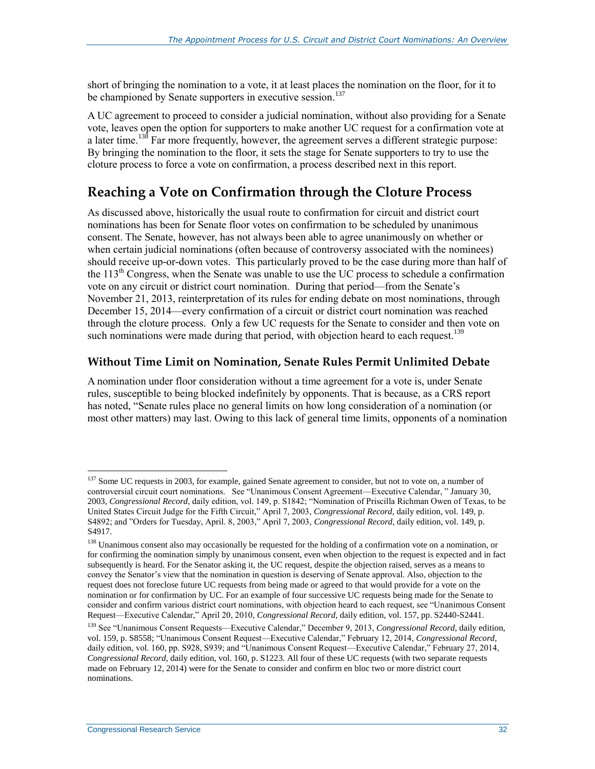short of bringing the nomination to a vote, it at least places the nomination on the floor, for it to be championed by Senate supporters in executive session.<sup>137</sup>

A UC agreement to proceed to consider a judicial nomination, without also providing for a Senate vote, leaves open the option for supporters to make another UC request for a confirmation vote at a later time.<sup>138</sup> Far more frequently, however, the agreement serves a different strategic purpose: By bringing the nomination to the floor, it sets the stage for Senate supporters to try to use the cloture process to force a vote on confirmation, a process described next in this report.

### **Reaching a Vote on Confirmation through the Cloture Process**

As discussed above, historically the usual route to confirmation for circuit and district court nominations has been for Senate floor votes on confirmation to be scheduled by unanimous consent. The Senate, however, has not always been able to agree unanimously on whether or when certain judicial nominations (often because of controversy associated with the nominees) should receive up-or-down votes. This particularly proved to be the case during more than half of the  $113<sup>th</sup>$  Congress, when the Senate was unable to use the UC process to schedule a confirmation vote on any circuit or district court nomination. During that period—from the Senate's November 21, 2013, reinterpretation of its rules for ending debate on most nominations, through December 15, 2014—every confirmation of a circuit or district court nomination was reached through the cloture process. Only a few UC requests for the Senate to consider and then vote on such nominations were made during that period, with objection heard to each request.<sup>139</sup>

#### <span id="page-36-0"></span>**Without Time Limit on Nomination, Senate Rules Permit Unlimited Debate**

A nomination under floor consideration without a time agreement for a vote is, under Senate rules, susceptible to being blocked indefinitely by opponents. That is because, as a CRS report has noted, "Senate rules place no general limits on how long consideration of a nomination (or most other matters) may last. Owing to this lack of general time limits, opponents of a nomination

<sup>&</sup>lt;sup>137</sup> Some UC requests in 2003, for example, gained Senate agreement to consider, but not to vote on, a number of controversial circuit court nominations. See "Unanimous Consent Agreement—Executive Calendar, " January 30, 2003, *Congressional Record*, daily edition, vol. 149, p. S1842; "Nomination of Priscilla Richman Owen of Texas, to be United States Circuit Judge for the Fifth Circuit," April 7, 2003, *Congressional Record*, daily edition, vol. 149, p. S4892; and "Orders for Tuesday, April. 8, 2003," April 7, 2003, *Congressional Record*, daily edition, vol. 149, p. S4917.

<sup>&</sup>lt;sup>138</sup> Unanimous consent also may occasionally be requested for the holding of a confirmation vote on a nomination, or for confirming the nomination simply by unanimous consent, even when objection to the request is expected and in fact subsequently is heard. For the Senator asking it, the UC request, despite the objection raised, serves as a means to convey the Senator's view that the nomination in question is deserving of Senate approval. Also, objection to the request does not foreclose future UC requests from being made or agreed to that would provide for a vote on the nomination or for confirmation by UC. For an example of four successive UC requests being made for the Senate to consider and confirm various district court nominations, with objection heard to each request, see "Unanimous Consent Request—Executive Calendar," April 20, 2010, *Congressional Record*, daily edition, vol. 157, pp. S2440-S2441.

<sup>139</sup> See "Unanimous Consent Requests—Executive Calendar," December 9, 2013, *Congressional Record*, daily edition, vol. 159, p. S8558; "Unanimous Consent Request—Executive Calendar," February 12, 2014, *Congressional Record*, daily edition, vol. 160, pp. S928, S939; and "Unanimous Consent Request—Executive Calendar," February 27, 2014, *Congressional Record*, daily edition, vol. 160, p. S1223. All four of these UC requests (with two separate requests made on February 12, 2014) were for the Senate to consider and confirm en bloc two or more district court nominations.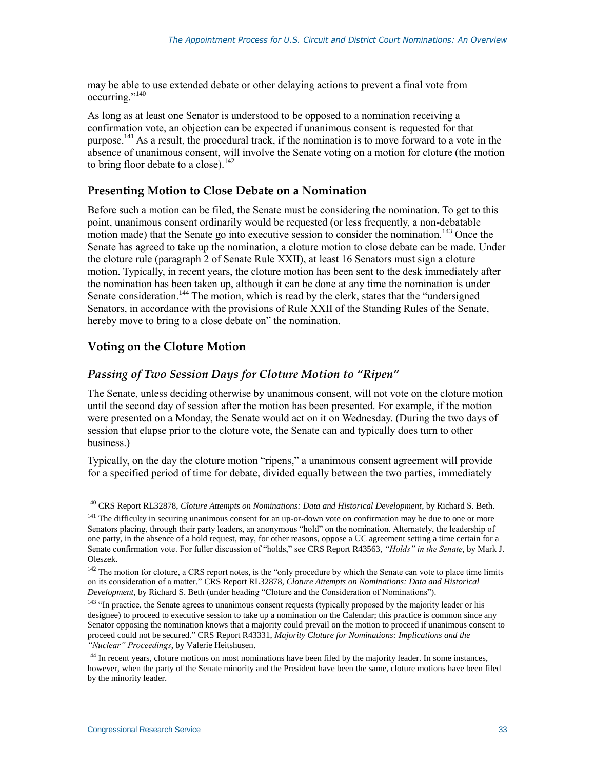may be able to use extended debate or other delaying actions to prevent a final vote from occurring."<sup>140</sup>

As long as at least one Senator is understood to be opposed to a nomination receiving a confirmation vote, an objection can be expected if unanimous consent is requested for that purpose.<sup>141</sup> As a result, the procedural track, if the nomination is to move forward to a vote in the absence of unanimous consent, will involve the Senate voting on a motion for cloture (the motion to bring floor debate to a close). $142$ 

#### **Presenting Motion to Close Debate on a Nomination**

Before such a motion can be filed, the Senate must be considering the nomination. To get to this point, unanimous consent ordinarily would be requested (or less frequently, a non-debatable motion made) that the Senate go into executive session to consider the nomination.<sup>143</sup> Once the Senate has agreed to take up the nomination, a cloture motion to close debate can be made. Under the cloture rule (paragraph 2 of Senate Rule XXII), at least 16 Senators must sign a cloture motion. Typically, in recent years, the cloture motion has been sent to the desk immediately after the nomination has been taken up, although it can be done at any time the nomination is under Senate consideration.<sup>144</sup> The motion, which is read by the clerk, states that the "undersigned" Senators, in accordance with the provisions of Rule XXII of the Standing Rules of the Senate, hereby move to bring to a close debate on" the nomination.

### **Voting on the Cloture Motion**

#### *Passing of Two Session Days for Cloture Motion to "Ripen"*

The Senate, unless deciding otherwise by unanimous consent, will not vote on the cloture motion until the second day of session after the motion has been presented. For example, if the motion were presented on a Monday, the Senate would act on it on Wednesday. (During the two days of session that elapse prior to the cloture vote, the Senate can and typically does turn to other business.)

Typically, on the day the cloture motion "ripens," a unanimous consent agreement will provide for a specified period of time for debate, divided equally between the two parties, immediately

 $\overline{a}$ <sup>140</sup> CRS Report RL32878, *Cloture Attempts on Nominations: Data and Historical Development*, by Richard S. Beth.

<sup>&</sup>lt;sup>141</sup> The difficulty in securing unanimous consent for an up-or-down vote on confirmation may be due to one or more Senators placing, through their party leaders, an anonymous "hold" on the nomination. Alternately, the leadership of one party, in the absence of a hold request, may, for other reasons, oppose a UC agreement setting a time certain for a Senate confirmation vote. For fuller discussion of "holds," see CRS Report R43563, *"Holds" in the Senate*, by Mark J. Oleszek.

<sup>&</sup>lt;sup>142</sup> The motion for cloture, a CRS report notes, is the "only procedure by which the Senate can vote to place time limits on its consideration of a matter." CRS Report RL32878, *Cloture Attempts on Nominations: Data and Historical Development*, by Richard S. Beth (under heading "Cloture and the Consideration of Nominations").

<sup>&</sup>lt;sup>143</sup> "In practice, the Senate agrees to unanimous consent requests (typically proposed by the majority leader or his designee) to proceed to executive session to take up a nomination on the Calendar; this practice is common since any Senator opposing the nomination knows that a majority could prevail on the motion to proceed if unanimous consent to proceed could not be secured." CRS Report R43331, *Majority Cloture for Nominations: Implications and the "Nuclear" Proceedings*, by Valerie Heitshusen.

<sup>&</sup>lt;sup>144</sup> In recent years, cloture motions on most nominations have been filed by the majority leader. In some instances, however, when the party of the Senate minority and the President have been the same, cloture motions have been filed by the minority leader.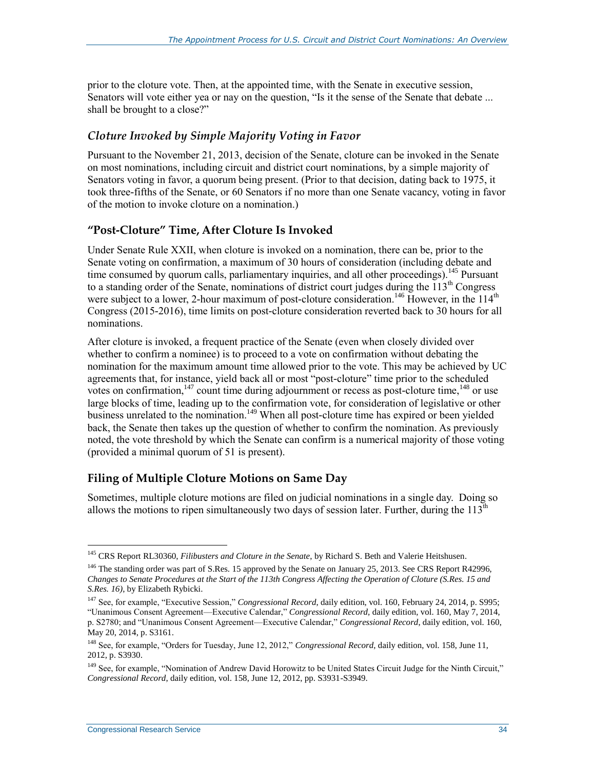prior to the cloture vote. Then, at the appointed time, with the Senate in executive session, Senators will vote either yea or nay on the question, "Is it the sense of the Senate that debate ... shall be brought to a close?"

#### *Cloture Invoked by Simple Majority Voting in Favor*

Pursuant to the November 21, 2013, decision of the Senate, cloture can be invoked in the Senate on most nominations, including circuit and district court nominations, by a simple majority of Senators voting in favor, a quorum being present. (Prior to that decision, dating back to 1975, it took three-fifths of the Senate, or 60 Senators if no more than one Senate vacancy, voting in favor of the motion to invoke cloture on a nomination.)

### **"Post-Cloture" Time, After Cloture Is Invoked**

Under Senate Rule XXII, when cloture is invoked on a nomination, there can be, prior to the Senate voting on confirmation, a maximum of 30 hours of consideration (including debate and time consumed by quorum calls, parliamentary inquiries, and all other proceedings).<sup>145</sup> Pursuant to a standing order of the Senate, nominations of district court judges during the 113<sup>th</sup> Congress were subject to a lower, 2-hour maximum of post-cloture consideration.<sup>146</sup> However, in the  $114<sup>th</sup>$ Congress (2015-2016), time limits on post-cloture consideration reverted back to 30 hours for all nominations.

After cloture is invoked, a frequent practice of the Senate (even when closely divided over whether to confirm a nominee) is to proceed to a vote on confirmation without debating the nomination for the maximum amount time allowed prior to the vote. This may be achieved by UC agreements that, for instance, yield back all or most "post-cloture" time prior to the scheduled votes on confirmation, $147$  count time during adjournment or recess as post-cloture time,  $148$  or use large blocks of time, leading up to the confirmation vote, for consideration of legislative or other business unrelated to the nomination.<sup>149</sup> When all post-cloture time has expired or been yielded back, the Senate then takes up the question of whether to confirm the nomination. As previously noted, the vote threshold by which the Senate can confirm is a numerical majority of those voting (provided a minimal quorum of 51 is present).

### **Filing of Multiple Cloture Motions on Same Day**

Sometimes, multiple cloture motions are filed on judicial nominations in a single day. Doing so allows the motions to ripen simultaneously two days of session later. Further, during the  $113<sup>th</sup>$ 

<sup>145</sup> CRS Report RL30360, *Filibusters and Cloture in the Senate*, by Richard S. Beth and Valerie Heitshusen.

<sup>&</sup>lt;sup>146</sup> The standing order was part of S.Res. 15 approved by the Senate on January 25, 2013. See CRS Report R42996, *Changes to Senate Procedures at the Start of the 113th Congress Affecting the Operation of Cloture (S.Res. 15 and S.Res. 16)*, by Elizabeth Rybicki.

<sup>&</sup>lt;sup>147</sup> See, for example, "Executive Session," *Congressional Record*, daily edition, vol. 160, February 24, 2014, p. S995; "Unanimous Consent Agreement—Executive Calendar," *Congressional Record,* daily edition, vol. 160, May 7, 2014, p. S2780; and "Unanimous Consent Agreement—Executive Calendar," *Congressional Record*, daily edition, vol. 160, May 20, 2014, p. S3161.

<sup>148</sup> See, for example, "Orders for Tuesday, June 12, 2012," *Congressional Record*, daily edition, vol. 158, June 11, 2012, p. S3930.

<sup>&</sup>lt;sup>149</sup> See, for example, "Nomination of Andrew David Horowitz to be United States Circuit Judge for the Ninth Circuit," *Congressional Record*, daily edition, vol. 158, June 12, 2012, pp. S3931-S3949.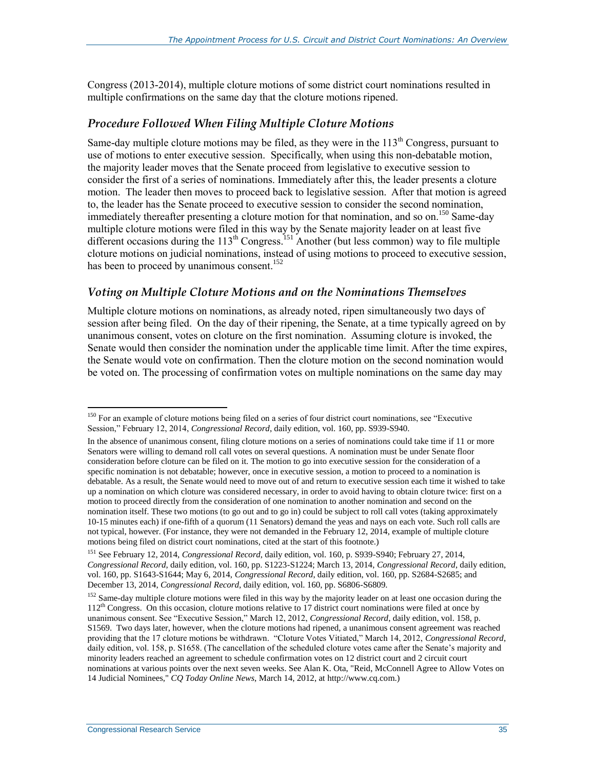Congress (2013-2014), multiple cloture motions of some district court nominations resulted in multiple confirmations on the same day that the cloture motions ripened.

#### *Procedure Followed When Filing Multiple Cloture Motions*

Same-day multiple cloture motions may be filed, as they were in the  $113<sup>th</sup>$  Congress, pursuant to use of motions to enter executive session. Specifically, when using this non-debatable motion, the majority leader moves that the Senate proceed from legislative to executive session to consider the first of a series of nominations. Immediately after this, the leader presents a cloture motion. The leader then moves to proceed back to legislative session. After that motion is agreed to, the leader has the Senate proceed to executive session to consider the second nomination, immediately thereafter presenting a cloture motion for that nomination, and so on.<sup>150</sup> Same-day multiple cloture motions were filed in this way by the Senate majority leader on at least five different occasions during the  $113<sup>th</sup>$  Congress.<sup>151</sup> Another (but less common) way to file multiple cloture motions on judicial nominations, instead of using motions to proceed to executive session, has been to proceed by unanimous consent.<sup>152</sup>

#### *Voting on Multiple Cloture Motions and on the Nominations Themselves*

Multiple cloture motions on nominations, as already noted, ripen simultaneously two days of session after being filed. On the day of their ripening, the Senate, at a time typically agreed on by unanimous consent, votes on cloture on the first nomination. Assuming cloture is invoked, the Senate would then consider the nomination under the applicable time limit. After the time expires, the Senate would vote on confirmation. Then the cloture motion on the second nomination would be voted on. The processing of confirmation votes on multiple nominations on the same day may

 $\overline{a}$ <sup>150</sup> For an example of cloture motions being filed on a series of four district court nominations, see "Executive" Session," February 12, 2014, *Congressional Record*, daily edition, vol. 160, pp. S939-S940.

In the absence of unanimous consent, filing cloture motions on a series of nominations could take time if 11 or more Senators were willing to demand roll call votes on several questions. A nomination must be under Senate floor consideration before cloture can be filed on it. The motion to go into executive session for the consideration of a specific nomination is not debatable; however, once in executive session, a motion to proceed to a nomination is debatable. As a result, the Senate would need to move out of and return to executive session each time it wished to take up a nomination on which cloture was considered necessary, in order to avoid having to obtain cloture twice: first on a motion to proceed directly from the consideration of one nomination to another nomination and second on the nomination itself. These two motions (to go out and to go in) could be subject to roll call votes (taking approximately 10-15 minutes each) if one-fifth of a quorum (11 Senators) demand the yeas and nays on each vote. Such roll calls are not typical, however. (For instance, they were not demanded in the February 12, 2014, example of multiple cloture motions being filed on district court nominations, cited at the start of this footnote.)

<sup>151</sup> See February 12, 2014, *Congressional Record*, daily edition, vol. 160, p. S939-S940; February 27, 2014, *Congressional Record*, daily edition, vol. 160, pp. S1223-S1224; March 13, 2014, *Congressional Record*, daily edition, vol. 160, pp. S1643-S1644; May 6, 2014, *Congressional Record*, daily edition, vol. 160, pp. S2684-S2685; and December 13, 2014, *Congressional Record*, daily edition, vol. 160, pp. S6806-S6809.

<sup>&</sup>lt;sup>152</sup> Same-day multiple cloture motions were filed in this way by the majority leader on at least one occasion during the  $112<sup>th</sup>$  Congress. On this occasion, cloture motions relative to 17 district court nominations were filed at once by unanimous consent. See "Executive Session," March 12, 2012, *Congressional Record*, daily edition, vol. 158, p. S1569. Two days later, however, when the cloture motions had ripened, a unanimous consent agreement was reached providing that the 17 cloture motions be withdrawn. "Cloture Votes Vitiated," March 14, 2012, *Congressional Record*, daily edition, vol. 158, p. S1658. (The cancellation of the scheduled cloture votes came after the Senate's majority and minority leaders reached an agreement to schedule confirmation votes on 12 district court and 2 circuit court nominations at various points over the next seven weeks. See Alan K. Ota, "Reid, McConnell Agree to Allow Votes on 14 Judicial Nominees," *CQ Today Online News*, March 14, 2012, at http://www.cq.com.)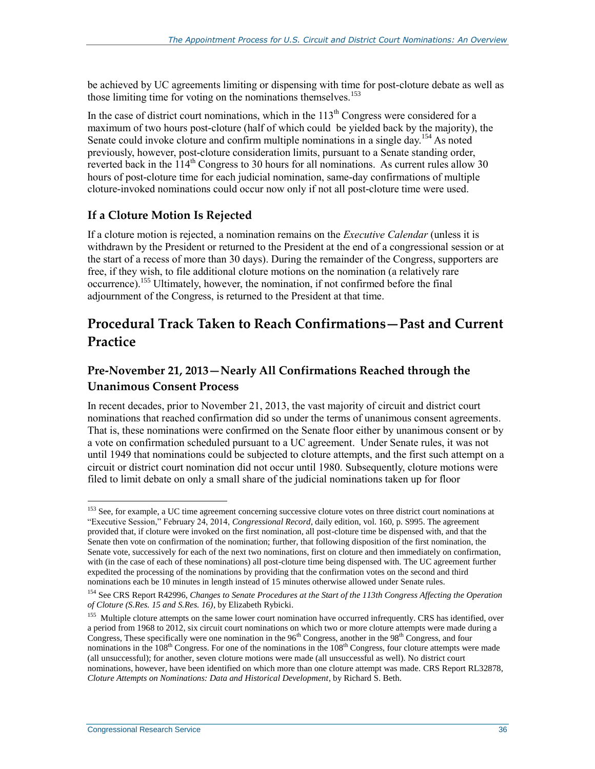be achieved by UC agreements limiting or dispensing with time for post-cloture debate as well as those limiting time for voting on the nominations themselves.<sup>153</sup>

In the case of district court nominations, which in the  $113<sup>th</sup>$  Congress were considered for a maximum of two hours post-cloture (half of which could be yielded back by the majority), the Senate could invoke cloture and confirm multiple nominations in a single day.<sup>154</sup> As noted previously, however, post-cloture consideration limits, pursuant to a Senate standing order, reverted back in the  $114<sup>th</sup>$  Congress to 30 hours for all nominations. As current rules allow 30 hours of post-cloture time for each judicial nomination, same-day confirmations of multiple cloture-invoked nominations could occur now only if not all post-cloture time were used.

#### **If a Cloture Motion Is Rejected**

If a cloture motion is rejected, a nomination remains on the *Executive Calendar* (unless it is withdrawn by the President or returned to the President at the end of a congressional session or at the start of a recess of more than 30 days). During the remainder of the Congress, supporters are free, if they wish, to file additional cloture motions on the nomination (a relatively rare occurrence).<sup>155</sup> Ultimately, however, the nomination, if not confirmed before the final adjournment of the Congress, is returned to the President at that time.

### **Procedural Track Taken to Reach Confirmations—Past and Current Practice**

### **Pre-November 21, 2013—Nearly All Confirmations Reached through the Unanimous Consent Process**

In recent decades, prior to November 21, 2013, the vast majority of circuit and district court nominations that reached confirmation did so under the terms of unanimous consent agreements. That is, these nominations were confirmed on the Senate floor either by unanimous consent or by a vote on confirmation scheduled pursuant to a UC agreement. Under Senate rules, it was not until 1949 that nominations could be subjected to cloture attempts, and the first such attempt on a circuit or district court nomination did not occur until 1980. Subsequently, cloture motions were filed to limit debate on only a small share of the judicial nominations taken up for floor

<sup>&</sup>lt;sup>153</sup> See, for example, a UC time agreement concerning successive cloture votes on three district court nominations at "Executive Session," February 24, 2014, *Congressional Record*, daily edition, vol. 160, p. S995. The agreement provided that, if cloture were invoked on the first nomination, all post-cloture time be dispensed with, and that the Senate then vote on confirmation of the nomination; further, that following disposition of the first nomination, the Senate vote, successively for each of the next two nominations, first on cloture and then immediately on confirmation, with (in the case of each of these nominations) all post-cloture time being dispensed with. The UC agreement further expedited the processing of the nominations by providing that the confirmation votes on the second and third nominations each be 10 minutes in length instead of 15 minutes otherwise allowed under Senate rules.

<sup>154</sup> See CRS Report R42996, *Changes to Senate Procedures at the Start of the 113th Congress Affecting the Operation of Cloture (S.Res. 15 and S.Res. 16)*, by Elizabeth Rybicki.

<sup>&</sup>lt;sup>155</sup> Multiple cloture attempts on the same lower court nomination have occurred infrequently. CRS has identified, over a period from 1968 to 2012, six circuit court nominations on which two or more cloture attempts were made during a Congress, These specifically were one nomination in the  $96<sup>th</sup>$  Congress, another in the  $98<sup>th</sup>$  Congress, and four nominations in the  $108<sup>th</sup> Congress$ . For one of the nominations in the  $108<sup>th</sup> Congress$ , four cloture attempts were made (all unsuccessful); for another, seven cloture motions were made (all unsuccessful as well). No district court nominations, however, have been identified on which more than one cloture attempt was made. CRS Report RL32878, *Cloture Attempts on Nominations: Data and Historical Development*, by Richard S. Beth.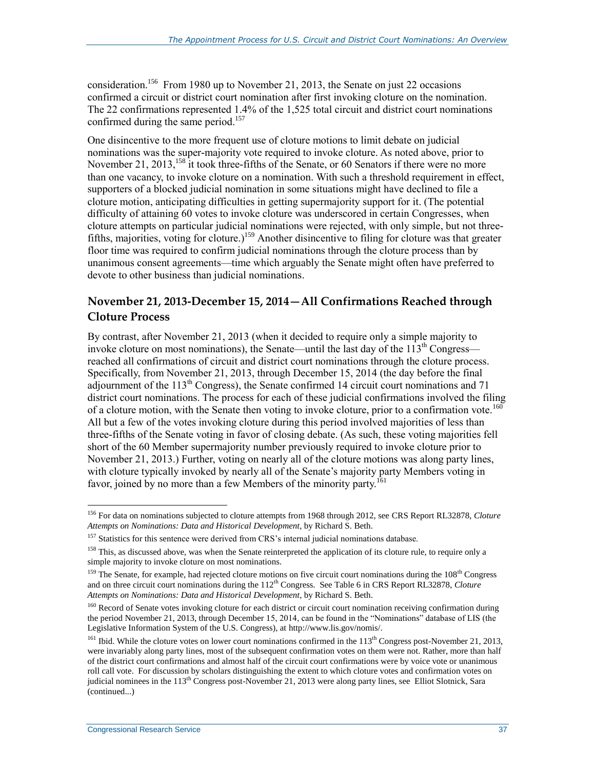consideration.<sup>156</sup> From 1980 up to November 21, 2013, the Senate on just 22 occasions confirmed a circuit or district court nomination after first invoking cloture on the nomination. The 22 confirmations represented 1.4% of the 1,525 total circuit and district court nominations confirmed during the same period.<sup>157</sup>

One disincentive to the more frequent use of cloture motions to limit debate on judicial nominations was the super-majority vote required to invoke cloture. As noted above, prior to November 21, 2013,  $^{158}$  it took three-fifths of the Senate, or 60 Senators if there were no more than one vacancy, to invoke cloture on a nomination. With such a threshold requirement in effect, supporters of a blocked judicial nomination in some situations might have declined to file a cloture motion, anticipating difficulties in getting supermajority support for it. (The potential difficulty of attaining 60 votes to invoke cloture was underscored in certain Congresses, when cloture attempts on particular judicial nominations were rejected, with only simple, but not threefifths, majorities, voting for cloture.)<sup>159</sup> Another disincentive to filing for cloture was that greater floor time was required to confirm judicial nominations through the cloture process than by unanimous consent agreements—time which arguably the Senate might often have preferred to devote to other business than judicial nominations.

### **November 21, 2013-December 15, 2014—All Confirmations Reached through Cloture Process**

By contrast, after November 21, 2013 (when it decided to require only a simple majority to invoke cloture on most nominations), the Senate—until the last day of the  $113<sup>th</sup> Congress$  reached all confirmations of circuit and district court nominations through the cloture process. Specifically, from November 21, 2013, through December 15, 2014 (the day before the final adjournment of the  $113<sup>th</sup>$  Congress), the Senate confirmed 14 circuit court nominations and 71 district court nominations. The process for each of these judicial confirmations involved the filing of a cloture motion, with the Senate then voting to invoke cloture, prior to a confirmation vote.<sup>160</sup> All but a few of the votes invoking cloture during this period involved majorities of less than three-fifths of the Senate voting in favor of closing debate. (As such, these voting majorities fell short of the 60 Member supermajority number previously required to invoke cloture prior to November 21, 2013.) Further, voting on nearly all of the cloture motions was along party lines, with cloture typically invoked by nearly all of the Senate's majority party Members voting in favor, joined by no more than a few Members of the minority party.<sup>161</sup>

<sup>156</sup> For data on nominations subjected to cloture attempts from 1968 through 2012, see CRS Report RL32878, *Cloture Attempts on Nominations: Data and Historical Development*, by Richard S. Beth.

<sup>&</sup>lt;sup>157</sup> Statistics for this sentence were derived from CRS's internal judicial nominations database.

<sup>&</sup>lt;sup>158</sup> This, as discussed above, was when the Senate reinterpreted the application of its cloture rule, to require only a simple majority to invoke cloture on most nominations.

 $159$  The Senate, for example, had rejected cloture motions on five circuit court nominations during the  $108<sup>th</sup>$  Congress and on three circuit court nominations during the 112th Congress. See Table 6 in CRS Report RL32878, *Cloture Attempts on Nominations: Data and Historical Development*, by Richard S. Beth.

<sup>&</sup>lt;sup>160</sup> Record of Senate votes invoking cloture for each district or circuit court nomination receiving confirmation during the period November 21, 2013, through December 15, 2014, can be found in the "Nominations" database of LIS (the Legislative Information System of the U.S. Congress), at http://www.lis.gov/nomis/.

<sup>&</sup>lt;sup>161</sup> Ibid. While the cloture votes on lower court nominations confirmed in the  $113<sup>th</sup>$  Congress post-November 21, 2013, were invariably along party lines, most of the subsequent confirmation votes on them were not. Rather, more than half of the district court confirmations and almost half of the circuit court confirmations were by voice vote or unanimous roll call vote. For discussion by scholars distinguishing the extent to which cloture votes and confirmation votes on judicial nominees in the 113<sup>th</sup> Congress post-November 21, 2013 were along party lines, see Elliot Slotnick, Sara (continued...)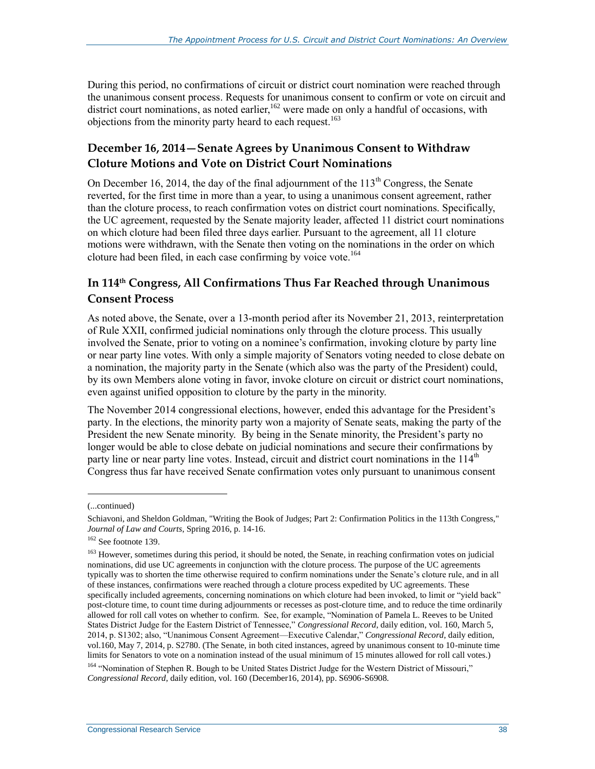During this period, no confirmations of circuit or district court nomination were reached through the unanimous consent process. Requests for unanimous consent to confirm or vote on circuit and district court nominations, as noted earlier,<sup>162</sup> were made on only a handful of occasions, with objections from the minority party heard to each request.<sup>163</sup>

### **December 16, 2014—Senate Agrees by Unanimous Consent to Withdraw Cloture Motions and Vote on District Court Nominations**

On December 16, 2014, the day of the final adjournment of the  $113<sup>th</sup>$  Congress, the Senate reverted, for the first time in more than a year, to using a unanimous consent agreement, rather than the cloture process, to reach confirmation votes on district court nominations. Specifically, the UC agreement, requested by the Senate majority leader, affected 11 district court nominations on which cloture had been filed three days earlier. Pursuant to the agreement, all 11 cloture motions were withdrawn, with the Senate then voting on the nominations in the order on which cloture had been filed, in each case confirming by voice vote.<sup>164</sup>

### **In 114th Congress, All Confirmations Thus Far Reached through Unanimous Consent Process**

As noted above, the Senate, over a 13-month period after its November 21, 2013, reinterpretation of Rule XXII, confirmed judicial nominations only through the cloture process. This usually involved the Senate, prior to voting on a nominee's confirmation, invoking cloture by party line or near party line votes. With only a simple majority of Senators voting needed to close debate on a nomination, the majority party in the Senate (which also was the party of the President) could, by its own Members alone voting in favor, invoke cloture on circuit or district court nominations, even against unified opposition to cloture by the party in the minority.

The November 2014 congressional elections, however, ended this advantage for the President's party. In the elections, the minority party won a majority of Senate seats, making the party of the President the new Senate minority. By being in the Senate minority, the President's party no longer would be able to close debate on judicial nominations and secure their confirmations by party line or near party line votes. Instead, circuit and district court nominations in the  $114<sup>th</sup>$ Congress thus far have received Senate confirmation votes only pursuant to unanimous consent

<sup>(...</sup>continued)

Schiavoni, and Sheldon Goldman, "Writing the Book of Judges; Part 2: Confirmation Politics in the 113th Congress," *Journal of Law and Courts*, Spring 2016, p. 14-16.

 $162$  See footnot[e 139.](#page-36-0)

<sup>&</sup>lt;sup>163</sup> However, sometimes during this period, it should be noted, the Senate, in reaching confirmation votes on judicial nominations, did use UC agreements in conjunction with the cloture process. The purpose of the UC agreements typically was to shorten the time otherwise required to confirm nominations under the Senate's cloture rule, and in all of these instances, confirmations were reached through a cloture process expedited by UC agreements. These specifically included agreements, concerning nominations on which cloture had been invoked, to limit or "yield back" post-cloture time, to count time during adjournments or recesses as post-cloture time, and to reduce the time ordinarily allowed for roll call votes on whether to confirm. See, for example, "Nomination of Pamela L. Reeves to be United States District Judge for the Eastern District of Tennessee," *Congressional Record*, daily edition, vol. 160, March 5, 2014, p. S1302; also, "Unanimous Consent Agreement—Executive Calendar," *Congressional Record*, daily edition, vol.160, May 7, 2014, p. S2780. (The Senate, in both cited instances, agreed by unanimous consent to 10-minute time limits for Senators to vote on a nomination instead of the usual minimum of 15 minutes allowed for roll call votes.)

<sup>&</sup>lt;sup>164</sup> "Nomination of Stephen R. Bough to be United States District Judge for the Western District of Missouri," *Congressional Record*, daily edition, vol. 160 (December16, 2014), pp. S6906-S6908.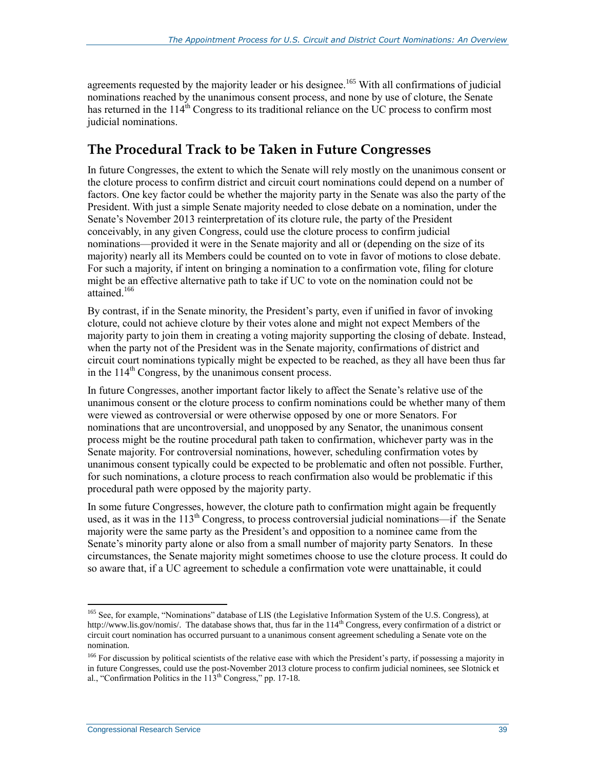agreements requested by the majority leader or his designee.<sup>165</sup> With all confirmations of judicial nominations reached by the unanimous consent process, and none by use of cloture, the Senate has returned in the  $114^{th}$  Congress to its traditional reliance on the UC process to confirm most judicial nominations.

### **The Procedural Track to be Taken in Future Congresses**

In future Congresses, the extent to which the Senate will rely mostly on the unanimous consent or the cloture process to confirm district and circuit court nominations could depend on a number of factors. One key factor could be whether the majority party in the Senate was also the party of the President. With just a simple Senate majority needed to close debate on a nomination, under the Senate's November 2013 reinterpretation of its cloture rule, the party of the President conceivably, in any given Congress, could use the cloture process to confirm judicial nominations—provided it were in the Senate majority and all or (depending on the size of its majority) nearly all its Members could be counted on to vote in favor of motions to close debate. For such a majority, if intent on bringing a nomination to a confirmation vote, filing for cloture might be an effective alternative path to take if UC to vote on the nomination could not be attained<sup>166</sup>

By contrast, if in the Senate minority, the President's party, even if unified in favor of invoking cloture, could not achieve cloture by their votes alone and might not expect Members of the majority party to join them in creating a voting majority supporting the closing of debate. Instead, when the party not of the President was in the Senate majority, confirmations of district and circuit court nominations typically might be expected to be reached, as they all have been thus far in the  $114<sup>th</sup>$  Congress, by the unanimous consent process.

In future Congresses, another important factor likely to affect the Senate's relative use of the unanimous consent or the cloture process to confirm nominations could be whether many of them were viewed as controversial or were otherwise opposed by one or more Senators. For nominations that are uncontroversial, and unopposed by any Senator, the unanimous consent process might be the routine procedural path taken to confirmation, whichever party was in the Senate majority. For controversial nominations, however, scheduling confirmation votes by unanimous consent typically could be expected to be problematic and often not possible. Further, for such nominations, a cloture process to reach confirmation also would be problematic if this procedural path were opposed by the majority party.

In some future Congresses, however, the cloture path to confirmation might again be frequently used, as it was in the  $113<sup>th</sup>$  Congress, to process controversial judicial nominations—if the Senate majority were the same party as the President's and opposition to a nominee came from the Senate's minority party alone or also from a small number of majority party Senators. In these circumstances, the Senate majority might sometimes choose to use the cloture process. It could do so aware that, if a UC agreement to schedule a confirmation vote were unattainable, it could

<sup>&</sup>lt;sup>165</sup> See, for example, "Nominations" database of LIS (the Legislative Information System of the U.S. Congress), at http://www.lis.gov/nomis/. The database shows that, thus far in the 114<sup>th</sup> Congress, every confirmation of a district or circuit court nomination has occurred pursuant to a unanimous consent agreement scheduling a Senate vote on the nomination.

<sup>&</sup>lt;sup>166</sup> For discussion by political scientists of the relative ease with which the President's party, if possessing a majority in in future Congresses, could use the post-November 2013 cloture process to confirm judicial nominees, see Slotnick et al., "Confirmation Politics in the  $113<sup>th</sup>$  Congress," pp. 17-18.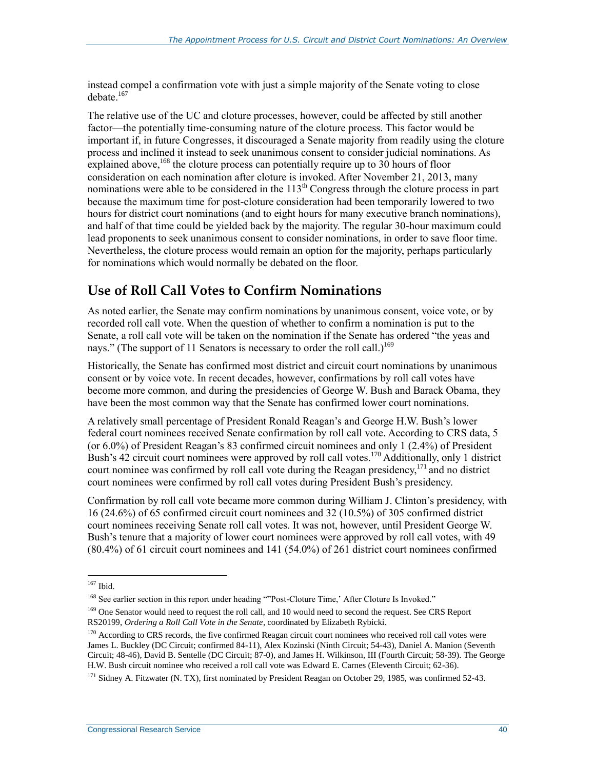instead compel a confirmation vote with just a simple majority of the Senate voting to close debate. 167

The relative use of the UC and cloture processes, however, could be affected by still another factor—the potentially time-consuming nature of the cloture process. This factor would be important if, in future Congresses, it discouraged a Senate majority from readily using the cloture process and inclined it instead to seek unanimous consent to consider judicial nominations. As explained above,  $168$  the cloture process can potentially require up to 30 hours of floor consideration on each nomination after cloture is invoked. After November 21, 2013, many nominations were able to be considered in the  $113<sup>th</sup>$  Congress through the cloture process in part because the maximum time for post-cloture consideration had been temporarily lowered to two hours for district court nominations (and to eight hours for many executive branch nominations), and half of that time could be yielded back by the majority. The regular 30-hour maximum could lead proponents to seek unanimous consent to consider nominations, in order to save floor time. Nevertheless, the cloture process would remain an option for the majority, perhaps particularly for nominations which would normally be debated on the floor.

### **Use of Roll Call Votes to Confirm Nominations**

As noted earlier, the Senate may confirm nominations by unanimous consent, voice vote, or by recorded roll call vote. When the question of whether to confirm a nomination is put to the Senate, a roll call vote will be taken on the nomination if the Senate has ordered "the yeas and nays." (The support of 11 Senators is necessary to order the roll call.)<sup>169</sup>

Historically, the Senate has confirmed most district and circuit court nominations by unanimous consent or by voice vote. In recent decades, however, confirmations by roll call votes have become more common, and during the presidencies of George W. Bush and Barack Obama, they have been the most common way that the Senate has confirmed lower court nominations.

A relatively small percentage of President Ronald Reagan's and George H.W. Bush's lower federal court nominees received Senate confirmation by roll call vote. According to CRS data, 5 (or 6.0%) of President Reagan's 83 confirmed circuit nominees and only 1 (2.4%) of President Bush's 42 circuit court nominees were approved by roll call votes.<sup>170</sup> Additionally, only 1 district court nominee was confirmed by roll call vote during the Reagan presidency,  $^{171}$  and no district court nominees were confirmed by roll call votes during President Bush's presidency.

Confirmation by roll call vote became more common during William J. Clinton's presidency, with 16 (24.6%) of 65 confirmed circuit court nominees and 32 (10.5%) of 305 confirmed district court nominees receiving Senate roll call votes. It was not, however, until President George W. Bush's tenure that a majority of lower court nominees were approved by roll call votes, with 49 (80.4%) of 61 circuit court nominees and 141 (54.0%) of 261 district court nominees confirmed

 $\overline{a}$ <sup>167</sup> Ibid.

<sup>&</sup>lt;sup>168</sup> See earlier section in this report under heading ""Post-Cloture Time,' After Cloture Is Invoked."

<sup>&</sup>lt;sup>169</sup> One Senator would need to request the roll call, and 10 would need to second the request. See CRS Report RS20199, *Ordering a Roll Call Vote in the Senate*, coordinated by Elizabeth Rybicki.

<sup>&</sup>lt;sup>170</sup> According to CRS records, the five confirmed Reagan circuit court nominees who received roll call votes were James L. Buckley (DC Circuit; confirmed 84-11), Alex Kozinski (Ninth Circuit; 54-43), Daniel A. Manion (Seventh Circuit; 48-46), David B. Sentelle (DC Circuit; 87-0), and James H. Wilkinson, III (Fourth Circuit; 58-39). The George H.W. Bush circuit nominee who received a roll call vote was Edward E. Carnes (Eleventh Circuit; 62-36).

<sup>&</sup>lt;sup>171</sup> Sidney A. Fitzwater (N. TX), first nominated by President Reagan on October 29, 1985, was confirmed 52-43.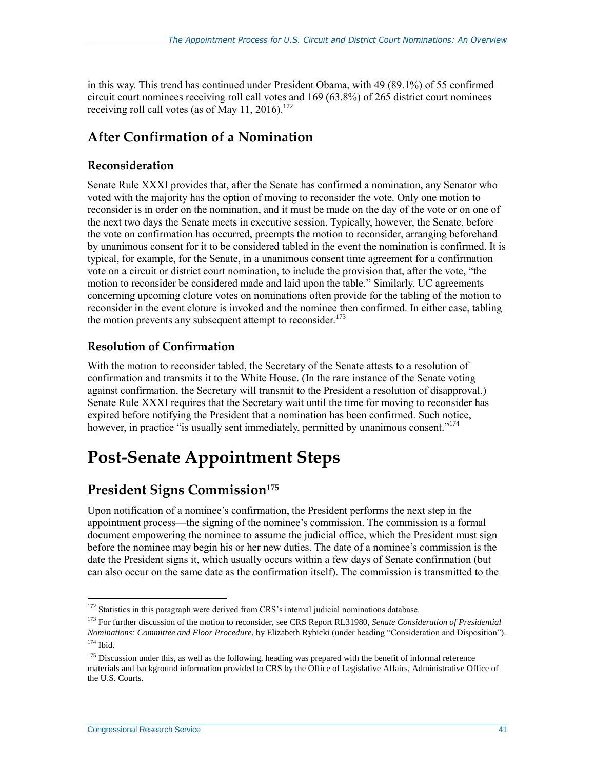in this way. This trend has continued under President Obama, with 49 (89.1%) of 55 confirmed circuit court nominees receiving roll call votes and 169 (63.8%) of 265 district court nominees receiving roll call votes (as of May 11, 2016).<sup>172</sup>

### **After Confirmation of a Nomination**

### **Reconsideration**

Senate Rule XXXI provides that, after the Senate has confirmed a nomination, any Senator who voted with the majority has the option of moving to reconsider the vote. Only one motion to reconsider is in order on the nomination, and it must be made on the day of the vote or on one of the next two days the Senate meets in executive session. Typically, however, the Senate, before the vote on confirmation has occurred, preempts the motion to reconsider, arranging beforehand by unanimous consent for it to be considered tabled in the event the nomination is confirmed. It is typical, for example, for the Senate, in a unanimous consent time agreement for a confirmation vote on a circuit or district court nomination, to include the provision that, after the vote, "the motion to reconsider be considered made and laid upon the table." Similarly, UC agreements concerning upcoming cloture votes on nominations often provide for the tabling of the motion to reconsider in the event cloture is invoked and the nominee then confirmed. In either case, tabling the motion prevents any subsequent attempt to reconsider.<sup>173</sup>

### **Resolution of Confirmation**

With the motion to reconsider tabled, the Secretary of the Senate attests to a resolution of confirmation and transmits it to the White House. (In the rare instance of the Senate voting against confirmation, the Secretary will transmit to the President a resolution of disapproval.) Senate Rule XXXI requires that the Secretary wait until the time for moving to reconsider has expired before notifying the President that a nomination has been confirmed. Such notice, however, in practice "is usually sent immediately, permitted by unanimous consent."<sup>174</sup>

## **Post-Senate Appointment Steps**

### **President Signs Commission<sup>175</sup>**

Upon notification of a nominee's confirmation, the President performs the next step in the appointment process—the signing of the nominee's commission. The commission is a formal document empowering the nominee to assume the judicial office, which the President must sign before the nominee may begin his or her new duties. The date of a nominee's commission is the date the President signs it, which usually occurs within a few days of Senate confirmation (but can also occur on the same date as the confirmation itself). The commission is transmitted to the

 $172$  Statistics in this paragraph were derived from CRS's internal judicial nominations database.

<sup>173</sup> For further discussion of the motion to reconsider, see CRS Report RL31980, *Senate Consideration of Presidential Nominations: Committee and Floor Procedure*, by Elizabeth Rybicki (under heading "Consideration and Disposition"). <sup>174</sup> Ibid.

<sup>&</sup>lt;sup>175</sup> Discussion under this, as well as the following, heading was prepared with the benefit of informal reference materials and background information provided to CRS by the Office of Legislative Affairs, Administrative Office of the U.S. Courts.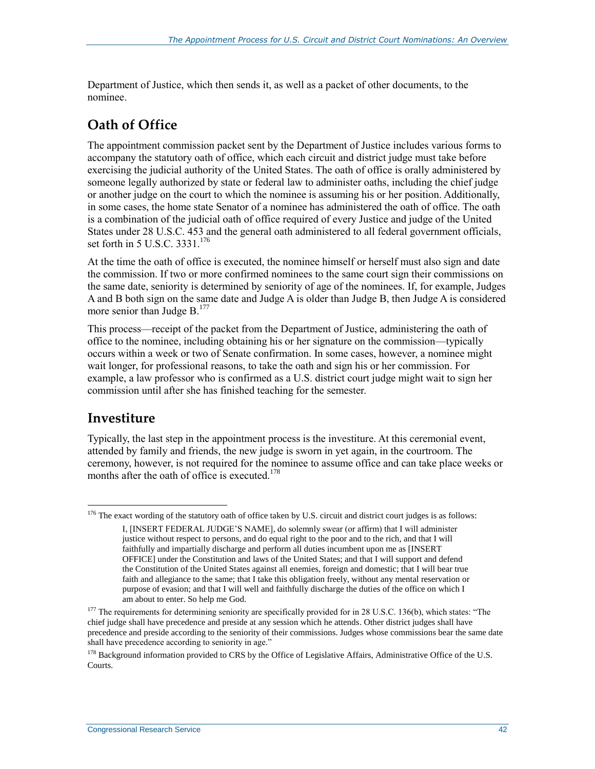Department of Justice, which then sends it, as well as a packet of other documents, to the nominee.

### **Oath of Office**

The appointment commission packet sent by the Department of Justice includes various forms to accompany the statutory oath of office, which each circuit and district judge must take before exercising the judicial authority of the United States. The oath of office is orally administered by someone legally authorized by state or federal law to administer oaths, including the chief judge or another judge on the court to which the nominee is assuming his or her position. Additionally, in some cases, the home state Senator of a nominee has administered the oath of office. The oath is a combination of the judicial oath of office required of every Justice and judge of the United States under 28 U.S.C. 453 and the general oath administered to all federal government officials, set forth in 5 U.S.C. 3331.<sup>176</sup>

At the time the oath of office is executed, the nominee himself or herself must also sign and date the commission. If two or more confirmed nominees to the same court sign their commissions on the same date, seniority is determined by seniority of age of the nominees. If, for example, Judges A and B both sign on the same date and Judge A is older than Judge B, then Judge A is considered more senior than Judge B.<sup>177</sup>

This process—receipt of the packet from the Department of Justice, administering the oath of office to the nominee, including obtaining his or her signature on the commission—typically occurs within a week or two of Senate confirmation. In some cases, however, a nominee might wait longer, for professional reasons, to take the oath and sign his or her commission. For example, a law professor who is confirmed as a U.S. district court judge might wait to sign her commission until after she has finished teaching for the semester.

### **Investiture**

 $\overline{a}$ 

Typically, the last step in the appointment process is the investiture. At this ceremonial event, attended by family and friends, the new judge is sworn in yet again, in the courtroom. The ceremony, however, is not required for the nominee to assume office and can take place weeks or months after the oath of office is executed.<sup>178</sup>

 $176$  The exact wording of the statutory oath of office taken by U.S. circuit and district court judges is as follows:

I, [INSERT FEDERAL JUDGE'S NAME], do solemnly swear (or affirm) that I will administer justice without respect to persons, and do equal right to the poor and to the rich, and that I will faithfully and impartially discharge and perform all duties incumbent upon me as [INSERT OFFICE] under the Constitution and laws of the United States; and that I will support and defend the Constitution of the United States against all enemies, foreign and domestic; that I will bear true faith and allegiance to the same; that I take this obligation freely, without any mental reservation or purpose of evasion; and that I will well and faithfully discharge the duties of the office on which I am about to enter. So help me God.

<sup>&</sup>lt;sup>177</sup> The requirements for determining seniority are specifically provided for in 28 U.S.C. 136(b), which states: "The chief judge shall have precedence and preside at any session which he attends. Other district judges shall have precedence and preside according to the seniority of their commissions. Judges whose commissions bear the same date shall have precedence according to seniority in age."

 $178$  Background information provided to CRS by the Office of Legislative Affairs, Administrative Office of the U.S. Courts.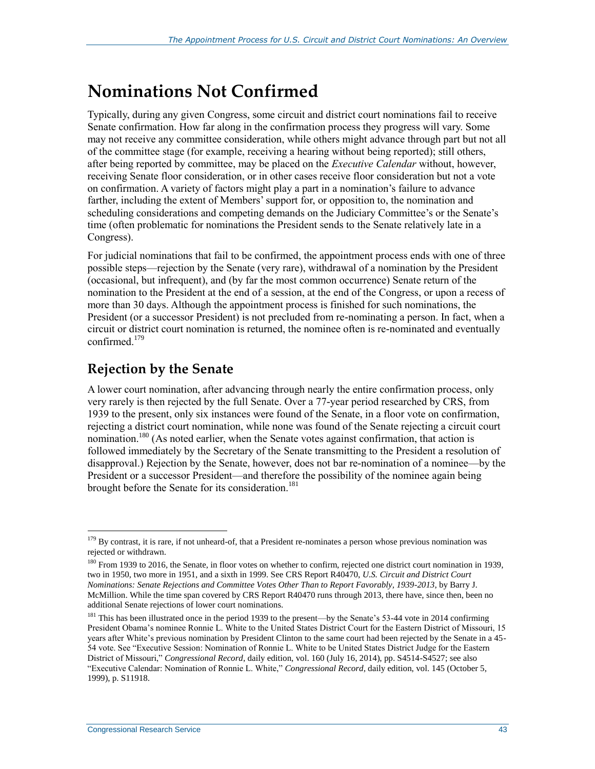## <span id="page-47-0"></span>**Nominations Not Confirmed**

Typically, during any given Congress, some circuit and district court nominations fail to receive Senate confirmation. How far along in the confirmation process they progress will vary. Some may not receive any committee consideration, while others might advance through part but not all of the committee stage (for example, receiving a hearing without being reported); still others, after being reported by committee, may be placed on the *Executive Calendar* without, however, receiving Senate floor consideration, or in other cases receive floor consideration but not a vote on confirmation. A variety of factors might play a part in a nomination's failure to advance farther, including the extent of Members' support for, or opposition to, the nomination and scheduling considerations and competing demands on the Judiciary Committee's or the Senate's time (often problematic for nominations the President sends to the Senate relatively late in a Congress).

For judicial nominations that fail to be confirmed, the appointment process ends with one of three possible steps—rejection by the Senate (very rare), withdrawal of a nomination by the President (occasional, but infrequent), and (by far the most common occurrence) Senate return of the nomination to the President at the end of a session, at the end of the Congress, or upon a recess of more than 30 days. Although the appointment process is finished for such nominations, the President (or a successor President) is not precluded from re-nominating a person. In fact, when a circuit or district court nomination is returned, the nominee often is re-nominated and eventually confirmed $179$ 

### **Rejection by the Senate**

A lower court nomination, after advancing through nearly the entire confirmation process, only very rarely is then rejected by the full Senate. Over a 77-year period researched by CRS, from 1939 to the present, only six instances were found of the Senate, in a floor vote on confirmation, rejecting a district court nomination, while none was found of the Senate rejecting a circuit court nomination.<sup>180</sup> (As noted earlier, when the Senate votes against confirmation, that action is followed immediately by the Secretary of the Senate transmitting to the President a resolution of disapproval.) Rejection by the Senate, however, does not bar re-nomination of a nominee—by the President or a successor President—and therefore the possibility of the nominee again being brought before the Senate for its consideration.<sup>181</sup>

<sup>&</sup>lt;sup>179</sup> By contrast, it is rare, if not unheard-of, that a President re-nominates a person whose previous nomination was rejected or withdrawn.

<sup>&</sup>lt;sup>180</sup> From 1939 to 2016, the Senate, in floor votes on whether to confirm, rejected one district court nomination in 1939, two in 1950, two more in 1951, and a sixth in 1999. See CRS Report R40470, *U.S. Circuit and District Court Nominations: Senate Rejections and Committee Votes Other Than to Report Favorably, 1939-2013*, by Barry J. McMillion. While the time span covered by CRS Report R40470 runs through 2013, there have, since then, been no additional Senate rejections of lower court nominations.

<sup>&</sup>lt;sup>181</sup> This has been illustrated once in the period 1939 to the present—by the Senate's 53-44 vote in 2014 confirming President Obama's nominee Ronnie L. White to the United States District Court for the Eastern District of Missouri, 15 years after White's previous nomination by President Clinton to the same court had been rejected by the Senate in a 45- 54 vote. See "Executive Session: Nomination of Ronnie L. White to be United States District Judge for the Eastern District of Missouri," *Congressional Record*, daily edition, vol. 160 (July 16, 2014), pp. S4514-S4527; see also "Executive Calendar: Nomination of Ronnie L. White," *Congressional Record*, daily edition, vol. 145 (October 5, 1999), p. S11918.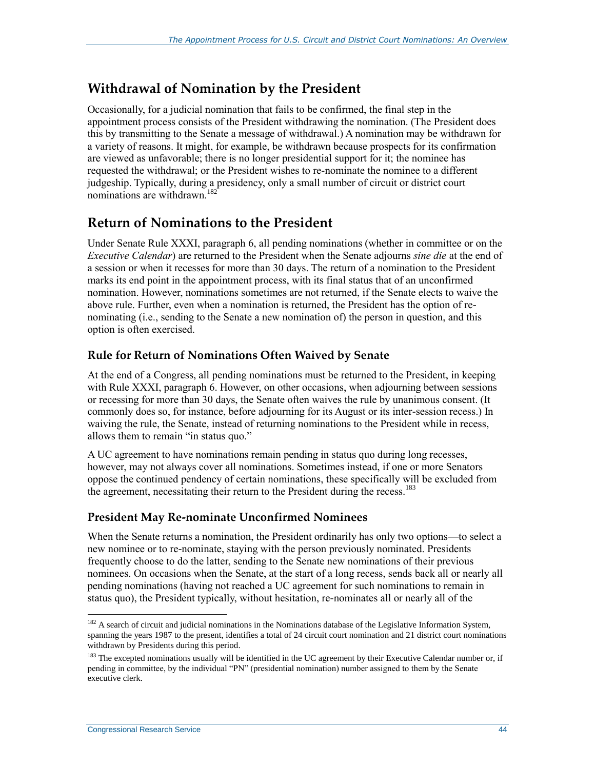### **Withdrawal of Nomination by the President**

Occasionally, for a judicial nomination that fails to be confirmed, the final step in the appointment process consists of the President withdrawing the nomination. (The President does this by transmitting to the Senate a message of withdrawal.) A nomination may be withdrawn for a variety of reasons. It might, for example, be withdrawn because prospects for its confirmation are viewed as unfavorable; there is no longer presidential support for it; the nominee has requested the withdrawal; or the President wishes to re-nominate the nominee to a different judgeship. Typically, during a presidency, only a small number of circuit or district court nominations are withdrawn<sup>182</sup>

### **Return of Nominations to the President**

Under Senate Rule XXXI, paragraph 6, all pending nominations (whether in committee or on the *Executive Calendar*) are returned to the President when the Senate adjourns *sine die* at the end of a session or when it recesses for more than 30 days. The return of a nomination to the President marks its end point in the appointment process, with its final status that of an unconfirmed nomination. However, nominations sometimes are not returned, if the Senate elects to waive the above rule. Further, even when a nomination is returned, the President has the option of renominating (i.e., sending to the Senate a new nomination of) the person in question, and this option is often exercised.

### **Rule for Return of Nominations Often Waived by Senate**

At the end of a Congress, all pending nominations must be returned to the President, in keeping with Rule XXXI, paragraph 6. However, on other occasions, when adjourning between sessions or recessing for more than 30 days, the Senate often waives the rule by unanimous consent. (It commonly does so, for instance, before adjourning for its August or its inter-session recess.) In waiving the rule, the Senate, instead of returning nominations to the President while in recess, allows them to remain "in status quo."

A UC agreement to have nominations remain pending in status quo during long recesses, however, may not always cover all nominations. Sometimes instead, if one or more Senators oppose the continued pendency of certain nominations, these specifically will be excluded from the agreement, necessitating their return to the President during the recess.<sup>183</sup>

### **President May Re-nominate Unconfirmed Nominees**

When the Senate returns a nomination, the President ordinarily has only two options—to select a new nominee or to re-nominate, staying with the person previously nominated. Presidents frequently choose to do the latter, sending to the Senate new nominations of their previous nominees. On occasions when the Senate, at the start of a long recess, sends back all or nearly all pending nominations (having not reached a UC agreement for such nominations to remain in status quo), the President typically, without hesitation, re-nominates all or nearly all of the

 $\overline{a}$  $182$  A search of circuit and judicial nominations in the Nominations database of the Legislative Information System, spanning the years 1987 to the present, identifies a total of 24 circuit court nomination and 21 district court nominations withdrawn by Presidents during this period.

<sup>&</sup>lt;sup>183</sup> The excepted nominations usually will be identified in the UC agreement by their Executive Calendar number or, if pending in committee, by the individual "PN" (presidential nomination) number assigned to them by the Senate executive clerk.